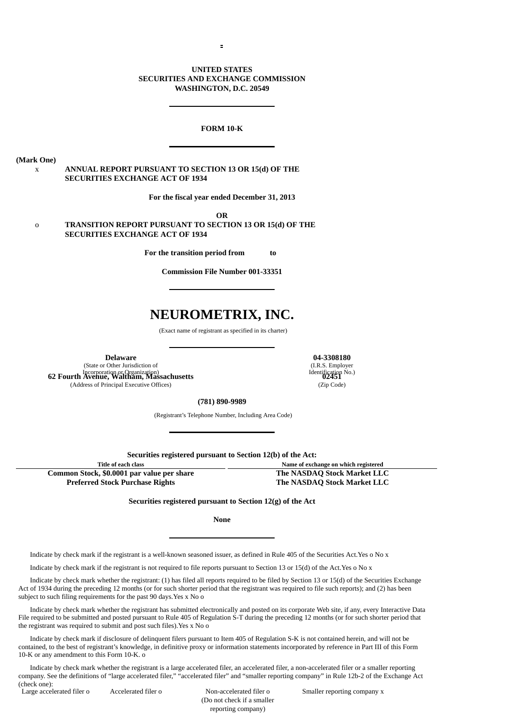# **UNITED STATES SECURITIES AND EXCHANGE COMMISSION WASHINGTON, D.C. 20549**

### **FORM 10-K**

**(Mark One)**

# x **ANNUAL REPORT PURSUANT TO SECTION 13 OR 15(d) OF THE SECURITIES EXCHANGE ACT OF 1934**

**For the fiscal year ended December 31, 2013**

**OR** o **TRANSITION REPORT PURSUANT TO SECTION 13 OR 15(d) OF THE SECURITIES EXCHANGE ACT OF 1934**

**For the transition period from to**

**Commission File Number 001-33351**

# **NEUROMETRIX, INC.**

(Exact name of registrant as specified in its charter)

(State or Other Jurisdiction of Incorporation or Organization) **62 Fourth Avenue, Waltham, Massachusetts 02451** (Address of Principal Executive Offices) (Zip Code)

**Delaware 04-3308180** (I.R.S. Employer Identification No.)

# **(781) 890-9989**

(Registrant's Telephone Number, Including Area Code)

**Securities registered pursuant to Section 12(b) of the Act:**

**Title of each class Name of exchange on which registered Common Stock, \$0.0001 par value per share The NASDAQ Stock Market LLC**

**Preferred Stock Purchase Rights The NASDAQ Stock Market LLC**

**Securities registered pursuant to Section 12(g) of the Act**

**None**

Indicate by check mark if the registrant is a well-known seasoned issuer, as defined in Rule 405 of the Securities Act.Yes o No x

Indicate by check mark if the registrant is not required to file reports pursuant to Section 13 or 15(d) of the Act.Yes o No x

Indicate by check mark whether the registrant: (1) has filed all reports required to be filed by Section 13 or 15(d) of the Securities Exchange Act of 1934 during the preceding 12 months (or for such shorter period that the registrant was required to file such reports); and (2) has been subject to such filing requirements for the past 90 days.Yes x No o

Indicate by check mark whether the registrant has submitted electronically and posted on its corporate Web site, if any, every Interactive Data File required to be submitted and posted pursuant to Rule 405 of Regulation S-T during the preceding 12 months (or for such shorter period that the registrant was required to submit and post such files).Yes x No o

Indicate by check mark if disclosure of delinquent filers pursuant to Item 405 of Regulation S-K is not contained herein, and will not be contained, to the best of registrant's knowledge, in definitive proxy or information statements incorporated by reference in Part III of this Form 10-K or any amendment to this Form 10-K. o

Indicate by check mark whether the registrant is a large accelerated filer, an accelerated filer, a non-accelerated filer or a smaller reporting company. See the definitions of "large accelerated filer," "accelerated filer" and "smaller reporting company" in Rule 12b-2 of the Exchange Act (check one):<br>Large accelerated filer o

 (Do not check if a smaller reporting company)

Accelerated filer o **Accelerated filer o** Accelerated filer o Smaller reporting company x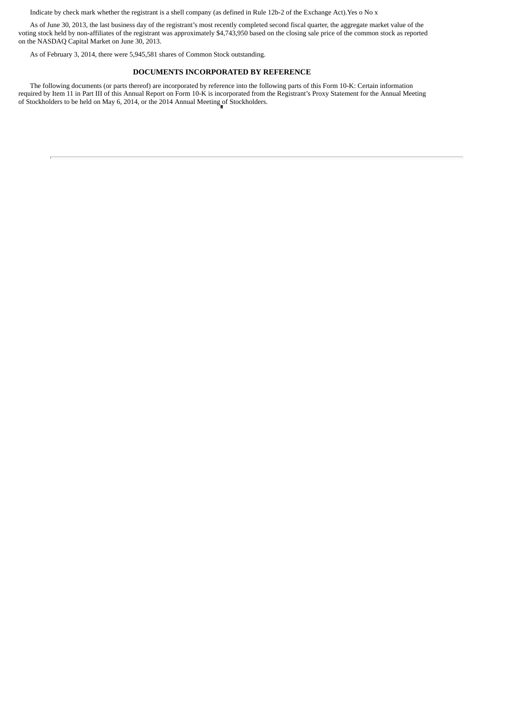Indicate by check mark whether the registrant is a shell company (as defined in Rule 12b-2 of the Exchange Act).Yes o No x

As of June 30, 2013, the last business day of the registrant's most recently completed second fiscal quarter, the aggregate market value of the voting stock held by non-affiliates of the registrant was approximately \$4,743,950 based on the closing sale price of the common stock as reported on the NASDAQ Capital Market on June 30, 2013.

As of February 3, 2014, there were 5,945,581 shares of Common Stock outstanding.

### **DOCUMENTS INCORPORATED BY REFERENCE**

The following documents (or parts thereof) are incorporated by reference into the following parts of this Form 10-K: Certain information required by Item 11 in Part III of this Annual Report on Form 10-K is incorporated from the Registrant's Proxy Statement for the Annual Meeting of Stockholders to be held on May 6, 2014, or the 2014 Annual Meeting of Stockholders.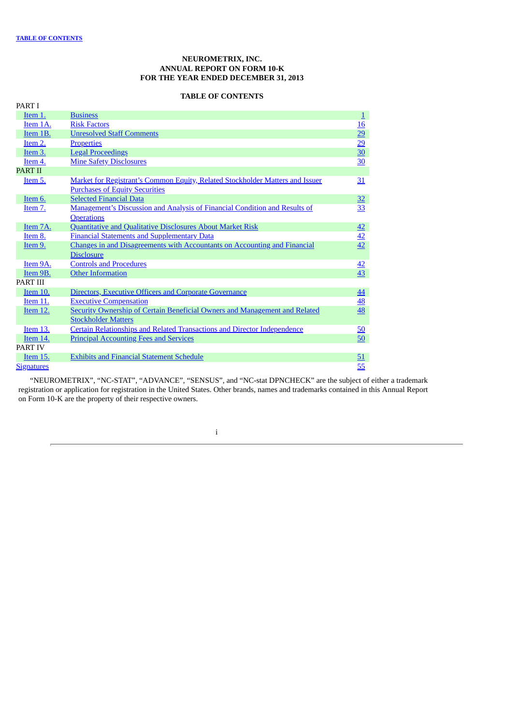# **NEUROMETRIX, INC. ANNUAL REPORT ON FORM 10-K FOR THE YEAR ENDED DECEMBER 31, 2013**

# **TABLE OF CONTENTS**

<span id="page-2-0"></span>

| PART I            |                                                                                   |                  |
|-------------------|-----------------------------------------------------------------------------------|------------------|
| Item 1.           | <b>Business</b>                                                                   | $\underline{1}$  |
| Item 1A.          | <b>Risk Factors</b>                                                               | $\underline{16}$ |
| Item 1B.          | <b>Unresolved Staff Comments</b>                                                  | 29               |
| Item 2.           | <b>Properties</b>                                                                 | $\overline{29}$  |
| Item 3.           | <b>Legal Proceedings</b>                                                          | $\overline{30}$  |
| Item 4.           | <b>Mine Safety Disclosures</b>                                                    | 30               |
| <b>PART II</b>    |                                                                                   |                  |
| Item 5.           | Market for Registrant's Common Equity, Related Stockholder Matters and Issuer     | 31               |
|                   | <b>Purchases of Equity Securities</b>                                             |                  |
| Item 6.           | <b>Selected Financial Data</b>                                                    | 32               |
| Item 7.           | Management's Discussion and Analysis of Financial Condition and Results of        | 33               |
|                   | <b>Operations</b>                                                                 |                  |
| Item 7A.          | <b>Quantitative and Qualitative Disclosures About Market Risk</b>                 | 42               |
| Item 8.           | <b>Financial Statements and Supplementary Data</b>                                | $\overline{42}$  |
| Item 9.           | Changes in and Disagreements with Accountants on Accounting and Financial         | 42               |
|                   | <b>Disclosure</b>                                                                 |                  |
| Item 9A.          | <b>Controls and Procedures</b>                                                    | 42               |
| Item 9B.          | <b>Other Information</b>                                                          | 43               |
| <b>PART III</b>   |                                                                                   |                  |
| Item 10.          | Directors, Executive Officers and Corporate Governance                            | 44               |
| Item 11.          | <b>Executive Compensation</b>                                                     | <u>48</u>        |
| Item 12.          | <b>Security Ownership of Certain Beneficial Owners and Management and Related</b> | 48               |
|                   | <b>Stockholder Matters</b>                                                        |                  |
| Item 13.          | <b>Certain Relationships and Related Transactions and Director Independence</b>   | $\underline{50}$ |
| Item 14.          | <b>Principal Accounting Fees and Services</b>                                     | 50               |
| <b>PART IV</b>    |                                                                                   |                  |
| Item 15.          | <b>Exhibits and Financial Statement Schedule</b>                                  | 51               |
| <b>Signatures</b> |                                                                                   | 55               |

"NEUROMETRIX", "NC-STAT", "ADVANCE", "SENSUS", and "NC-stat DPNCHECK" are the subject of either a trademark registration or application for registration in the United States. Other brands, names and trademarks contained in this Annual Report on Form 10-K are the property of their respective owners.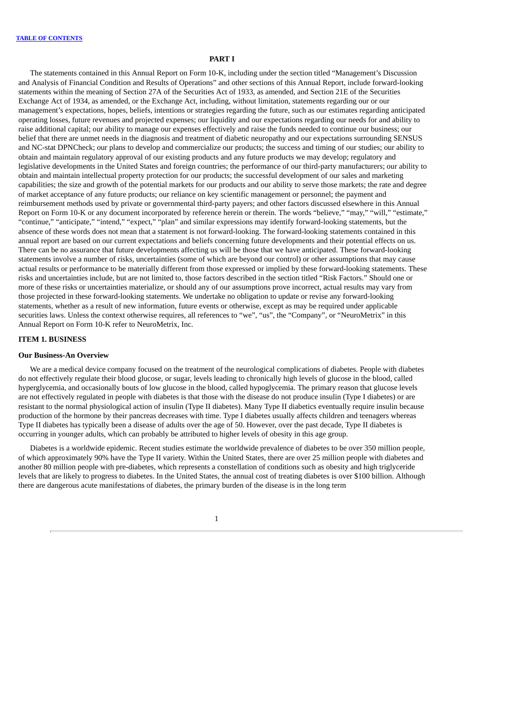### **PART I**

The statements contained in this Annual Report on Form 10-K, including under the section titled "Management's Discussion and Analysis of Financial Condition and Results of Operations" and other sections of this Annual Report, include forward-looking statements within the meaning of Section 27A of the Securities Act of 1933, as amended, and Section 21E of the Securities Exchange Act of 1934, as amended, or the Exchange Act, including, without limitation, statements regarding our or our management's expectations, hopes, beliefs, intentions or strategies regarding the future, such as our estimates regarding anticipated operating losses, future revenues and projected expenses; our liquidity and our expectations regarding our needs for and ability to raise additional capital; our ability to manage our expenses effectively and raise the funds needed to continue our business; our belief that there are unmet needs in the diagnosis and treatment of diabetic neuropathy and our expectations surrounding SENSUS and NC-stat DPNCheck; our plans to develop and commercialize our products; the success and timing of our studies; our ability to obtain and maintain regulatory approval of our existing products and any future products we may develop; regulatory and legislative developments in the United States and foreign countries; the performance of our third-party manufacturers; our ability to obtain and maintain intellectual property protection for our products; the successful development of our sales and marketing capabilities; the size and growth of the potential markets for our products and our ability to serve those markets; the rate and degree of market acceptance of any future products; our reliance on key scientific management or personnel; the payment and reimbursement methods used by private or governmental third-party payers; and other factors discussed elsewhere in this Annual Report on Form 10-K or any document incorporated by reference herein or therein. The words "believe," "may," "will," "estimate," "continue," "anticipate," "intend," "expect," "plan" and similar expressions may identify forward-looking statements, but the absence of these words does not mean that a statement is not forward-looking. The forward-looking statements contained in this annual report are based on our current expectations and beliefs concerning future developments and their potential effects on us. There can be no assurance that future developments affecting us will be those that we have anticipated. These forward-looking statements involve a number of risks, uncertainties (some of which are beyond our control) or other assumptions that may cause actual results or performance to be materially different from those expressed or implied by these forward-looking statements. These risks and uncertainties include, but are not limited to, those factors described in the section titled "Risk Factors." Should one or more of these risks or uncertainties materialize, or should any of our assumptions prove incorrect, actual results may vary from those projected in these forward-looking statements. We undertake no obligation to update or revise any forward-looking statements, whether as a result of new information, future events or otherwise, except as may be required under applicable securities laws. Unless the context otherwise requires, all references to "we", "us", the "Company", or "NeuroMetrix" in this Annual Report on Form 10-K refer to NeuroMetrix, Inc.

### <span id="page-3-0"></span>**ITEM 1. BUSINESS**

# **Our Business-An Overview**

We are a medical device company focused on the treatment of the neurological complications of diabetes. People with diabetes do not effectively regulate their blood glucose, or sugar, levels leading to chronically high levels of glucose in the blood, called hyperglycemia, and occasionally bouts of low glucose in the blood, called hypoglycemia. The primary reason that glucose levels are not effectively regulated in people with diabetes is that those with the disease do not produce insulin (Type I diabetes) or are resistant to the normal physiological action of insulin (Type II diabetes). Many Type II diabetics eventually require insulin because production of the hormone by their pancreas decreases with time. Type I diabetes usually affects children and teenagers whereas Type II diabetes has typically been a disease of adults over the age of 50. However, over the past decade, Type II diabetes is occurring in younger adults, which can probably be attributed to higher levels of obesity in this age group.

Diabetes is a worldwide epidemic. Recent studies estimate the worldwide prevalence of diabetes to be over 350 million people, of which approximately 90% have the Type II variety. Within the United States, there are over 25 million people with diabetes and another 80 million people with pre-diabetes, which represents a constellation of conditions such as obesity and high triglyceride levels that are likely to progress to diabetes. In the United States, the annual cost of treating diabetes is over \$100 billion. Although there are dangerous acute manifestations of diabetes, the primary burden of the disease is in the long term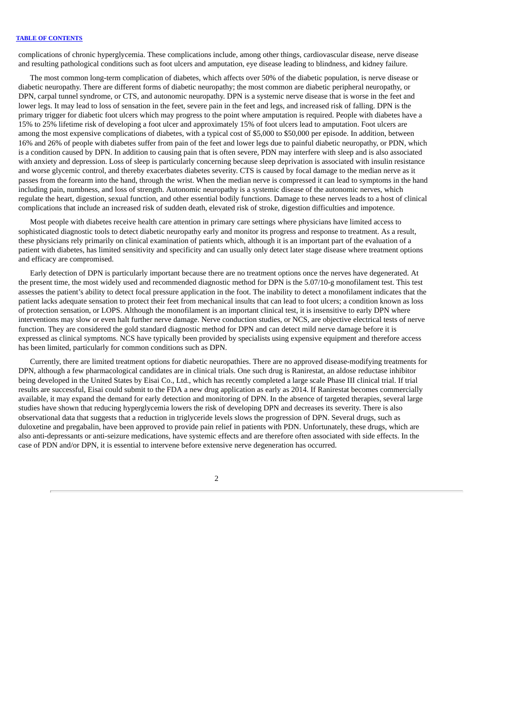complications of chronic hyperglycemia. These complications include, among other things, cardiovascular disease, nerve disease and resulting pathological conditions such as foot ulcers and amputation, eye disease leading to blindness, and kidney failure.

The most common long-term complication of diabetes, which affects over 50% of the diabetic population, is nerve disease or diabetic neuropathy. There are different forms of diabetic neuropathy; the most common are diabetic peripheral neuropathy, or DPN, carpal tunnel syndrome, or CTS, and autonomic neuropathy. DPN is a systemic nerve disease that is worse in the feet and lower legs. It may lead to loss of sensation in the feet, severe pain in the feet and legs, and increased risk of falling. DPN is the primary trigger for diabetic foot ulcers which may progress to the point where amputation is required. People with diabetes have a 15% to 25% lifetime risk of developing a foot ulcer and approximately 15% of foot ulcers lead to amputation. Foot ulcers are among the most expensive complications of diabetes, with a typical cost of \$5,000 to \$50,000 per episode. In addition, between 16% and 26% of people with diabetes suffer from pain of the feet and lower legs due to painful diabetic neuropathy, or PDN, which is a condition caused by DPN. In addition to causing pain that is often severe, PDN may interfere with sleep and is also associated with anxiety and depression. Loss of sleep is particularly concerning because sleep deprivation is associated with insulin resistance and worse glycemic control, and thereby exacerbates diabetes severity. CTS is caused by focal damage to the median nerve as it passes from the forearm into the hand, through the wrist. When the median nerve is compressed it can lead to symptoms in the hand including pain, numbness, and loss of strength. Autonomic neuropathy is a systemic disease of the autonomic nerves, which regulate the heart, digestion, sexual function, and other essential bodily functions. Damage to these nerves leads to a host of clinical complications that include an increased risk of sudden death, elevated risk of stroke, digestion difficulties and impotence.

Most people with diabetes receive health care attention in primary care settings where physicians have limited access to sophisticated diagnostic tools to detect diabetic neuropathy early and monitor its progress and response to treatment. As a result, these physicians rely primarily on clinical examination of patients which, although it is an important part of the evaluation of a patient with diabetes, has limited sensitivity and specificity and can usually only detect later stage disease where treatment options and efficacy are compromised.

Early detection of DPN is particularly important because there are no treatment options once the nerves have degenerated. At the present time, the most widely used and recommended diagnostic method for DPN is the 5.07/10-g monofilament test. This test assesses the patient's ability to detect focal pressure application in the foot. The inability to detect a monofilament indicates that the patient lacks adequate sensation to protect their feet from mechanical insults that can lead to foot ulcers; a condition known as loss of protection sensation, or LOPS. Although the monofilament is an important clinical test, it is insensitive to early DPN where interventions may slow or even halt further nerve damage. Nerve conduction studies, or NCS, are objective electrical tests of nerve function. They are considered the gold standard diagnostic method for DPN and can detect mild nerve damage before it is expressed as clinical symptoms. NCS have typically been provided by specialists using expensive equipment and therefore access has been limited, particularly for common conditions such as DPN.

Currently, there are limited treatment options for diabetic neuropathies. There are no approved disease-modifying treatments for DPN, although a few pharmacological candidates are in clinical trials. One such drug is Ranirestat, an aldose reductase inhibitor being developed in the United States by Eisai Co., Ltd., which has recently completed a large scale Phase III clinical trial. If trial results are successful, Eisai could submit to the FDA a new drug application as early as 2014. If Ranirestat becomes commercially available, it may expand the demand for early detection and monitoring of DPN. In the absence of targeted therapies, several large studies have shown that reducing hyperglycemia lowers the risk of developing DPN and decreases its severity. There is also observational data that suggests that a reduction in triglyceride levels slows the progression of DPN. Several drugs, such as duloxetine and pregabalin, have been approved to provide pain relief in patients with PDN. Unfortunately, these drugs, which are also anti-depressants or anti-seizure medications, have systemic effects and are therefore often associated with side effects. In the case of PDN and/or DPN, it is essential to intervene before extensive nerve degeneration has occurred.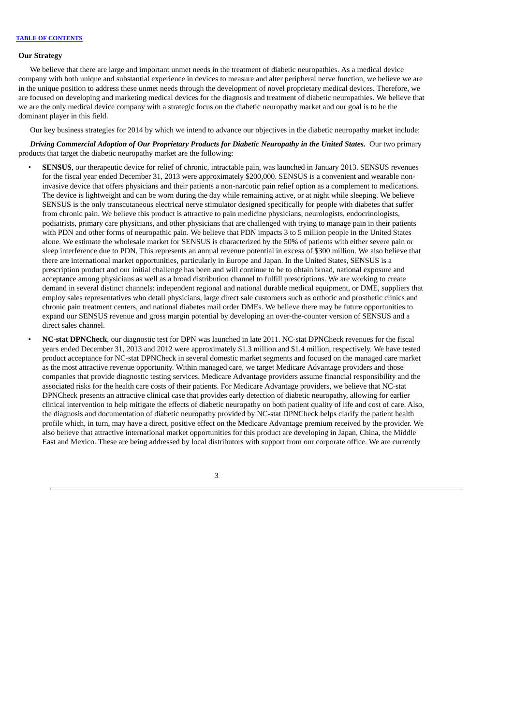### **Our Strategy**

We believe that there are large and important unmet needs in the treatment of diabetic neuropathies. As a medical device company with both unique and substantial experience in devices to measure and alter peripheral nerve function, we believe we are in the unique position to address these unmet needs through the development of novel proprietary medical devices. Therefore, we are focused on developing and marketing medical devices for the diagnosis and treatment of diabetic neuropathies. We believe that we are the only medical device company with a strategic focus on the diabetic neuropathy market and our goal is to be the dominant player in this field.

Our key business strategies for 2014 by which we intend to advance our objectives in the diabetic neuropathy market include:

*Driving Commercial Adoption of Our Proprietary Products for Diabetic Neuropathy in the United States.* Our two primary products that target the diabetic neuropathy market are the following:

- **SENSUS**, our therapeutic device for relief of chronic, intractable pain, was launched in January 2013. SENSUS revenues for the fiscal year ended December 31, 2013 were approximately \$200,000. SENSUS is a convenient and wearable noninvasive device that offers physicians and their patients a non-narcotic pain relief option as a complement to medications. The device is lightweight and can be worn during the day while remaining active, or at night while sleeping. We believe SENSUS is the only transcutaneous electrical nerve stimulator designed specifically for people with diabetes that suffer from chronic pain. We believe this product is attractive to pain medicine physicians, neurologists, endocrinologists, podiatrists, primary care physicians, and other physicians that are challenged with trying to manage pain in their patients with PDN and other forms of neuropathic pain. We believe that PDN impacts 3 to 5 million people in the United States alone. We estimate the wholesale market for SENSUS is characterized by the 50% of patients with either severe pain or sleep interference due to PDN. This represents an annual revenue potential in excess of \$300 million. We also believe that there are international market opportunities, particularly in Europe and Japan. In the United States, SENSUS is a prescription product and our initial challenge has been and will continue to be to obtain broad, national exposure and acceptance among physicians as well as a broad distribution channel to fulfill prescriptions. We are working to create demand in several distinct channels: independent regional and national durable medical equipment, or DME, suppliers that employ sales representatives who detail physicians, large direct sale customers such as orthotic and prosthetic clinics and chronic pain treatment centers, and national diabetes mail order DMEs. We believe there may be future opportunities to expand our SENSUS revenue and gross margin potential by developing an over-the-counter version of SENSUS and a direct sales channel.
	- **NC-stat DPNCheck**, our diagnostic test for DPN was launched in late 2011. NC-stat DPNCheck revenues for the fiscal years ended December 31, 2013 and 2012 were approximately \$1.3 million and \$1.4 million, respectively. We have tested product acceptance for NC-stat DPNCheck in several domestic market segments and focused on the managed care market as the most attractive revenue opportunity. Within managed care, we target Medicare Advantage providers and those companies that provide diagnostic testing services. Medicare Advantage providers assume financial responsibility and the associated risks for the health care costs of their patients. For Medicare Advantage providers, we believe that NC-stat DPNCheck presents an attractive clinical case that provides early detection of diabetic neuropathy, allowing for earlier clinical intervention to help mitigate the effects of diabetic neuropathy on both patient quality of life and cost of care. Also, the diagnosis and documentation of diabetic neuropathy provided by NC-stat DPNCheck helps clarify the patient health profile which, in turn, may have a direct, positive effect on the Medicare Advantage premium received by the provider. We also believe that attractive international market opportunities for this product are developing in Japan, China, the Middle East and Mexico. These are being addressed by local distributors with support from our corporate office. We are currently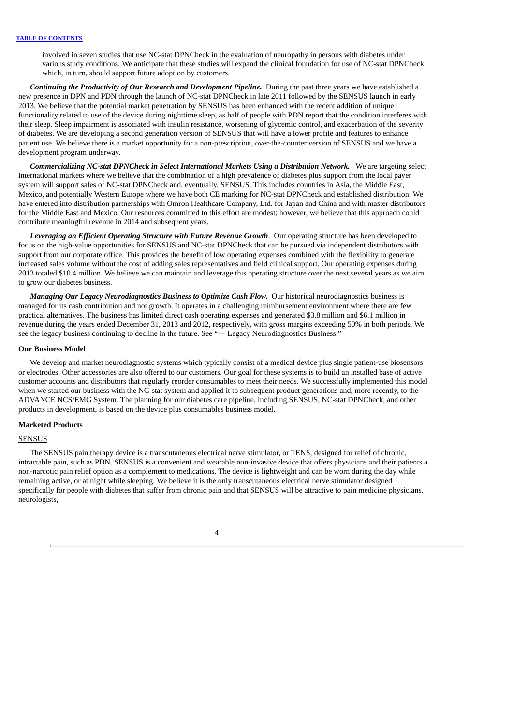involved in seven studies that use NC-stat DPNCheck in the evaluation of neuropathy in persons with diabetes under various study conditions. We anticipate that these studies will expand the clinical foundation for use of NC-stat DPNCheck which, in turn, should support future adoption by customers.

*Continuing the Productivity of Our Research and Development Pipeline.* During the past three years we have established a new presence in DPN and PDN through the launch of NC-stat DPNCheck in late 2011 followed by the SENSUS launch in early 2013. We believe that the potential market penetration by SENSUS has been enhanced with the recent addition of unique functionality related to use of the device during nighttime sleep, as half of people with PDN report that the condition interferes with their sleep. Sleep impairment is associated with insulin resistance, worsening of glycemic control, and exacerbation of the severity of diabetes. We are developing a second generation version of SENSUS that will have a lower profile and features to enhance patient use. We believe there is a market opportunity for a non-prescription, over-the-counter version of SENSUS and we have a development program underway.

*Commercializing NC-stat DPNCheck in Select International Markets Using a Distribution Network.* We are targeting select international markets where we believe that the combination of a high prevalence of diabetes plus support from the local payer system will support sales of NC-stat DPNCheck and, eventually, SENSUS. This includes countries in Asia, the Middle East, Mexico, and potentially Western Europe where we have both CE marking for NC-stat DPNCheck and established distribution. We have entered into distribution partnerships with Omron Healthcare Company, Ltd. for Japan and China and with master distributors for the Middle East and Mexico. Our resources committed to this effort are modest; however, we believe that this approach could contribute meaningful revenue in 2014 and subsequent years.

*Leveraging an Efficient Operating Structure with Future Revenue Growth*. Our operating structure has been developed to focus on the high-value opportunities for SENSUS and NC-stat DPNCheck that can be pursued via independent distributors with support from our corporate office. This provides the benefit of low operating expenses combined with the flexibility to generate increased sales volume without the cost of adding sales representatives and field clinical support. Our operating expenses during 2013 totaled \$10.4 million. We believe we can maintain and leverage this operating structure over the next several years as we aim to grow our diabetes business.

*Managing Our Legacy Neurodiagnostics Business to Optimize Cash Flow.* Our historical neurodiagnostics business is managed for its cash contribution and not growth. It operates in a challenging reimbursement environment where there are few practical alternatives. The business has limited direct cash operating expenses and generated \$3.8 million and \$6.1 million in revenue during the years ended December 31, 2013 and 2012, respectively, with gross margins exceeding 50% in both periods. We see the legacy business continuing to decline in the future. See "— Legacy Neurodiagnostics Business."

### **Our Business Model**

We develop and market neurodiagnostic systems which typically consist of a medical device plus single patient-use biosensors or electrodes. Other accessories are also offered to our customers. Our goal for these systems is to build an installed base of active customer accounts and distributors that regularly reorder consumables to meet their needs. We successfully implemented this model when we started our business with the NC-stat system and applied it to subsequent product generations and, more recently, to the ADVANCE NCS/EMG System. The planning for our diabetes care pipeline, including SENSUS, NC-stat DPNCheck, and other products in development, is based on the device plus consumables business model.

#### **Marketed Products**

#### SENSUS

The SENSUS pain therapy device is a transcutaneous electrical nerve stimulator, or TENS, designed for relief of chronic, intractable pain, such as PDN. SENSUS is a convenient and wearable non-invasive device that offers physicians and their patients a non-narcotic pain relief option as a complement to medications. The device is lightweight and can be worn during the day while remaining active, or at night while sleeping. We believe it is the only transcutaneous electrical nerve stimulator designed specifically for people with diabetes that suffer from chronic pain and that SENSUS will be attractive to pain medicine physicians, neurologists,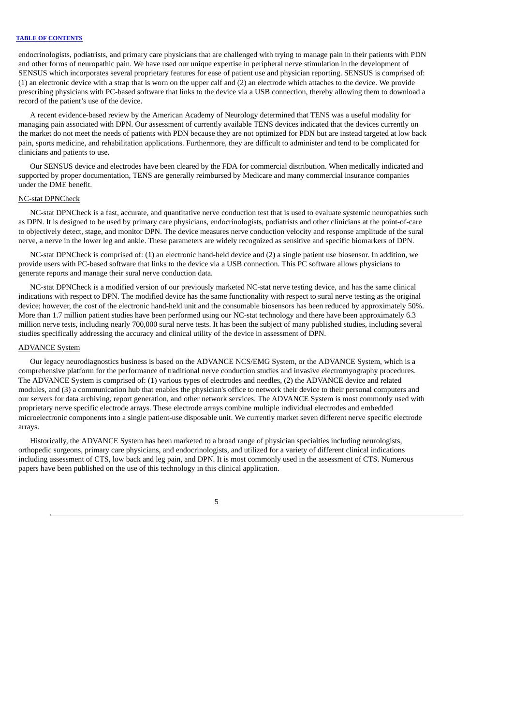endocrinologists, podiatrists, and primary care physicians that are challenged with trying to manage pain in their patients with PDN and other forms of neuropathic pain. We have used our unique expertise in peripheral nerve stimulation in the development of SENSUS which incorporates several proprietary features for ease of patient use and physician reporting. SENSUS is comprised of: (1) an electronic device with a strap that is worn on the upper calf and (2) an electrode which attaches to the device. We provide prescribing physicians with PC-based software that links to the device via a USB connection, thereby allowing them to download a record of the patient's use of the device.

A recent evidence-based review by the American Academy of Neurology determined that TENS was a useful modality for managing pain associated with DPN. Our assessment of currently available TENS devices indicated that the devices currently on the market do not meet the needs of patients with PDN because they are not optimized for PDN but are instead targeted at low back pain, sports medicine, and rehabilitation applications. Furthermore, they are difficult to administer and tend to be complicated for clinicians and patients to use.

Our SENSUS device and electrodes have been cleared by the FDA for commercial distribution. When medically indicated and supported by proper documentation, TENS are generally reimbursed by Medicare and many commercial insurance companies under the DME benefit.

### NC-stat DPNCheck

NC-stat DPNCheck is a fast, accurate, and quantitative nerve conduction test that is used to evaluate systemic neuropathies such as DPN. It is designed to be used by primary care physicians, endocrinologists, podiatrists and other clinicians at the point-of-care to objectively detect, stage, and monitor DPN. The device measures nerve conduction velocity and response amplitude of the sural nerve, a nerve in the lower leg and ankle. These parameters are widely recognized as sensitive and specific biomarkers of DPN.

NC-stat DPNCheck is comprised of: (1) an electronic hand-held device and (2) a single patient use biosensor. In addition, we provide users with PC-based software that links to the device via a USB connection. This PC software allows physicians to generate reports and manage their sural nerve conduction data.

NC-stat DPNCheck is a modified version of our previously marketed NC-stat nerve testing device, and has the same clinical indications with respect to DPN. The modified device has the same functionality with respect to sural nerve testing as the original device; however, the cost of the electronic hand-held unit and the consumable biosensors has been reduced by approximately 50%. More than 1.7 million patient studies have been performed using our NC-stat technology and there have been approximately 6.3 million nerve tests, including nearly 700,000 sural nerve tests. It has been the subject of many published studies, including several studies specifically addressing the accuracy and clinical utility of the device in assessment of DPN.

### ADVANCE System

Our legacy neurodiagnostics business is based on the ADVANCE NCS/EMG System, or the ADVANCE System, which is a comprehensive platform for the performance of traditional nerve conduction studies and invasive electromyography procedures. The ADVANCE System is comprised of: (1) various types of electrodes and needles, (2) the ADVANCE device and related modules, and (3) a communication hub that enables the physician's office to network their device to their personal computers and our servers for data archiving, report generation, and other network services. The ADVANCE System is most commonly used with proprietary nerve specific electrode arrays. These electrode arrays combine multiple individual electrodes and embedded microelectronic components into a single patient-use disposable unit. We currently market seven different nerve specific electrode arrays.

Historically, the ADVANCE System has been marketed to a broad range of physician specialties including neurologists, orthopedic surgeons, primary care physicians, and endocrinologists, and utilized for a variety of different clinical indications including assessment of CTS, low back and leg pain, and DPN. It is most commonly used in the assessment of CTS. Numerous papers have been published on the use of this technology in this clinical application.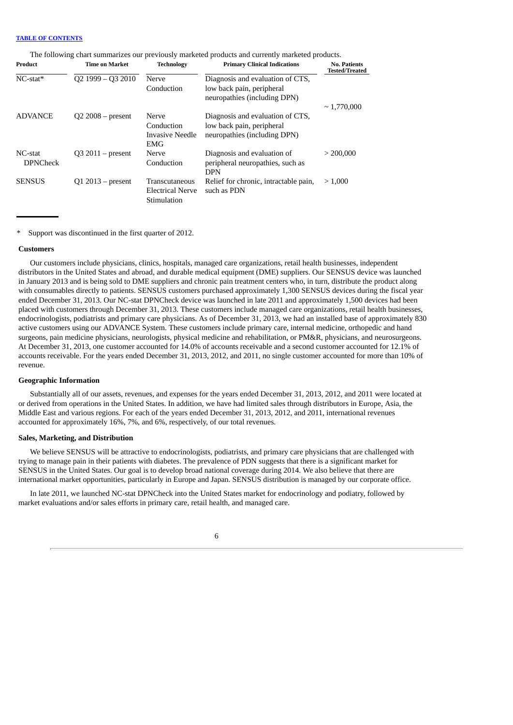| The following chart summarizes our previously marketed products and currently marketed products. |  |  |  |
|--------------------------------------------------------------------------------------------------|--|--|--|
|                                                                                                  |  |  |  |

| Product                    | <b>Time on Market</b>                                                              | <b>Technology</b>                                 | <b>Primary Clinical Indications</b>                                                           | <b>No. Patients</b><br><b>Tested/Treated</b> |  |  |
|----------------------------|------------------------------------------------------------------------------------|---------------------------------------------------|-----------------------------------------------------------------------------------------------|----------------------------------------------|--|--|
| $NC$ -stat*                | $Q2$ 1999 - Q3 2010                                                                | Nerve<br>Conduction                               | Diagnosis and evaluation of CTS,<br>low back pain, peripheral<br>neuropathies (including DPN) | $\sim 1.770,000$                             |  |  |
| <b>ADVANCE</b>             | $Q2 2008 - present$<br>Nerve<br>Conduction<br><b>Invasive Needle</b><br><b>EMG</b> |                                                   | Diagnosis and evaluation of CTS,<br>low back pain, peripheral<br>neuropathies (including DPN) |                                              |  |  |
| NC-stat<br><b>DPNCheck</b> | $Q3 2011 - present$                                                                | Nerve<br>Conduction                               | Diagnosis and evaluation of<br>peripheral neuropathies, such as<br><b>DPN</b>                 | > 200,000                                    |  |  |
| <b>SENSUS</b>              | $Q1 2013 - present$                                                                | Transcutaneous<br>Electrical Nerve<br>Stimulation | Relief for chronic, intractable pain,<br>such as PDN                                          | > 1,000                                      |  |  |

Support was discontinued in the first quarter of 2012.

### **Customers**

Our customers include physicians, clinics, hospitals, managed care organizations, retail health businesses, independent distributors in the United States and abroad, and durable medical equipment (DME) suppliers. Our SENSUS device was launched in January 2013 and is being sold to DME suppliers and chronic pain treatment centers who, in turn, distribute the product along with consumables directly to patients. SENSUS customers purchased approximately 1,300 SENSUS devices during the fiscal year ended December 31, 2013. Our NC-stat DPNCheck device was launched in late 2011 and approximately 1,500 devices had been placed with customers through December 31, 2013. These customers include managed care organizations, retail health businesses, endocrinologists, podiatrists and primary care physicians. As of December 31, 2013, we had an installed base of approximately 830 active customers using our ADVANCE System. These customers include primary care, internal medicine, orthopedic and hand surgeons, pain medicine physicians, neurologists, physical medicine and rehabilitation, or PM&R, physicians, and neurosurgeons. At December 31, 2013, one customer accounted for 14.0% of accounts receivable and a second customer accounted for 12.1% of accounts receivable. For the years ended December 31, 2013, 2012, and 2011, no single customer accounted for more than 10% of revenue.

### **Geographic Information**

Substantially all of our assets, revenues, and expenses for the years ended December 31, 2013, 2012, and 2011 were located at or derived from operations in the United States. In addition, we have had limited sales through distributors in Europe, Asia, the Middle East and various regions. For each of the years ended December 31, 2013, 2012, and 2011, international revenues accounted for approximately 16%, 7%, and 6%, respectively, of our total revenues.

### **Sales, Marketing, and Distribution**

We believe SENSUS will be attractive to endocrinologists, podiatrists, and primary care physicians that are challenged with trying to manage pain in their patients with diabetes. The prevalence of PDN suggests that there is a significant market for SENSUS in the United States. Our goal is to develop broad national coverage during 2014. We also believe that there are international market opportunities, particularly in Europe and Japan. SENSUS distribution is managed by our corporate office.

In late 2011, we launched NC-stat DPNCheck into the United States market for endocrinology and podiatry, followed by market evaluations and/or sales efforts in primary care, retail health, and managed care.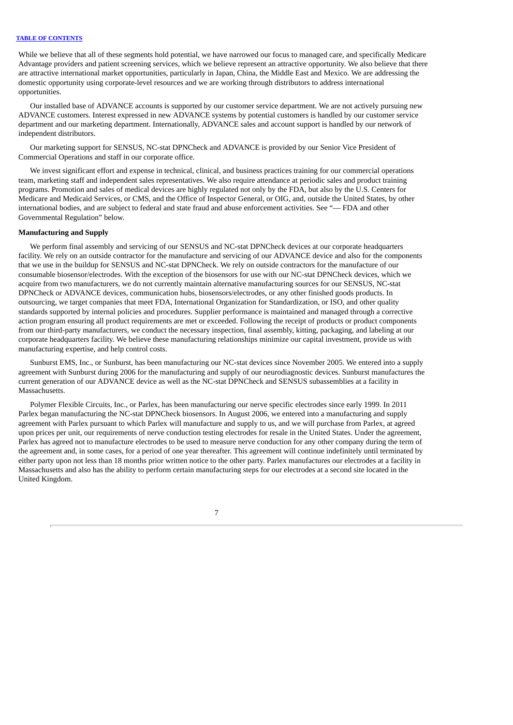While we believe that all of these segments hold potential, we have narrowed our focus to managed care, and specifically Medicare Advantage providers and patient screening services, which we believe represent an attractive opportunity. We also believe that there are attractive international market opportunities, particularly in Japan, China, the Middle East and Mexico. We are addressing the domestic opportunity using corporate-level resources and we are working through distributors to address international opportunities.

Our installed base of ADVANCE accounts is supported by our customer service department. We are not actively pursuing new ADVANCE customers. Interest expressed in new ADVANCE systems by potential customers is handled by our customer service department and our marketing department. Internationally, ADVANCE sales and account support is handled by our network of independent distributors.

Our marketing support for SENSUS, NC-stat DPNCheck and ADVANCE is provided by our Senior Vice President of Commercial Operations and staff in our corporate office.

We invest significant effort and expense in technical, clinical, and business practices training for our commercial operations team, marketing staff and independent sales representatives. We also require attendance at periodic sales and product training programs. Promotion and sales of medical devices are highly regulated not only by the FDA, but also by the U.S. Centers for Medicare and Medicaid Services, or CMS, and the Office of Inspector General, or OIG, and, outside the United States, by other international bodies, and are subject to federal and state fraud and abuse enforcement activities. See "— FDA and other Governmental Regulation" below.

# **Manufacturing and Supply**

We perform final assembly and servicing of our SENSUS and NC-stat DPNCheck devices at our corporate headquarters facility. We rely on an outside contractor for the manufacture and servicing of our ADVANCE device and also for the components that we use in the buildup for SENSUS and NC-stat DPNCheck. We rely on outside contractors for the manufacture of our consumable biosensor/electrodes. With the exception of the biosensors for use with our NC-stat DPNCheck devices, which we acquire from two manufacturers, we do not currently maintain alternative manufacturing sources for our SENSUS, NC-stat DPNCheck or ADVANCE devices, communication hubs, biosensors/electrodes, or any other finished goods products. In outsourcing, we target companies that meet FDA, International Organization for Standardization, or ISO, and other quality standards supported by internal policies and procedures. Supplier performance is maintained and managed through a corrective action program ensuring all product requirements are met or exceeded. Following the receipt of products or product components from our third-party manufacturers, we conduct the necessary inspection, final assembly, kitting, packaging, and labeling at our corporate headquarters facility. We believe these manufacturing relationships minimize our capital investment, provide us with manufacturing expertise, and help control costs.

Sunburst EMS, Inc., or Sunburst, has been manufacturing our NC-stat devices since November 2005. We entered into a supply agreement with Sunburst during 2006 for the manufacturing and supply of our neurodiagnostic devices. Sunburst manufactures the current generation of our ADVANCE device as well as the NC-stat DPNCheck and SENSUS subassemblies at a facility in Massachusetts.

Polymer Flexible Circuits, Inc., or Parlex, has been manufacturing our nerve specific electrodes since early 1999. In 2011 Parlex began manufacturing the NC-stat DPNCheck biosensors. In August 2006, we entered into a manufacturing and supply agreement with Parlex pursuant to which Parlex will manufacture and supply to us, and we will purchase from Parlex, at agreed upon prices per unit, our requirements of nerve conduction testing electrodes for resale in the United States. Under the agreement, Parlex has agreed not to manufacture electrodes to be used to measure nerve conduction for any other company during the term of the agreement and, in some cases, for a period of one year thereafter. This agreement will continue indefinitely until terminated by either party upon not less than 18 months prior written notice to the other party. Parlex manufactures our electrodes at a facility in Massachusetts and also has the ability to perform certain manufacturing steps for our electrodes at a second site located in the United Kingdom.

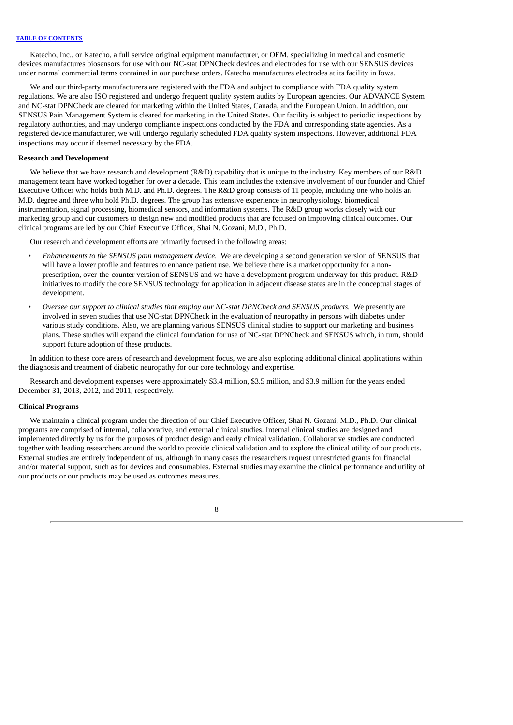Katecho, Inc., or Katecho, a full service original equipment manufacturer, or OEM, specializing in medical and cosmetic devices manufactures biosensors for use with our NC-stat DPNCheck devices and electrodes for use with our SENSUS devices under normal commercial terms contained in our purchase orders. Katecho manufactures electrodes at its facility in Iowa.

We and our third-party manufacturers are registered with the FDA and subject to compliance with FDA quality system regulations. We are also ISO registered and undergo frequent quality system audits by European agencies. Our ADVANCE System and NC-stat DPNCheck are cleared for marketing within the United States, Canada, and the European Union. In addition, our SENSUS Pain Management System is cleared for marketing in the United States. Our facility is subject to periodic inspections by regulatory authorities, and may undergo compliance inspections conducted by the FDA and corresponding state agencies. As a registered device manufacturer, we will undergo regularly scheduled FDA quality system inspections. However, additional FDA inspections may occur if deemed necessary by the FDA.

# **Research and Development**

We believe that we have research and development (R&D) capability that is unique to the industry. Key members of our R&D management team have worked together for over a decade. This team includes the extensive involvement of our founder and Chief Executive Officer who holds both M.D. and Ph.D. degrees. The R&D group consists of 11 people, including one who holds an M.D. degree and three who hold Ph.D. degrees. The group has extensive experience in neurophysiology, biomedical instrumentation, signal processing, biomedical sensors, and information systems. The R&D group works closely with our marketing group and our customers to design new and modified products that are focused on improving clinical outcomes. Our clinical programs are led by our Chief Executive Officer, Shai N. Gozani, M.D., Ph.D.

Our research and development efforts are primarily focused in the following areas:

- *Enhancements to the SENSUS pain management device.* We are developing a second generation version of SENSUS that will have a lower profile and features to enhance patient use. We believe there is a market opportunity for a nonprescription, over-the-counter version of SENSUS and we have a development program underway for this product. R&D initiatives to modify the core SENSUS technology for application in adjacent disease states are in the conceptual stages of development.
- *Oversee our support to clinical studies that employ our NC-stat DPNCheck and SENSUS products.* We presently are involved in seven studies that use NC-stat DPNCheck in the evaluation of neuropathy in persons with diabetes under various study conditions. Also, we are planning various SENSUS clinical studies to support our marketing and business plans. These studies will expand the clinical foundation for use of NC-stat DPNCheck and SENSUS which, in turn, should support future adoption of these products.

In addition to these core areas of research and development focus, we are also exploring additional clinical applications within the diagnosis and treatment of diabetic neuropathy for our core technology and expertise.

Research and development expenses were approximately \$3.4 million, \$3.5 million, and \$3.9 million for the years ended December 31, 2013, 2012, and 2011, respectively.

#### **Clinical Programs**

We maintain a clinical program under the direction of our Chief Executive Officer, Shai N. Gozani, M.D., Ph.D. Our clinical programs are comprised of internal, collaborative, and external clinical studies. Internal clinical studies are designed and implemented directly by us for the purposes of product design and early clinical validation. Collaborative studies are conducted together with leading researchers around the world to provide clinical validation and to explore the clinical utility of our products. External studies are entirely independent of us, although in many cases the researchers request unrestricted grants for financial and/or material support, such as for devices and consumables. External studies may examine the clinical performance and utility of our products or our products may be used as outcomes measures.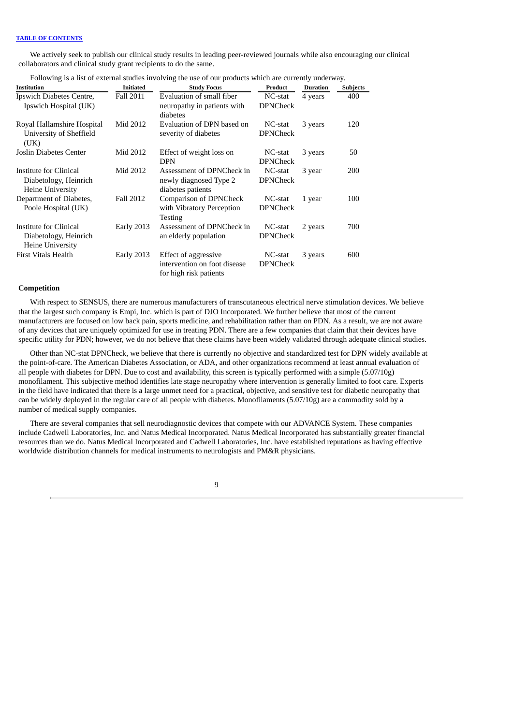We actively seek to publish our clinical study results in leading peer-reviewed journals while also encouraging our clinical collaborators and clinical study grant recipients to do the same.

| Following is a list of external studies involving the use of our products which are currently underway. |  |
|---------------------------------------------------------------------------------------------------------|--|
|                                                                                                         |  |

| <b>Institution</b>                                                         | <b>Initiated</b>  | <b>Study Focus</b>                                                             | Product                    | <b>Duration</b> | <b>Subjects</b> |
|----------------------------------------------------------------------------|-------------------|--------------------------------------------------------------------------------|----------------------------|-----------------|-----------------|
| Ipswich Diabetes Centre,<br>Ipswich Hospital (UK)                          | Fall 2011         | Evaluation of small fiber<br>neuropathy in patients with<br>diabetes           | NC-stat<br><b>DPNCheck</b> | 4 years         | 400             |
| Royal Hallamshire Hospital<br>University of Sheffield<br>(UK)              | Mid 2012          | Evaluation of DPN based on<br>severity of diabetes                             | NC-stat<br><b>DPNCheck</b> | 3 years         | 120             |
| Joslin Diabetes Center                                                     | Mid 2012          | Effect of weight loss on<br><b>DPN</b>                                         | NC-stat<br><b>DPNCheck</b> | 3 years         | 50              |
| Institute for Clinical<br>Diabetology, Heinrich<br><b>Heine University</b> | Mid 2012          | Assessment of DPNCheck in<br>newly diagnosed Type 2<br>diabetes patients       | NC-stat<br><b>DPNCheck</b> | 3 year          | 200             |
| Department of Diabetes,<br>Poole Hospital (UK)                             | Fall 2012         | Comparison of DPNCheck<br>with Vibratory Perception<br>Testing                 | NC-stat<br><b>DPNCheck</b> | 1 year          | 100             |
| Institute for Clinical<br>Diabetology, Heinrich<br><b>Heine University</b> | <b>Early 2013</b> | Assessment of DPNCheck in<br>an elderly population                             | NC-stat<br><b>DPNCheck</b> | 2 years         | 700             |
| <b>First Vitals Health</b>                                                 | <b>Early 2013</b> | Effect of aggressive<br>intervention on foot disease<br>for high risk patients | NC-stat<br><b>DPNCheck</b> | 3 years         | 600             |

### **Competition**

With respect to SENSUS, there are numerous manufacturers of transcutaneous electrical nerve stimulation devices. We believe that the largest such company is Empi, Inc. which is part of DJO Incorporated. We further believe that most of the current manufacturers are focused on low back pain, sports medicine, and rehabilitation rather than on PDN. As a result, we are not aware of any devices that are uniquely optimized for use in treating PDN. There are a few companies that claim that their devices have specific utility for PDN; however, we do not believe that these claims have been widely validated through adequate clinical studies.

Other than NC-stat DPNCheck, we believe that there is currently no objective and standardized test for DPN widely available at the point-of-care. The American Diabetes Association, or ADA, and other organizations recommend at least annual evaluation of all people with diabetes for DPN. Due to cost and availability, this screen is typically performed with a simple (5.07/10g) monofilament. This subjective method identifies late stage neuropathy where intervention is generally limited to foot care. Experts in the field have indicated that there is a large unmet need for a practical, objective, and sensitive test for diabetic neuropathy that can be widely deployed in the regular care of all people with diabetes. Monofilaments (5.07/10g) are a commodity sold by a number of medical supply companies.

There are several companies that sell neurodiagnostic devices that compete with our ADVANCE System. These companies include Cadwell Laboratories, Inc. and Natus Medical Incorporated. Natus Medical Incorporated has substantially greater financial resources than we do. Natus Medical Incorporated and Cadwell Laboratories, Inc. have established reputations as having effective worldwide distribution channels for medical instruments to neurologists and PM&R physicians.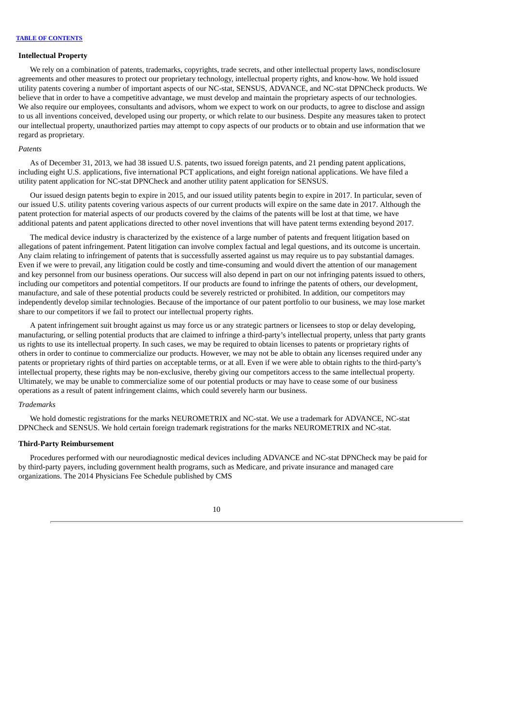#### **Intellectual Property**

We rely on a combination of patents, trademarks, copyrights, trade secrets, and other intellectual property laws, nondisclosure agreements and other measures to protect our proprietary technology, intellectual property rights, and know-how. We hold issued utility patents covering a number of important aspects of our NC-stat, SENSUS, ADVANCE, and NC-stat DPNCheck products. We believe that in order to have a competitive advantage, we must develop and maintain the proprietary aspects of our technologies. We also require our employees, consultants and advisors, whom we expect to work on our products, to agree to disclose and assign to us all inventions conceived, developed using our property, or which relate to our business. Despite any measures taken to protect our intellectual property, unauthorized parties may attempt to copy aspects of our products or to obtain and use information that we regard as proprietary.

#### *Patents*

As of December 31, 2013, we had 38 issued U.S. patents, two issued foreign patents, and 21 pending patent applications, including eight U.S. applications, five international PCT applications, and eight foreign national applications. We have filed a utility patent application for NC-stat DPNCheck and another utility patent application for SENSUS.

Our issued design patents begin to expire in 2015, and our issued utility patents begin to expire in 2017. In particular, seven of our issued U.S. utility patents covering various aspects of our current products will expire on the same date in 2017. Although the patent protection for material aspects of our products covered by the claims of the patents will be lost at that time, we have additional patents and patent applications directed to other novel inventions that will have patent terms extending beyond 2017.

The medical device industry is characterized by the existence of a large number of patents and frequent litigation based on allegations of patent infringement. Patent litigation can involve complex factual and legal questions, and its outcome is uncertain. Any claim relating to infringement of patents that is successfully asserted against us may require us to pay substantial damages. Even if we were to prevail, any litigation could be costly and time-consuming and would divert the attention of our management and key personnel from our business operations. Our success will also depend in part on our not infringing patents issued to others, including our competitors and potential competitors. If our products are found to infringe the patents of others, our development, manufacture, and sale of these potential products could be severely restricted or prohibited. In addition, our competitors may independently develop similar technologies. Because of the importance of our patent portfolio to our business, we may lose market share to our competitors if we fail to protect our intellectual property rights.

A patent infringement suit brought against us may force us or any strategic partners or licensees to stop or delay developing, manufacturing, or selling potential products that are claimed to infringe a third-party's intellectual property, unless that party grants us rights to use its intellectual property. In such cases, we may be required to obtain licenses to patents or proprietary rights of others in order to continue to commercialize our products. However, we may not be able to obtain any licenses required under any patents or proprietary rights of third parties on acceptable terms, or at all. Even if we were able to obtain rights to the third-party's intellectual property, these rights may be non-exclusive, thereby giving our competitors access to the same intellectual property. Ultimately, we may be unable to commercialize some of our potential products or may have to cease some of our business operations as a result of patent infringement claims, which could severely harm our business.

#### *Trademarks*

We hold domestic registrations for the marks NEUROMETRIX and NC-stat. We use a trademark for ADVANCE, NC-stat DPNCheck and SENSUS. We hold certain foreign trademark registrations for the marks NEUROMETRIX and NC-stat.

#### **Third-Party Reimbursement**

Procedures performed with our neurodiagnostic medical devices including ADVANCE and NC-stat DPNCheck may be paid for by third-party payers, including government health programs, such as Medicare, and private insurance and managed care organizations. The 2014 Physicians Fee Schedule published by CMS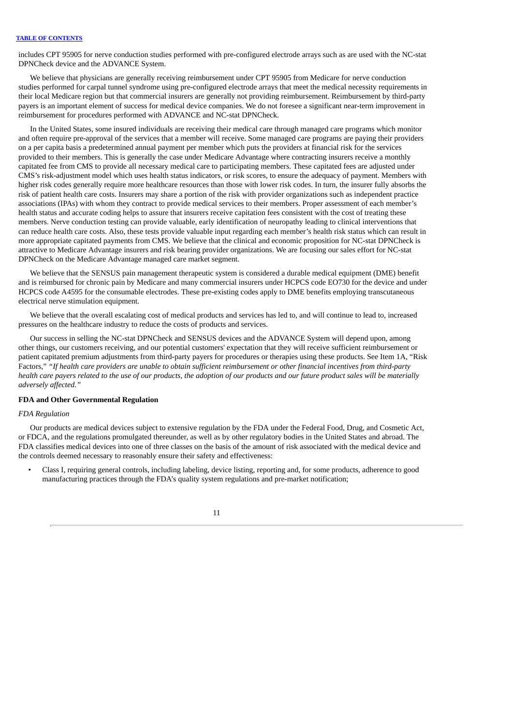includes CPT 95905 for nerve conduction studies performed with pre-configured electrode arrays such as are used with the NC-stat DPNCheck device and the ADVANCE System.

We believe that physicians are generally receiving reimbursement under CPT 95905 from Medicare for nerve conduction studies performed for carpal tunnel syndrome using pre-configured electrode arrays that meet the medical necessity requirements in their local Medicare region but that commercial insurers are generally not providing reimbursement. Reimbursement by third-party payers is an important element of success for medical device companies. We do not foresee a significant near-term improvement in reimbursement for procedures performed with ADVANCE and NC-stat DPNCheck.

In the United States, some insured individuals are receiving their medical care through managed care programs which monitor and often require pre-approval of the services that a member will receive. Some managed care programs are paying their providers on a per capita basis a predetermined annual payment per member which puts the providers at financial risk for the services provided to their members. This is generally the case under Medicare Advantage where contracting insurers receive a monthly capitated fee from CMS to provide all necessary medical care to participating members. These capitated fees are adjusted under CMS's risk-adjustment model which uses health status indicators, or risk scores, to ensure the adequacy of payment. Members with higher risk codes generally require more healthcare resources than those with lower risk codes. In turn, the insurer fully absorbs the risk of patient health care costs. Insurers may share a portion of the risk with provider organizations such as independent practice associations (IPAs) with whom they contract to provide medical services to their members. Proper assessment of each member's health status and accurate coding helps to assure that insurers receive capitation fees consistent with the cost of treating these members. Nerve conduction testing can provide valuable, early identification of neuropathy leading to clinical interventions that can reduce health care costs. Also, these tests provide valuable input regarding each member's health risk status which can result in more appropriate capitated payments from CMS. We believe that the clinical and economic proposition for NC-stat DPNCheck is attractive to Medicare Advantage insurers and risk bearing provider organizations. We are focusing our sales effort for NC-stat DPNCheck on the Medicare Advantage managed care market segment.

We believe that the SENSUS pain management therapeutic system is considered a durable medical equipment (DME) benefit and is reimbursed for chronic pain by Medicare and many commercial insurers under HCPCS code EO730 for the device and under HCPCS code A4595 for the consumable electrodes. These pre-existing codes apply to DME benefits employing transcutaneous electrical nerve stimulation equipment.

We believe that the overall escalating cost of medical products and services has led to, and will continue to lead to, increased pressures on the healthcare industry to reduce the costs of products and services.

Our success in selling the NC-stat DPNCheck and SENSUS devices and the ADVANCE System will depend upon, among other things, our customers receiving, and our potential customers' expectation that they will receive sufficient reimbursement or patient capitated premium adjustments from third-party payers for procedures or therapies using these products. See Item 1A, "Risk Factors," "If health care providers are unable to obtain sufficient reimbursement or other financial incentives from third-party health care payers related to the use of our products, the adoption of our products and our future product sales will be materially *adversely affected."*

# **FDA and Other Governmental Regulation**

# *FDA Regulation*

Our products are medical devices subject to extensive regulation by the FDA under the Federal Food, Drug, and Cosmetic Act, or FDCA, and the regulations promulgated thereunder, as well as by other regulatory bodies in the United States and abroad. The FDA classifies medical devices into one of three classes on the basis of the amount of risk associated with the medical device and the controls deemed necessary to reasonably ensure their safety and effectiveness:

• Class I, requiring general controls, including labeling, device listing, reporting and, for some products, adherence to good manufacturing practices through the FDA's quality system regulations and pre-market notification;

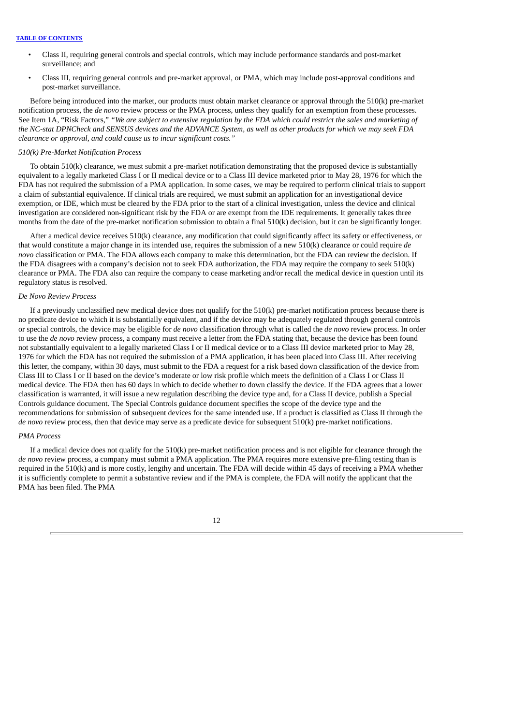- Class II, requiring general controls and special controls, which may include performance standards and post-market surveillance; and
- Class III, requiring general controls and pre-market approval, or PMA, which may include post-approval conditions and post-market surveillance.

Before being introduced into the market, our products must obtain market clearance or approval through the 510(k) pre-market notification process, the *de novo* review process or the PMA process, unless they qualify for an exemption from these processes. See Item 1A, "Risk Factors," "We are subject to extensive regulation by the FDA which could restrict the sales and marketing of the NC-stat DPNCheck and SENSUS devices and the ADVANCE System, as well as other products for which we may seek FDA *clearance or approval, and could cause us to incur significant costs."*

### *510(k) Pre-Market Notification Process*

To obtain 510(k) clearance, we must submit a pre-market notification demonstrating that the proposed device is substantially equivalent to a legally marketed Class I or II medical device or to a Class III device marketed prior to May 28, 1976 for which the FDA has not required the submission of a PMA application. In some cases, we may be required to perform clinical trials to support a claim of substantial equivalence. If clinical trials are required, we must submit an application for an investigational device exemption, or IDE, which must be cleared by the FDA prior to the start of a clinical investigation, unless the device and clinical investigation are considered non-significant risk by the FDA or are exempt from the IDE requirements. It generally takes three months from the date of the pre-market notification submission to obtain a final 510(k) decision, but it can be significantly longer.

After a medical device receives 510(k) clearance, any modification that could significantly affect its safety or effectiveness, or that would constitute a major change in its intended use, requires the submission of a new 510(k) clearance or could require *de novo* classification or PMA. The FDA allows each company to make this determination, but the FDA can review the decision. If the FDA disagrees with a company's decision not to seek FDA authorization, the FDA may require the company to seek 510(k) clearance or PMA. The FDA also can require the company to cease marketing and/or recall the medical device in question until its regulatory status is resolved.

# *De Novo Review Process*

If a previously unclassified new medical device does not qualify for the 510(k) pre-market notification process because there is no predicate device to which it is substantially equivalent, and if the device may be adequately regulated through general controls or special controls, the device may be eligible for *de novo* classification through what is called the *de novo* review process. In order to use the *de novo* review process, a company must receive a letter from the FDA stating that, because the device has been found not substantially equivalent to a legally marketed Class I or II medical device or to a Class III device marketed prior to May 28, 1976 for which the FDA has not required the submission of a PMA application, it has been placed into Class III. After receiving this letter, the company, within 30 days, must submit to the FDA a request for a risk based down classification of the device from Class III to Class I or II based on the device's moderate or low risk profile which meets the definition of a Class I or Class II medical device. The FDA then has 60 days in which to decide whether to down classify the device. If the FDA agrees that a lower classification is warranted, it will issue a new regulation describing the device type and, for a Class II device, publish a Special Controls guidance document. The Special Controls guidance document specifies the scope of the device type and the recommendations for submission of subsequent devices for the same intended use. If a product is classified as Class II through the *de novo* review process, then that device may serve as a predicate device for subsequent 510(k) pre-market notifications.

# *PMA Process*

If a medical device does not qualify for the 510(k) pre-market notification process and is not eligible for clearance through the *de novo* review process, a company must submit a PMA application. The PMA requires more extensive pre-filing testing than is required in the 510(k) and is more costly, lengthy and uncertain. The FDA will decide within 45 days of receiving a PMA whether it is sufficiently complete to permit a substantive review and if the PMA is complete, the FDA will notify the applicant that the PMA has been filed. The PMA

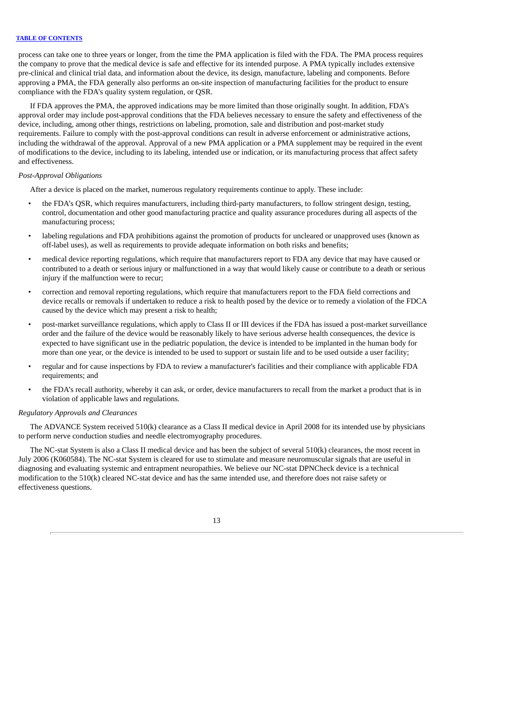process can take one to three years or longer, from the time the PMA application is filed with the FDA. The PMA process requires the company to prove that the medical device is safe and effective for its intended purpose. A PMA typically includes extensive pre-clinical and clinical trial data, and information about the device, its design, manufacture, labeling and components. Before approving a PMA, the FDA generally also performs an on-site inspection of manufacturing facilities for the product to ensure compliance with the FDA's quality system regulation, or QSR.

If FDA approves the PMA, the approved indications may be more limited than those originally sought. In addition, FDA's approval order may include post-approval conditions that the FDA believes necessary to ensure the safety and effectiveness of the device, including, among other things, restrictions on labeling, promotion, sale and distribution and post-market study requirements. Failure to comply with the post-approval conditions can result in adverse enforcement or administrative actions, including the withdrawal of the approval. Approval of a new PMA application or a PMA supplement may be required in the event of modifications to the device, including to its labeling, intended use or indication, or its manufacturing process that affect safety and effectiveness.

# *Post-Approval Obligations*

After a device is placed on the market, numerous regulatory requirements continue to apply. These include:

- the FDA's QSR, which requires manufacturers, including third-party manufacturers, to follow stringent design, testing, control, documentation and other good manufacturing practice and quality assurance procedures during all aspects of the manufacturing process;
- labeling regulations and FDA prohibitions against the promotion of products for uncleared or unapproved uses (known as off-label uses), as well as requirements to provide adequate information on both risks and benefits;
- medical device reporting regulations, which require that manufacturers report to FDA any device that may have caused or contributed to a death or serious injury or malfunctioned in a way that would likely cause or contribute to a death or serious injury if the malfunction were to recur;
- correction and removal reporting regulations, which require that manufacturers report to the FDA field corrections and device recalls or removals if undertaken to reduce a risk to health posed by the device or to remedy a violation of the FDCA caused by the device which may present a risk to health;
- post-market surveillance regulations, which apply to Class II or III devices if the FDA has issued a post-market surveillance order and the failure of the device would be reasonably likely to have serious adverse health consequences, the device is expected to have significant use in the pediatric population, the device is intended to be implanted in the human body for more than one year, or the device is intended to be used to support or sustain life and to be used outside a user facility;
- regular and for cause inspections by FDA to review a manufacturer's facilities and their compliance with applicable FDA requirements; and
- the FDA's recall authority, whereby it can ask, or order, device manufacturers to recall from the market a product that is in violation of applicable laws and regulations.

#### *Regulatory Approvals and Clearances*

The ADVANCE System received 510(k) clearance as a Class II medical device in April 2008 for its intended use by physicians to perform nerve conduction studies and needle electromyography procedures.

The NC-stat System is also a Class II medical device and has been the subject of several 510(k) clearances, the most recent in July 2006 (K060584). The NC-stat System is cleared for use to stimulate and measure neuromuscular signals that are useful in diagnosing and evaluating systemic and entrapment neuropathies. We believe our NC-stat DPNCheck device is a technical modification to the 510(k) cleared NC-stat device and has the same intended use, and therefore does not raise safety or effectiveness questions.

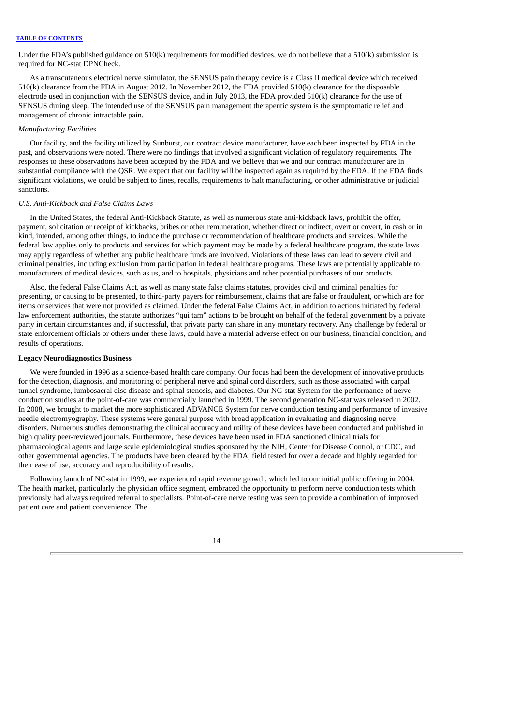Under the FDA's published guidance on  $510(k)$  requirements for modified devices, we do not believe that a  $510(k)$  submission is required for NC-stat DPNCheck.

As a transcutaneous electrical nerve stimulator, the SENSUS pain therapy device is a Class II medical device which received 510(k) clearance from the FDA in August 2012. In November 2012, the FDA provided 510(k) clearance for the disposable electrode used in conjunction with the SENSUS device, and in July 2013, the FDA provided 510(k) clearance for the use of SENSUS during sleep. The intended use of the SENSUS pain management therapeutic system is the symptomatic relief and management of chronic intractable pain.

# *Manufacturing Facilities*

Our facility, and the facility utilized by Sunburst, our contract device manufacturer, have each been inspected by FDA in the past, and observations were noted. There were no findings that involved a significant violation of regulatory requirements. The responses to these observations have been accepted by the FDA and we believe that we and our contract manufacturer are in substantial compliance with the QSR. We expect that our facility will be inspected again as required by the FDA. If the FDA finds significant violations, we could be subject to fines, recalls, requirements to halt manufacturing, or other administrative or judicial sanctions.

# *U.S. Anti-Kickback and False Claims Laws*

In the United States, the federal Anti-Kickback Statute, as well as numerous state anti-kickback laws, prohibit the offer, payment, solicitation or receipt of kickbacks, bribes or other remuneration, whether direct or indirect, overt or covert, in cash or in kind, intended, among other things, to induce the purchase or recommendation of healthcare products and services. While the federal law applies only to products and services for which payment may be made by a federal healthcare program, the state laws may apply regardless of whether any public healthcare funds are involved. Violations of these laws can lead to severe civil and criminal penalties, including exclusion from participation in federal healthcare programs. These laws are potentially applicable to manufacturers of medical devices, such as us, and to hospitals, physicians and other potential purchasers of our products.

Also, the federal False Claims Act, as well as many state false claims statutes, provides civil and criminal penalties for presenting, or causing to be presented, to third-party payers for reimbursement, claims that are false or fraudulent, or which are for items or services that were not provided as claimed. Under the federal False Claims Act, in addition to actions initiated by federal law enforcement authorities, the statute authorizes "qui tam" actions to be brought on behalf of the federal government by a private party in certain circumstances and, if successful, that private party can share in any monetary recovery. Any challenge by federal or state enforcement officials or others under these laws, could have a material adverse effect on our business, financial condition, and results of operations.

### **Legacy Neurodiagnostics Business**

We were founded in 1996 as a science-based health care company. Our focus had been the development of innovative products for the detection, diagnosis, and monitoring of peripheral nerve and spinal cord disorders, such as those associated with carpal tunnel syndrome, lumbosacral disc disease and spinal stenosis, and diabetes. Our NC-stat System for the performance of nerve conduction studies at the point-of-care was commercially launched in 1999. The second generation NC-stat was released in 2002. In 2008, we brought to market the more sophisticated ADVANCE System for nerve conduction testing and performance of invasive needle electromyography. These systems were general purpose with broad application in evaluating and diagnosing nerve disorders. Numerous studies demonstrating the clinical accuracy and utility of these devices have been conducted and published in high quality peer-reviewed journals. Furthermore, these devices have been used in FDA sanctioned clinical trials for pharmacological agents and large scale epidemiological studies sponsored by the NIH, Center for Disease Control, or CDC, and other governmental agencies. The products have been cleared by the FDA, field tested for over a decade and highly regarded for their ease of use, accuracy and reproducibility of results.

Following launch of NC-stat in 1999, we experienced rapid revenue growth, which led to our initial public offering in 2004. The health market, particularly the physician office segment, embraced the opportunity to perform nerve conduction tests which previously had always required referral to specialists. Point-of-care nerve testing was seen to provide a combination of improved patient care and patient convenience. The

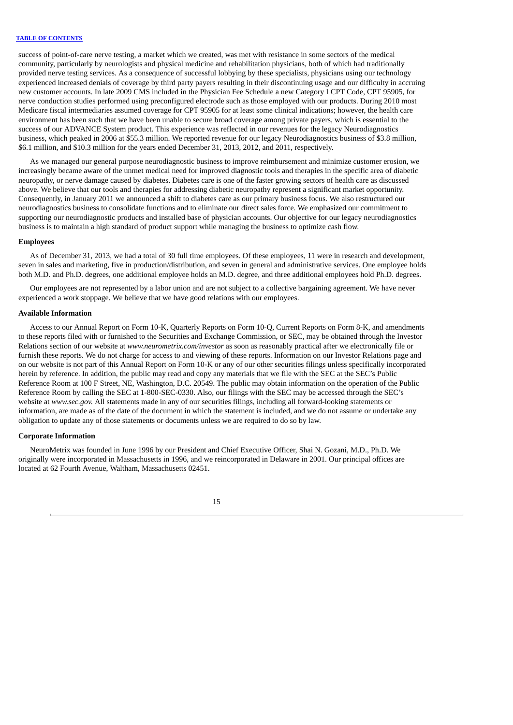success of point-of-care nerve testing, a market which we created, was met with resistance in some sectors of the medical community, particularly by neurologists and physical medicine and rehabilitation physicians, both of which had traditionally provided nerve testing services. As a consequence of successful lobbying by these specialists, physicians using our technology experienced increased denials of coverage by third party payers resulting in their discontinuing usage and our difficulty in accruing new customer accounts. In late 2009 CMS included in the Physician Fee Schedule a new Category I CPT Code, CPT 95905, for nerve conduction studies performed using preconfigured electrode such as those employed with our products. During 2010 most Medicare fiscal intermediaries assumed coverage for CPT 95905 for at least some clinical indications; however, the health care environment has been such that we have been unable to secure broad coverage among private payers, which is essential to the success of our ADVANCE System product. This experience was reflected in our revenues for the legacy Neurodiagnostics business, which peaked in 2006 at \$55.3 million. We reported revenue for our legacy Neurodiagnostics business of \$3.8 million, \$6.1 million, and \$10.3 million for the years ended December 31, 2013, 2012, and 2011, respectively.

As we managed our general purpose neurodiagnostic business to improve reimbursement and minimize customer erosion, we increasingly became aware of the unmet medical need for improved diagnostic tools and therapies in the specific area of diabetic neuropathy, or nerve damage caused by diabetes. Diabetes care is one of the faster growing sectors of health care as discussed above. We believe that our tools and therapies for addressing diabetic neuropathy represent a significant market opportunity. Consequently, in January 2011 we announced a shift to diabetes care as our primary business focus. We also restructured our neurodiagnostics business to consolidate functions and to eliminate our direct sales force. We emphasized our commitment to supporting our neurodiagnostic products and installed base of physician accounts. Our objective for our legacy neurodiagnostics business is to maintain a high standard of product support while managing the business to optimize cash flow.

### **Employees**

As of December 31, 2013, we had a total of 30 full time employees. Of these employees, 11 were in research and development, seven in sales and marketing, five in production/distribution, and seven in general and administrative services. One employee holds both M.D. and Ph.D. degrees, one additional employee holds an M.D. degree, and three additional employees hold Ph.D. degrees.

Our employees are not represented by a labor union and are not subject to a collective bargaining agreement. We have never experienced a work stoppage. We believe that we have good relations with our employees.

#### **Available Information**

Access to our Annual Report on Form 10-K, Quarterly Reports on Form 10-Q, Current Reports on Form 8-K, and amendments to these reports filed with or furnished to the Securities and Exchange Commission, or SEC, may be obtained through the Investor Relations section of our website at *www.neurometrix.com/investor* as soon as reasonably practical after we electronically file or furnish these reports. We do not charge for access to and viewing of these reports. Information on our Investor Relations page and on our website is not part of this Annual Report on Form 10-K or any of our other securities filings unless specifically incorporated herein by reference. In addition, the public may read and copy any materials that we file with the SEC at the SEC's Public Reference Room at 100 F Street, NE, Washington, D.C. 20549. The public may obtain information on the operation of the Public Reference Room by calling the SEC at 1-800-SEC-0330. Also, our filings with the SEC may be accessed through the SEC's website at *www.sec.gov.* All statements made in any of our securities filings, including all forward-looking statements or information, are made as of the date of the document in which the statement is included, and we do not assume or undertake any obligation to update any of those statements or documents unless we are required to do so by law.

#### **Corporate Information**

NeuroMetrix was founded in June 1996 by our President and Chief Executive Officer, Shai N. Gozani, M.D., Ph.D. We originally were incorporated in Massachusetts in 1996, and we reincorporated in Delaware in 2001. Our principal offices are located at 62 Fourth Avenue, Waltham, Massachusetts 02451.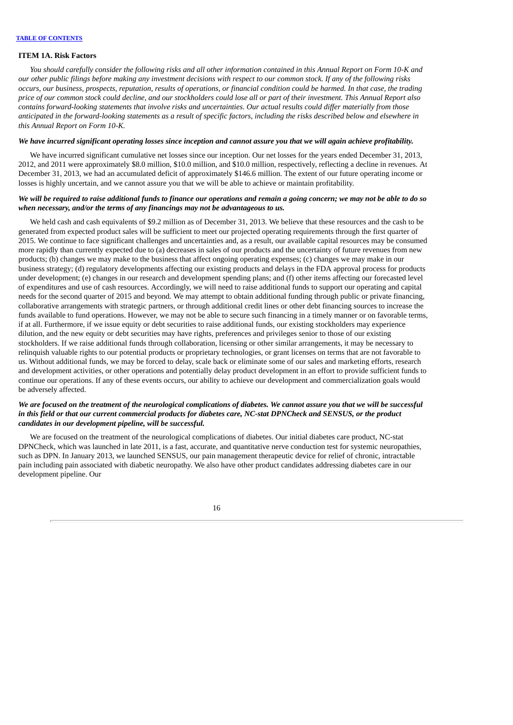#### <span id="page-18-0"></span>**ITEM 1A. Risk Factors**

You should carefully consider the following risks and all other information contained in this Annual Report on Form 10-K and our other public filings before making any investment decisions with respect to our common stock. If any of the following risks occurs, our business, prospects, reputation, results of operations, or financial condition could be harmed. In that case, the trading price of our common stock could decline, and our stockholders could lose all or part of their investment. This Annual Report also contains forward-looking statements that involve risks and uncertainties. Our actual results could differ materially from those anticipated in the forward-looking statements as a result of specific factors, including the risks described below and elsewhere in *this Annual Report on Form 10-K.*

# We have incurred significant operating losses since inception and cannot assure you that we will again achieve profitability.

We have incurred significant cumulative net losses since our inception. Our net losses for the years ended December 31, 2013, 2012, and 2011 were approximately \$8.0 million, \$10.0 million, and \$10.0 million, respectively, reflecting a decline in revenues. At December 31, 2013, we had an accumulated deficit of approximately \$146.6 million. The extent of our future operating income or losses is highly uncertain, and we cannot assure you that we will be able to achieve or maintain profitability.

# We will be required to raise additional funds to finance our operations and remain a going concern; we may not be able to do so *when necessary, and/or the terms of any financings may not be advantageous to us.*

We held cash and cash equivalents of \$9.2 million as of December 31, 2013. We believe that these resources and the cash to be generated from expected product sales will be sufficient to meet our projected operating requirements through the first quarter of 2015. We continue to face significant challenges and uncertainties and, as a result, our available capital resources may be consumed more rapidly than currently expected due to (a) decreases in sales of our products and the uncertainty of future revenues from new products; (b) changes we may make to the business that affect ongoing operating expenses; (c) changes we may make in our business strategy; (d) regulatory developments affecting our existing products and delays in the FDA approval process for products under development; (e) changes in our research and development spending plans; and (f) other items affecting our forecasted level of expenditures and use of cash resources. Accordingly, we will need to raise additional funds to support our operating and capital needs for the second quarter of 2015 and beyond. We may attempt to obtain additional funding through public or private financing, collaborative arrangements with strategic partners, or through additional credit lines or other debt financing sources to increase the funds available to fund operations. However, we may not be able to secure such financing in a timely manner or on favorable terms, if at all. Furthermore, if we issue equity or debt securities to raise additional funds, our existing stockholders may experience dilution, and the new equity or debt securities may have rights, preferences and privileges senior to those of our existing stockholders. If we raise additional funds through collaboration, licensing or other similar arrangements, it may be necessary to relinquish valuable rights to our potential products or proprietary technologies, or grant licenses on terms that are not favorable to us. Without additional funds, we may be forced to delay, scale back or eliminate some of our sales and marketing efforts, research and development activities, or other operations and potentially delay product development in an effort to provide sufficient funds to continue our operations. If any of these events occurs, our ability to achieve our development and commercialization goals would be adversely affected.

# We are focused on the treatment of the neurological complications of diabetes. We cannot assure you that we will be successful in this field or that our current commercial products for diabetes care, NC-stat DPNCheck and SENSUS, or the product *candidates in our development pipeline, will be successful.*

We are focused on the treatment of the neurological complications of diabetes. Our initial diabetes care product, NC-stat DPNCheck, which was launched in late 2011, is a fast, accurate, and quantitative nerve conduction test for systemic neuropathies, such as DPN. In January 2013, we launched SENSUS, our pain management therapeutic device for relief of chronic, intractable pain including pain associated with diabetic neuropathy. We also have other product candidates addressing diabetes care in our development pipeline. Our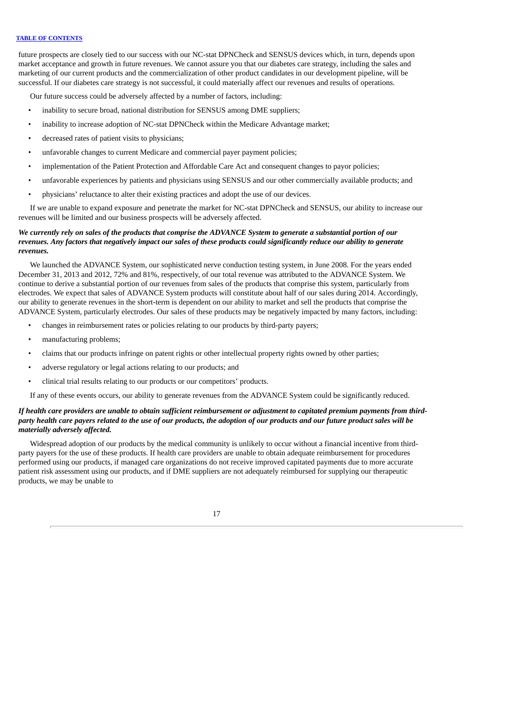future prospects are closely tied to our success with our NC-stat DPNCheck and SENSUS devices which, in turn, depends upon market acceptance and growth in future revenues. We cannot assure you that our diabetes care strategy, including the sales and marketing of our current products and the commercialization of other product candidates in our development pipeline, will be successful. If our diabetes care strategy is not successful, it could materially affect our revenues and results of operations.

Our future success could be adversely affected by a number of factors, including:

- inability to secure broad, national distribution for SENSUS among DME suppliers;
- inability to increase adoption of NC-stat DPNCheck within the Medicare Advantage market;
- decreased rates of patient visits to physicians;
- unfavorable changes to current Medicare and commercial payer payment policies;
- implementation of the Patient Protection and Affordable Care Act and consequent changes to payor policies;
- unfavorable experiences by patients and physicians using SENSUS and our other commercially available products; and
- physicians' reluctance to alter their existing practices and adopt the use of our devices.

If we are unable to expand exposure and penetrate the market for NC-stat DPNCheck and SENSUS, our ability to increase our revenues will be limited and our business prospects will be adversely affected.

# We currently rely on sales of the products that comprise the ADVANCE System to generate a substantial portion of our revenues. Any factors that negatively impact our sales of these products could significantly reduce our ability to generate *revenues.*

We launched the ADVANCE System, our sophisticated nerve conduction testing system, in June 2008. For the years ended December 31, 2013 and 2012, 72% and 81%, respectively, of our total revenue was attributed to the ADVANCE System. We continue to derive a substantial portion of our revenues from sales of the products that comprise this system, particularly from electrodes. We expect that sales of ADVANCE System products will constitute about half of our sales during 2014. Accordingly, our ability to generate revenues in the short-term is dependent on our ability to market and sell the products that comprise the ADVANCE System, particularly electrodes. Our sales of these products may be negatively impacted by many factors, including:

- changes in reimbursement rates or policies relating to our products by third-party payers;
- manufacturing problems;
- claims that our products infringe on patent rights or other intellectual property rights owned by other parties;
- adverse regulatory or legal actions relating to our products; and
- clinical trial results relating to our products or our competitors' products.

If any of these events occurs, our ability to generate revenues from the ADVANCE System could be significantly reduced.

# If health care providers are unable to obtain sufficient reimbursement or adjustment to capitated premium payments from thirdparty health care payers related to the use of our products, the adoption of our products and our future product sales will be *materially adversely affected.*

Widespread adoption of our products by the medical community is unlikely to occur without a financial incentive from thirdparty payers for the use of these products. If health care providers are unable to obtain adequate reimbursement for procedures performed using our products, if managed care organizations do not receive improved capitated payments due to more accurate patient risk assessment using our products, and if DME suppliers are not adequately reimbursed for supplying our therapeutic products, we may be unable to

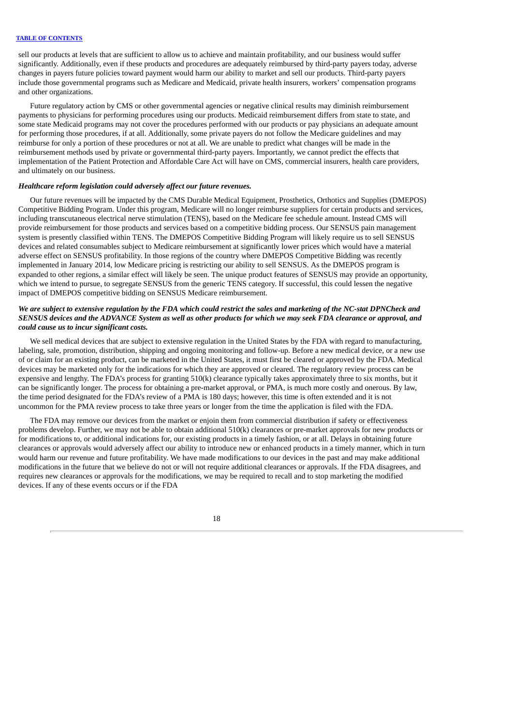sell our products at levels that are sufficient to allow us to achieve and maintain profitability, and our business would suffer significantly. Additionally, even if these products and procedures are adequately reimbursed by third-party payers today, adverse changes in payers future policies toward payment would harm our ability to market and sell our products. Third-party payers include those governmental programs such as Medicare and Medicaid, private health insurers, workers' compensation programs and other organizations.

Future regulatory action by CMS or other governmental agencies or negative clinical results may diminish reimbursement payments to physicians for performing procedures using our products. Medicaid reimbursement differs from state to state, and some state Medicaid programs may not cover the procedures performed with our products or pay physicians an adequate amount for performing those procedures, if at all. Additionally, some private payers do not follow the Medicare guidelines and may reimburse for only a portion of these procedures or not at all. We are unable to predict what changes will be made in the reimbursement methods used by private or governmental third-party payers. Importantly, we cannot predict the effects that implementation of the Patient Protection and Affordable Care Act will have on CMS, commercial insurers, health care providers, and ultimately on our business.

# *Healthcare reform legislation could adversely affect our future revenues.*

Our future revenues will be impacted by the CMS Durable Medical Equipment, Prosthetics, Orthotics and Supplies (DMEPOS) Competitive Bidding Program. Under this program, Medicare will no longer reimburse suppliers for certain products and services, including transcutaneous electrical nerve stimulation (TENS), based on the Medicare fee schedule amount. Instead CMS will provide reimbursement for those products and services based on a competitive bidding process. Our SENSUS pain management system is presently classified within TENS. The DMEPOS Competitive Bidding Program will likely require us to sell SENSUS devices and related consumables subject to Medicare reimbursement at significantly lower prices which would have a material adverse effect on SENSUS profitability. In those regions of the country where DMEPOS Competitive Bidding was recently implemented in January 2014, low Medicare pricing is restricting our ability to sell SENSUS. As the DMEPOS program is expanded to other regions, a similar effect will likely be seen. The unique product features of SENSUS may provide an opportunity, which we intend to pursue, to segregate SENSUS from the generic TENS category. If successful, this could lessen the negative impact of DMEPOS competitive bidding on SENSUS Medicare reimbursement.

# We are subject to extensive regulation by the FDA which could restrict the sales and marketing of the NC-stat DPNCheck and SENSUS devices and the ADVANCE System as well as other products for which we may seek FDA clearance or approval, and *could cause us to incur significant costs.*

We sell medical devices that are subject to extensive regulation in the United States by the FDA with regard to manufacturing, labeling, sale, promotion, distribution, shipping and ongoing monitoring and follow-up. Before a new medical device, or a new use of or claim for an existing product, can be marketed in the United States, it must first be cleared or approved by the FDA. Medical devices may be marketed only for the indications for which they are approved or cleared. The regulatory review process can be expensive and lengthy. The FDA's process for granting 510(k) clearance typically takes approximately three to six months, but it can be significantly longer. The process for obtaining a pre-market approval, or PMA, is much more costly and onerous. By law, the time period designated for the FDA's review of a PMA is 180 days; however, this time is often extended and it is not uncommon for the PMA review process to take three years or longer from the time the application is filed with the FDA.

The FDA may remove our devices from the market or enjoin them from commercial distribution if safety or effectiveness problems develop. Further, we may not be able to obtain additional 510(k) clearances or pre-market approvals for new products or for modifications to, or additional indications for, our existing products in a timely fashion, or at all. Delays in obtaining future clearances or approvals would adversely affect our ability to introduce new or enhanced products in a timely manner, which in turn would harm our revenue and future profitability. We have made modifications to our devices in the past and may make additional modifications in the future that we believe do not or will not require additional clearances or approvals. If the FDA disagrees, and requires new clearances or approvals for the modifications, we may be required to recall and to stop marketing the modified devices. If any of these events occurs or if the FDA

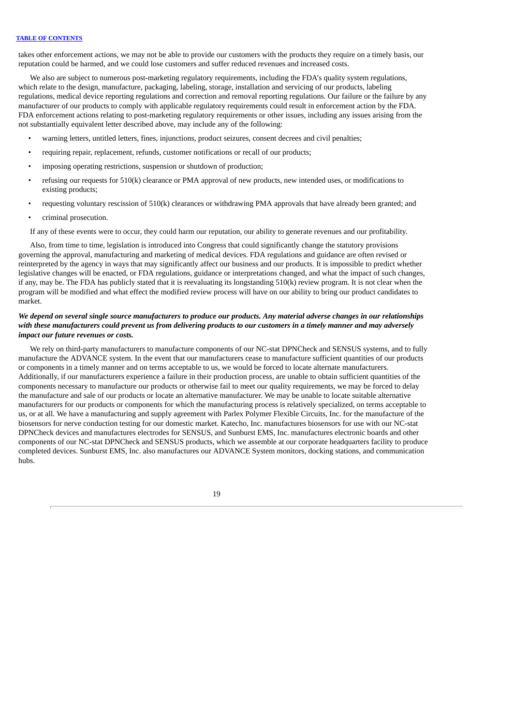takes other enforcement actions, we may not be able to provide our customers with the products they require on a timely basis, our reputation could be harmed, and we could lose customers and suffer reduced revenues and increased costs.

We also are subject to numerous post-marketing regulatory requirements, including the FDA's quality system regulations, which relate to the design, manufacture, packaging, labeling, storage, installation and servicing of our products, labeling regulations, medical device reporting regulations and correction and removal reporting regulations. Our failure or the failure by any manufacturer of our products to comply with applicable regulatory requirements could result in enforcement action by the FDA. FDA enforcement actions relating to post-marketing regulatory requirements or other issues, including any issues arising from the not substantially equivalent letter described above, may include any of the following:

- warning letters, untitled letters, fines, injunctions, product seizures, consent decrees and civil penalties;
- requiring repair, replacement, refunds, customer notifications or recall of our products;
- imposing operating restrictions, suspension or shutdown of production;
- refusing our requests for 510(k) clearance or PMA approval of new products, new intended uses, or modifications to existing products;
- requesting voluntary rescission of 510(k) clearances or withdrawing PMA approvals that have already been granted; and
- criminal prosecution.

If any of these events were to occur, they could harm our reputation, our ability to generate revenues and our profitability.

Also, from time to time, legislation is introduced into Congress that could significantly change the statutory provisions governing the approval, manufacturing and marketing of medical devices. FDA regulations and guidance are often revised or reinterpreted by the agency in ways that may significantly affect our business and our products. It is impossible to predict whether legislative changes will be enacted, or FDA regulations, guidance or interpretations changed, and what the impact of such changes, if any, may be. The FDA has publicly stated that it is reevaluating its longstanding 510(k) review program. It is not clear when the program will be modified and what effect the modified review process will have on our ability to bring our product candidates to market.

# We depend on several single source manufacturers to produce our products. Any material adverse changes in our relationships with these manufacturers could prevent us from delivering products to our customers in a timely manner and may adversely *impact our future revenues or costs.*

We rely on third-party manufacturers to manufacture components of our NC-stat DPNCheck and SENSUS systems, and to fully manufacture the ADVANCE system. In the event that our manufacturers cease to manufacture sufficient quantities of our products or components in a timely manner and on terms acceptable to us, we would be forced to locate alternate manufacturers. Additionally, if our manufacturers experience a failure in their production process, are unable to obtain sufficient quantities of the components necessary to manufacture our products or otherwise fail to meet our quality requirements, we may be forced to delay the manufacture and sale of our products or locate an alternative manufacturer. We may be unable to locate suitable alternative manufacturers for our products or components for which the manufacturing process is relatively specialized, on terms acceptable to us, or at all. We have a manufacturing and supply agreement with Parlex Polymer Flexible Circuits, Inc. for the manufacture of the biosensors for nerve conduction testing for our domestic market. Katecho, Inc. manufactures biosensors for use with our NC-stat DPNCheck devices and manufactures electrodes for SENSUS, and Sunburst EMS, Inc. manufactures electronic boards and other components of our NC-stat DPNCheck and SENSUS products, which we assemble at our corporate headquarters facility to produce completed devices. Sunburst EMS, Inc. also manufactures our ADVANCE System monitors, docking stations, and communication hubs.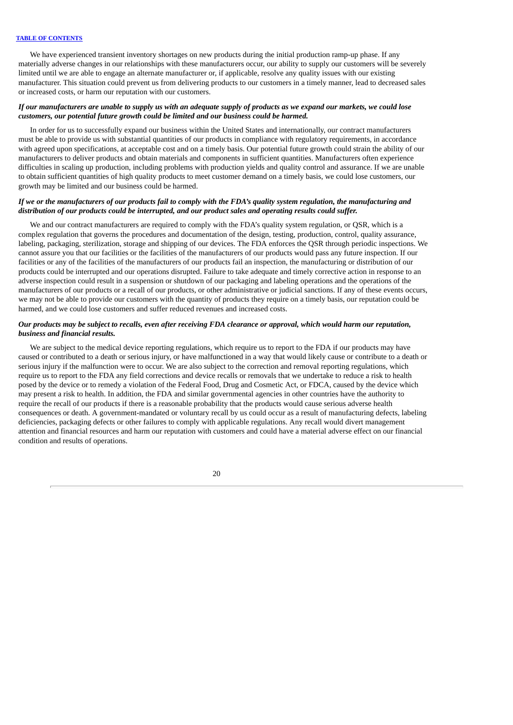We have experienced transient inventory shortages on new products during the initial production ramp-up phase. If any materially adverse changes in our relationships with these manufacturers occur, our ability to supply our customers will be severely limited until we are able to engage an alternate manufacturer or, if applicable, resolve any quality issues with our existing manufacturer. This situation could prevent us from delivering products to our customers in a timely manner, lead to decreased sales or increased costs, or harm our reputation with our customers.

# If our manufacturers are unable to supply us with an adequate supply of products as we expand our markets, we could lose *customers, our potential future growth could be limited and our business could be harmed.*

In order for us to successfully expand our business within the United States and internationally, our contract manufacturers must be able to provide us with substantial quantities of our products in compliance with regulatory requirements, in accordance with agreed upon specifications, at acceptable cost and on a timely basis. Our potential future growth could strain the ability of our manufacturers to deliver products and obtain materials and components in sufficient quantities. Manufacturers often experience difficulties in scaling up production, including problems with production yields and quality control and assurance. If we are unable to obtain sufficient quantities of high quality products to meet customer demand on a timely basis, we could lose customers, our growth may be limited and our business could be harmed.

# If we or the manufacturers of our products fail to comply with the FDA's quality system regulation, the manufacturing and *distribution of our products could be interrupted, and our product sales and operating results could suffer.*

We and our contract manufacturers are required to comply with the FDA's quality system regulation, or QSR, which is a complex regulation that governs the procedures and documentation of the design, testing, production, control, quality assurance, labeling, packaging, sterilization, storage and shipping of our devices. The FDA enforces the QSR through periodic inspections. We cannot assure you that our facilities or the facilities of the manufacturers of our products would pass any future inspection. If our facilities or any of the facilities of the manufacturers of our products fail an inspection, the manufacturing or distribution of our products could be interrupted and our operations disrupted. Failure to take adequate and timely corrective action in response to an adverse inspection could result in a suspension or shutdown of our packaging and labeling operations and the operations of the manufacturers of our products or a recall of our products, or other administrative or judicial sanctions. If any of these events occurs, we may not be able to provide our customers with the quantity of products they require on a timely basis, our reputation could be harmed, and we could lose customers and suffer reduced revenues and increased costs.

# Our products may be subject to recalls, even after receiving FDA clearance or approval, which would harm our reputation, *business and financial results.*

We are subject to the medical device reporting regulations, which require us to report to the FDA if our products may have caused or contributed to a death or serious injury, or have malfunctioned in a way that would likely cause or contribute to a death or serious injury if the malfunction were to occur. We are also subject to the correction and removal reporting regulations, which require us to report to the FDA any field corrections and device recalls or removals that we undertake to reduce a risk to health posed by the device or to remedy a violation of the Federal Food, Drug and Cosmetic Act, or FDCA, caused by the device which may present a risk to health. In addition, the FDA and similar governmental agencies in other countries have the authority to require the recall of our products if there is a reasonable probability that the products would cause serious adverse health consequences or death. A government-mandated or voluntary recall by us could occur as a result of manufacturing defects, labeling deficiencies, packaging defects or other failures to comply with applicable regulations. Any recall would divert management attention and financial resources and harm our reputation with customers and could have a material adverse effect on our financial condition and results of operations.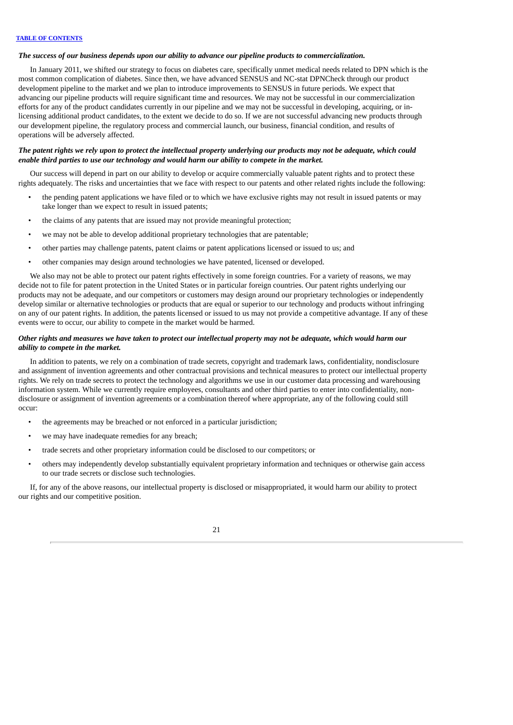# *The success of our business depends upon our ability to advance our pipeline products to commercialization.*

In January 2011, we shifted our strategy to focus on diabetes care, specifically unmet medical needs related to DPN which is the most common complication of diabetes. Since then, we have advanced SENSUS and NC-stat DPNCheck through our product development pipeline to the market and we plan to introduce improvements to SENSUS in future periods. We expect that advancing our pipeline products will require significant time and resources. We may not be successful in our commercialization efforts for any of the product candidates currently in our pipeline and we may not be successful in developing, acquiring, or inlicensing additional product candidates, to the extent we decide to do so. If we are not successful advancing new products through our development pipeline, the regulatory process and commercial launch, our business, financial condition, and results of operations will be adversely affected.

# The patent rights we rely upon to protect the intellectual property underlying our products may not be adequate, which could *enable third parties to use our technology and would harm our ability to compete in the market.*

Our success will depend in part on our ability to develop or acquire commercially valuable patent rights and to protect these rights adequately. The risks and uncertainties that we face with respect to our patents and other related rights include the following:

- the pending patent applications we have filed or to which we have exclusive rights may not result in issued patents or may take longer than we expect to result in issued patents;
- the claims of any patents that are issued may not provide meaningful protection;
- we may not be able to develop additional proprietary technologies that are patentable;
- other parties may challenge patents, patent claims or patent applications licensed or issued to us; and
- other companies may design around technologies we have patented, licensed or developed.

We also may not be able to protect our patent rights effectively in some foreign countries. For a variety of reasons, we may decide not to file for patent protection in the United States or in particular foreign countries. Our patent rights underlying our products may not be adequate, and our competitors or customers may design around our proprietary technologies or independently develop similar or alternative technologies or products that are equal or superior to our technology and products without infringing on any of our patent rights. In addition, the patents licensed or issued to us may not provide a competitive advantage. If any of these events were to occur, our ability to compete in the market would be harmed.

# Other rights and measures we have taken to protect our intellectual property may not be adequate, which would harm our *ability to compete in the market.*

In addition to patents, we rely on a combination of trade secrets, copyright and trademark laws, confidentiality, nondisclosure and assignment of invention agreements and other contractual provisions and technical measures to protect our intellectual property rights. We rely on trade secrets to protect the technology and algorithms we use in our customer data processing and warehousing information system. While we currently require employees, consultants and other third parties to enter into confidentiality, nondisclosure or assignment of invention agreements or a combination thereof where appropriate, any of the following could still occur:

- the agreements may be breached or not enforced in a particular jurisdiction;
- we may have inadequate remedies for any breach;
- trade secrets and other proprietary information could be disclosed to our competitors; or
- others may independently develop substantially equivalent proprietary information and techniques or otherwise gain access to our trade secrets or disclose such technologies.

If, for any of the above reasons, our intellectual property is disclosed or misappropriated, it would harm our ability to protect our rights and our competitive position.

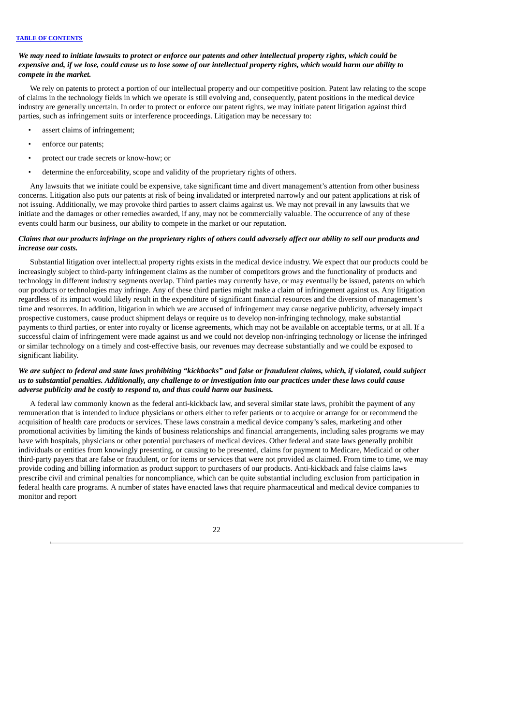# We may need to initiate lawsuits to protect or enforce our patents and other intellectual property rights, which could be expensive and, if we lose, could cause us to lose some of our intellectual property rights, which would harm our ability to *compete in the market.*

We rely on patents to protect a portion of our intellectual property and our competitive position. Patent law relating to the scope of claims in the technology fields in which we operate is still evolving and, consequently, patent positions in the medical device industry are generally uncertain. In order to protect or enforce our patent rights, we may initiate patent litigation against third parties, such as infringement suits or interference proceedings. Litigation may be necessary to:

- assert claims of infringement;
- enforce our patents;
- protect our trade secrets or know-how; or
- determine the enforceability, scope and validity of the proprietary rights of others.

Any lawsuits that we initiate could be expensive, take significant time and divert management's attention from other business concerns. Litigation also puts our patents at risk of being invalidated or interpreted narrowly and our patent applications at risk of not issuing. Additionally, we may provoke third parties to assert claims against us. We may not prevail in any lawsuits that we initiate and the damages or other remedies awarded, if any, may not be commercially valuable. The occurrence of any of these events could harm our business, our ability to compete in the market or our reputation.

# Claims that our products infringe on the proprietary rights of others could adversely affect our ability to sell our products and *increase our costs.*

Substantial litigation over intellectual property rights exists in the medical device industry. We expect that our products could be increasingly subject to third-party infringement claims as the number of competitors grows and the functionality of products and technology in different industry segments overlap. Third parties may currently have, or may eventually be issued, patents on which our products or technologies may infringe. Any of these third parties might make a claim of infringement against us. Any litigation regardless of its impact would likely result in the expenditure of significant financial resources and the diversion of management's time and resources. In addition, litigation in which we are accused of infringement may cause negative publicity, adversely impact prospective customers, cause product shipment delays or require us to develop non-infringing technology, make substantial payments to third parties, or enter into royalty or license agreements, which may not be available on acceptable terms, or at all. If a successful claim of infringement were made against us and we could not develop non-infringing technology or license the infringed or similar technology on a timely and cost-effective basis, our revenues may decrease substantially and we could be exposed to significant liability.

# We are subject to federal and state laws prohibiting "kickbacks" and false or fraudulent claims, which, if violated, could subject us to substantial penalties. Additionally, any challenge to or investigation into our practices under these laws could cause *adverse publicity and be costly to respond to, and thus could harm our business.*

A federal law commonly known as the federal anti-kickback law, and several similar state laws, prohibit the payment of any remuneration that is intended to induce physicians or others either to refer patients or to acquire or arrange for or recommend the acquisition of health care products or services. These laws constrain a medical device company's sales, marketing and other promotional activities by limiting the kinds of business relationships and financial arrangements, including sales programs we may have with hospitals, physicians or other potential purchasers of medical devices. Other federal and state laws generally prohibit individuals or entities from knowingly presenting, or causing to be presented, claims for payment to Medicare, Medicaid or other third-party payers that are false or fraudulent, or for items or services that were not provided as claimed. From time to time, we may provide coding and billing information as product support to purchasers of our products. Anti-kickback and false claims laws prescribe civil and criminal penalties for noncompliance, which can be quite substantial including exclusion from participation in federal health care programs. A number of states have enacted laws that require pharmaceutical and medical device companies to monitor and report

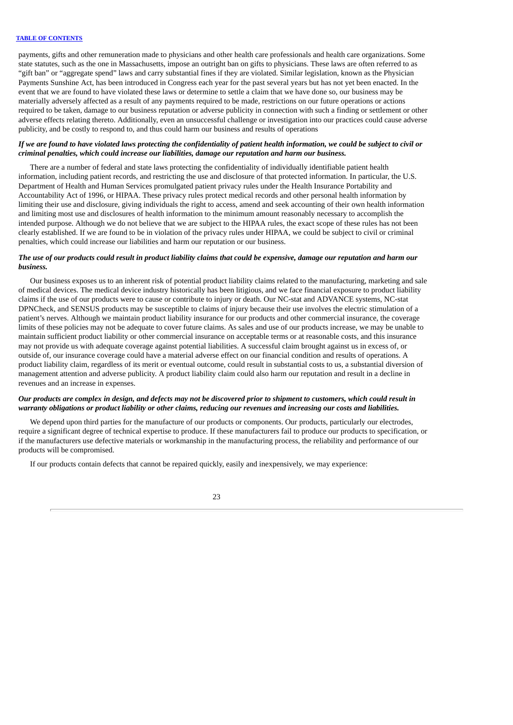payments, gifts and other remuneration made to physicians and other health care professionals and health care organizations. Some state statutes, such as the one in Massachusetts, impose an outright ban on gifts to physicians. These laws are often referred to as "gift ban" or "aggregate spend" laws and carry substantial fines if they are violated. Similar legislation, known as the Physician Payments Sunshine Act, has been introduced in Congress each year for the past several years but has not yet been enacted. In the event that we are found to have violated these laws or determine to settle a claim that we have done so, our business may be materially adversely affected as a result of any payments required to be made, restrictions on our future operations or actions required to be taken, damage to our business reputation or adverse publicity in connection with such a finding or settlement or other adverse effects relating thereto. Additionally, even an unsuccessful challenge or investigation into our practices could cause adverse publicity, and be costly to respond to, and thus could harm our business and results of operations

# If we are found to have violated laws protecting the confidentiality of patient health information, we could be subject to civil or *criminal penalties, which could increase our liabilities, damage our reputation and harm our business.*

There are a number of federal and state laws protecting the confidentiality of individually identifiable patient health information, including patient records, and restricting the use and disclosure of that protected information. In particular, the U.S. Department of Health and Human Services promulgated patient privacy rules under the Health Insurance Portability and Accountability Act of 1996, or HIPAA. These privacy rules protect medical records and other personal health information by limiting their use and disclosure, giving individuals the right to access, amend and seek accounting of their own health information and limiting most use and disclosures of health information to the minimum amount reasonably necessary to accomplish the intended purpose. Although we do not believe that we are subject to the HIPAA rules, the exact scope of these rules has not been clearly established. If we are found to be in violation of the privacy rules under HIPAA, we could be subject to civil or criminal penalties, which could increase our liabilities and harm our reputation or our business.

# The use of our products could result in product liability claims that could be expensive, damage our reputation and harm our *business.*

Our business exposes us to an inherent risk of potential product liability claims related to the manufacturing, marketing and sale of medical devices. The medical device industry historically has been litigious, and we face financial exposure to product liability claims if the use of our products were to cause or contribute to injury or death. Our NC-stat and ADVANCE systems, NC-stat DPNCheck, and SENSUS products may be susceptible to claims of injury because their use involves the electric stimulation of a patient's nerves. Although we maintain product liability insurance for our products and other commercial insurance, the coverage limits of these policies may not be adequate to cover future claims. As sales and use of our products increase, we may be unable to maintain sufficient product liability or other commercial insurance on acceptable terms or at reasonable costs, and this insurance may not provide us with adequate coverage against potential liabilities. A successful claim brought against us in excess of, or outside of, our insurance coverage could have a material adverse effect on our financial condition and results of operations. A product liability claim, regardless of its merit or eventual outcome, could result in substantial costs to us, a substantial diversion of management attention and adverse publicity. A product liability claim could also harm our reputation and result in a decline in revenues and an increase in expenses.

# Our products are complex in design, and defects may not be discovered prior to shipment to customers, which could result in warranty obligations or product liability or other claims, reducing our revenues and increasing our costs and liabilities.

We depend upon third parties for the manufacture of our products or components. Our products, particularly our electrodes, require a significant degree of technical expertise to produce. If these manufacturers fail to produce our products to specification, or if the manufacturers use defective materials or workmanship in the manufacturing process, the reliability and performance of our products will be compromised.

If our products contain defects that cannot be repaired quickly, easily and inexpensively, we may experience: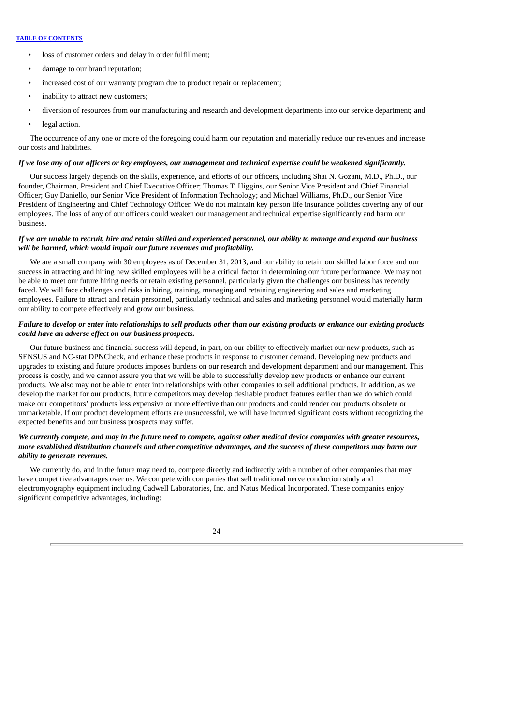- loss of customer orders and delay in order fulfillment;
- damage to our brand reputation;
- increased cost of our warranty program due to product repair or replacement;
- inability to attract new customers;
- diversion of resources from our manufacturing and research and development departments into our service department; and
- legal action.

The occurrence of any one or more of the foregoing could harm our reputation and materially reduce our revenues and increase our costs and liabilities.

### If we lose any of our officers or key employees, our management and technical expertise could be weakened significantly.

Our success largely depends on the skills, experience, and efforts of our officers, including Shai N. Gozani, M.D., Ph.D., our founder, Chairman, President and Chief Executive Officer; Thomas T. Higgins, our Senior Vice President and Chief Financial Officer; Guy Daniello, our Senior Vice President of Information Technology; and Michael Williams, Ph.D., our Senior Vice President of Engineering and Chief Technology Officer. We do not maintain key person life insurance policies covering any of our employees. The loss of any of our officers could weaken our management and technical expertise significantly and harm our business.

# If we are unable to recruit, hire and retain skilled and experienced personnel, our ability to manage and expand our business *will be harmed, which would impair our future revenues and profitability.*

We are a small company with 30 employees as of December 31, 2013, and our ability to retain our skilled labor force and our success in attracting and hiring new skilled employees will be a critical factor in determining our future performance. We may not be able to meet our future hiring needs or retain existing personnel, particularly given the challenges our business has recently faced. We will face challenges and risks in hiring, training, managing and retaining engineering and sales and marketing employees. Failure to attract and retain personnel, particularly technical and sales and marketing personnel would materially harm our ability to compete effectively and grow our business.

# Failure to develop or enter into relationships to sell products other than our existing products or enhance our existing products *could have an adverse effect on our business prospects.*

Our future business and financial success will depend, in part, on our ability to effectively market our new products, such as SENSUS and NC-stat DPNCheck, and enhance these products in response to customer demand. Developing new products and upgrades to existing and future products imposes burdens on our research and development department and our management. This process is costly, and we cannot assure you that we will be able to successfully develop new products or enhance our current products. We also may not be able to enter into relationships with other companies to sell additional products. In addition, as we develop the market for our products, future competitors may develop desirable product features earlier than we do which could make our competitors' products less expensive or more effective than our products and could render our products obsolete or unmarketable. If our product development efforts are unsuccessful, we will have incurred significant costs without recognizing the expected benefits and our business prospects may suffer.

# We currently compete, and may in the future need to compete, against other medical device companies with greater resources, more established distribution channels and other competitive advantages, and the success of these competitors may harm our *ability to generate revenues.*

We currently do, and in the future may need to, compete directly and indirectly with a number of other companies that may have competitive advantages over us. We compete with companies that sell traditional nerve conduction study and electromyography equipment including Cadwell Laboratories, Inc. and Natus Medical Incorporated. These companies enjoy significant competitive advantages, including:

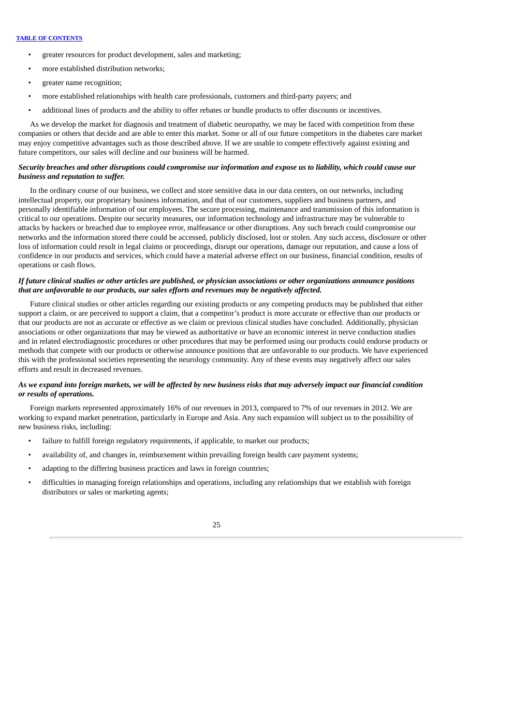- greater resources for product development, sales and marketing;
- more established distribution networks;
- greater name recognition;
- more established relationships with health care professionals, customers and third-party payers; and
- additional lines of products and the ability to offer rebates or bundle products to offer discounts or incentives.

As we develop the market for diagnosis and treatment of diabetic neuropathy, we may be faced with competition from these companies or others that decide and are able to enter this market. Some or all of our future competitors in the diabetes care market may enjoy competitive advantages such as those described above. If we are unable to compete effectively against existing and future competitors, our sales will decline and our business will be harmed.

# Security breaches and other disruptions could compromise our information and expose us to liability, which could cause our *business and reputation to suffer.*

In the ordinary course of our business, we collect and store sensitive data in our data centers, on our networks, including intellectual property, our proprietary business information, and that of our customers, suppliers and business partners, and personally identifiable information of our employees. The secure processing, maintenance and transmission of this information is critical to our operations. Despite our security measures, our information technology and infrastructure may be vulnerable to attacks by hackers or breached due to employee error, malfeasance or other disruptions. Any such breach could compromise our networks and the information stored there could be accessed, publicly disclosed, lost or stolen. Any such access, disclosure or other loss of information could result in legal claims or proceedings, disrupt our operations, damage our reputation, and cause a loss of confidence in our products and services, which could have a material adverse effect on our business, financial condition, results of operations or cash flows.

# If future clinical studies or other articles are published, or physician associations or other organizations announce positions *that are unfavorable to our products, our sales efforts and revenues may be negatively affected.*

Future clinical studies or other articles regarding our existing products or any competing products may be published that either support a claim, or are perceived to support a claim, that a competitor's product is more accurate or effective than our products or that our products are not as accurate or effective as we claim or previous clinical studies have concluded. Additionally, physician associations or other organizations that may be viewed as authoritative or have an economic interest in nerve conduction studies and in related electrodiagnostic procedures or other procedures that may be performed using our products could endorse products or methods that compete with our products or otherwise announce positions that are unfavorable to our products. We have experienced this with the professional societies representing the neurology community. Any of these events may negatively affect our sales efforts and result in decreased revenues.

# As we expand into foreign markets, we will be affected by new business risks that may adversely impact our financial condition *or results of operations.*

Foreign markets represented approximately 16% of our revenues in 2013, compared to 7% of our revenues in 2012. We are working to expand market penetration, particularly in Europe and Asia. Any such expansion will subject us to the possibility of new business risks, including:

- failure to fulfill foreign regulatory requirements, if applicable, to market our products;
- availability of, and changes in, reimbursement within prevailing foreign health care payment systems;
- adapting to the differing business practices and laws in foreign countries;
- difficulties in managing foreign relationships and operations, including any relationships that we establish with foreign distributors or sales or marketing agents;

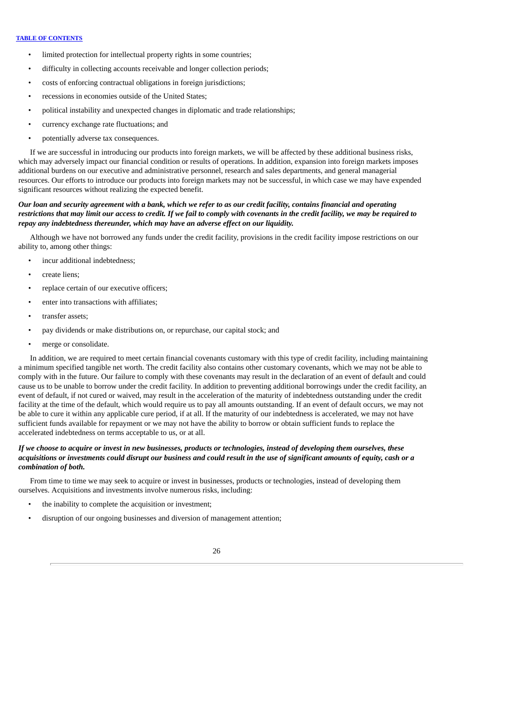- limited protection for intellectual property rights in some countries;
- difficulty in collecting accounts receivable and longer collection periods;
- costs of enforcing contractual obligations in foreign jurisdictions;
- recessions in economies outside of the United States:
- political instability and unexpected changes in diplomatic and trade relationships;
- currency exchange rate fluctuations; and
- potentially adverse tax consequences.

If we are successful in introducing our products into foreign markets, we will be affected by these additional business risks, which may adversely impact our financial condition or results of operations. In addition, expansion into foreign markets imposes additional burdens on our executive and administrative personnel, research and sales departments, and general managerial resources. Our efforts to introduce our products into foreign markets may not be successful, in which case we may have expended significant resources without realizing the expected benefit.

# Our loan and security agreement with a bank, which we refer to as our credit facility, contains financial and operating restrictions that may limit our access to credit. If we fail to comply with covenants in the credit facility, we may be required to *repay any indebtedness thereunder, which may have an adverse effect on our liquidity.*

Although we have not borrowed any funds under the credit facility, provisions in the credit facility impose restrictions on our ability to, among other things:

- incur additional indebtedness:
- create liens;
- replace certain of our executive officers;
- enter into transactions with affiliates:
- transfer assets;
- pay dividends or make distributions on, or repurchase, our capital stock; and
- merge or consolidate.

In addition, we are required to meet certain financial covenants customary with this type of credit facility, including maintaining a minimum specified tangible net worth. The credit facility also contains other customary covenants, which we may not be able to comply with in the future. Our failure to comply with these covenants may result in the declaration of an event of default and could cause us to be unable to borrow under the credit facility. In addition to preventing additional borrowings under the credit facility, an event of default, if not cured or waived, may result in the acceleration of the maturity of indebtedness outstanding under the credit facility at the time of the default, which would require us to pay all amounts outstanding. If an event of default occurs, we may not be able to cure it within any applicable cure period, if at all. If the maturity of our indebtedness is accelerated, we may not have sufficient funds available for repayment or we may not have the ability to borrow or obtain sufficient funds to replace the accelerated indebtedness on terms acceptable to us, or at all.

# If we choose to acquire or invest in new businesses, products or technologies, instead of developing them ourselves, these acquisitions or investments could disrupt our business and could result in the use of significant amounts of equity, cash or a *combination of both.*

From time to time we may seek to acquire or invest in businesses, products or technologies, instead of developing them ourselves. Acquisitions and investments involve numerous risks, including:

- the inability to complete the acquisition or investment;
- disruption of our ongoing businesses and diversion of management attention;

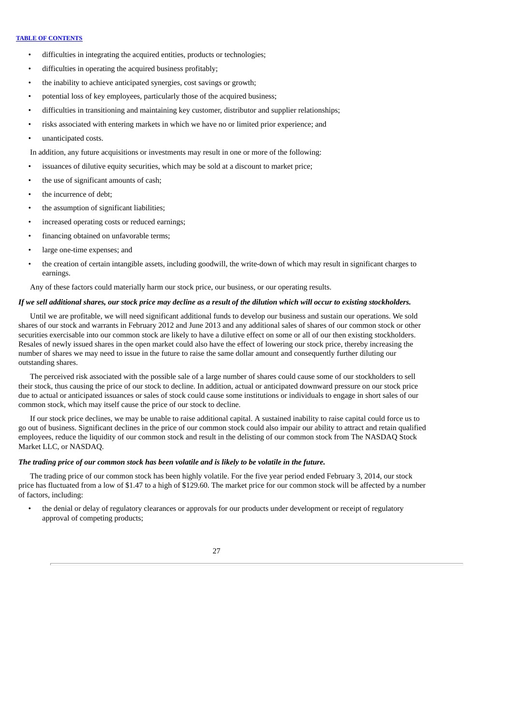- difficulties in integrating the acquired entities, products or technologies;
- difficulties in operating the acquired business profitably;
- the inability to achieve anticipated synergies, cost savings or growth;
- potential loss of key employees, particularly those of the acquired business;
- difficulties in transitioning and maintaining key customer, distributor and supplier relationships;
- risks associated with entering markets in which we have no or limited prior experience; and
- unanticipated costs.

In addition, any future acquisitions or investments may result in one or more of the following:

- issuances of dilutive equity securities, which may be sold at a discount to market price;
- the use of significant amounts of cash;
- the incurrence of debt;
- the assumption of significant liabilities:
- increased operating costs or reduced earnings;
- financing obtained on unfavorable terms;
- large one-time expenses; and
- the creation of certain intangible assets, including goodwill, the write-down of which may result in significant charges to earnings.

Any of these factors could materially harm our stock price, our business, or our operating results.

# If we sell additional shares, our stock price may decline as a result of the dilution which will occur to existina stockholders.

Until we are profitable, we will need significant additional funds to develop our business and sustain our operations. We sold shares of our stock and warrants in February 2012 and June 2013 and any additional sales of shares of our common stock or other securities exercisable into our common stock are likely to have a dilutive effect on some or all of our then existing stockholders. Resales of newly issued shares in the open market could also have the effect of lowering our stock price, thereby increasing the number of shares we may need to issue in the future to raise the same dollar amount and consequently further diluting our outstanding shares.

The perceived risk associated with the possible sale of a large number of shares could cause some of our stockholders to sell their stock, thus causing the price of our stock to decline. In addition, actual or anticipated downward pressure on our stock price due to actual or anticipated issuances or sales of stock could cause some institutions or individuals to engage in short sales of our common stock, which may itself cause the price of our stock to decline.

If our stock price declines, we may be unable to raise additional capital. A sustained inability to raise capital could force us to go out of business. Significant declines in the price of our common stock could also impair our ability to attract and retain qualified employees, reduce the liquidity of our common stock and result in the delisting of our common stock from The NASDAQ Stock Market LLC, or NASDAQ.

# The trading price of our common stock has been volatile and is likely to be volatile in the future.

The trading price of our common stock has been highly volatile. For the five year period ended February 3, 2014, our stock price has fluctuated from a low of \$1.47 to a high of \$129.60. The market price for our common stock will be affected by a number of factors, including:

• the denial or delay of regulatory clearances or approvals for our products under development or receipt of regulatory approval of competing products;

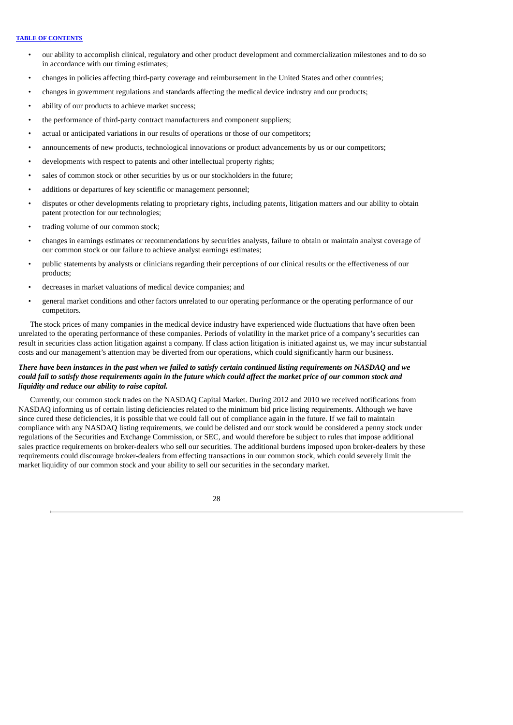- our ability to accomplish clinical, regulatory and other product development and commercialization milestones and to do so in accordance with our timing estimates;
- changes in policies affecting third-party coverage and reimbursement in the United States and other countries;
- changes in government regulations and standards affecting the medical device industry and our products;
- ability of our products to achieve market success;
- the performance of third-party contract manufacturers and component suppliers;
- actual or anticipated variations in our results of operations or those of our competitors;
- announcements of new products, technological innovations or product advancements by us or our competitors;
- developments with respect to patents and other intellectual property rights;
- sales of common stock or other securities by us or our stockholders in the future;
- additions or departures of key scientific or management personnel;
- disputes or other developments relating to proprietary rights, including patents, litigation matters and our ability to obtain patent protection for our technologies;
- trading volume of our common stock;
- changes in earnings estimates or recommendations by securities analysts, failure to obtain or maintain analyst coverage of our common stock or our failure to achieve analyst earnings estimates;
- public statements by analysts or clinicians regarding their perceptions of our clinical results or the effectiveness of our products;
- decreases in market valuations of medical device companies; and
- general market conditions and other factors unrelated to our operating performance or the operating performance of our competitors.

The stock prices of many companies in the medical device industry have experienced wide fluctuations that have often been unrelated to the operating performance of these companies. Periods of volatility in the market price of a company's securities can result in securities class action litigation against a company. If class action litigation is initiated against us, we may incur substantial costs and our management's attention may be diverted from our operations, which could significantly harm our business.

# There have been instances in the past when we failed to satisfy certain continued listing requirements on NASDAQ and we could fail to satisfy those requirements again in the future which could affect the market price of our common stock and *liquidity and reduce our ability to raise capital.*

Currently, our common stock trades on the NASDAQ Capital Market. During 2012 and 2010 we received notifications from NASDAQ informing us of certain listing deficiencies related to the minimum bid price listing requirements. Although we have since cured these deficiencies, it is possible that we could fall out of compliance again in the future. If we fail to maintain compliance with any NASDAQ listing requirements, we could be delisted and our stock would be considered a penny stock under regulations of the Securities and Exchange Commission, or SEC, and would therefore be subject to rules that impose additional sales practice requirements on broker-dealers who sell our securities. The additional burdens imposed upon broker-dealers by these requirements could discourage broker-dealers from effecting transactions in our common stock, which could severely limit the market liquidity of our common stock and your ability to sell our securities in the secondary market.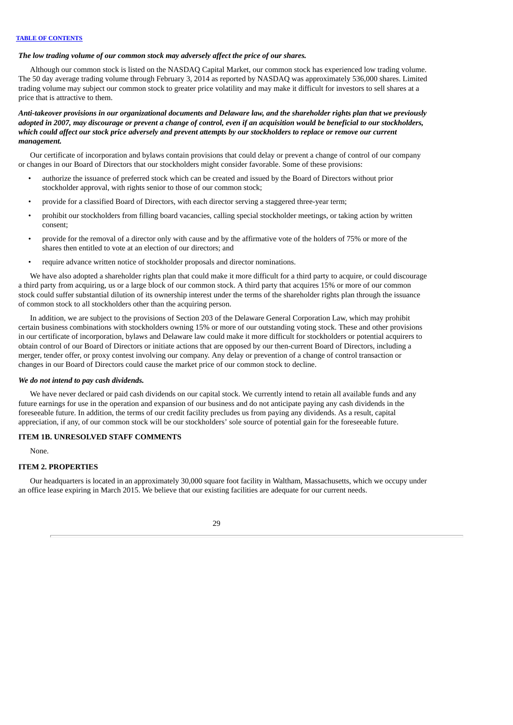# *The low trading volume of our common stock may adversely affect the price of our shares.*

Although our common stock is listed on the NASDAQ Capital Market, our common stock has experienced low trading volume. The 50 day average trading volume through February 3, 2014 as reported by NASDAQ was approximately 536,000 shares. Limited trading volume may subject our common stock to greater price volatility and may make it difficult for investors to sell shares at a price that is attractive to them.

# Anti-takeover provisions in our organizational documents and Delaware law, and the shareholder rights plan that we previously adopted in 2007, may discourage or prevent a change of control, even if an acquisition would be beneficial to our stockholders, which could affect our stock price adversely and prevent attempts by our stockholders to replace or remove our current *management.*

Our certificate of incorporation and bylaws contain provisions that could delay or prevent a change of control of our company or changes in our Board of Directors that our stockholders might consider favorable. Some of these provisions:

- authorize the issuance of preferred stock which can be created and issued by the Board of Directors without prior stockholder approval, with rights senior to those of our common stock;
- provide for a classified Board of Directors, with each director serving a staggered three-year term;
- prohibit our stockholders from filling board vacancies, calling special stockholder meetings, or taking action by written consent;
- provide for the removal of a director only with cause and by the affirmative vote of the holders of 75% or more of the shares then entitled to vote at an election of our directors; and
- require advance written notice of stockholder proposals and director nominations.

We have also adopted a shareholder rights plan that could make it more difficult for a third party to acquire, or could discourage a third party from acquiring, us or a large block of our common stock. A third party that acquires 15% or more of our common stock could suffer substantial dilution of its ownership interest under the terms of the shareholder rights plan through the issuance of common stock to all stockholders other than the acquiring person.

In addition, we are subject to the provisions of Section 203 of the Delaware General Corporation Law, which may prohibit certain business combinations with stockholders owning 15% or more of our outstanding voting stock. These and other provisions in our certificate of incorporation, bylaws and Delaware law could make it more difficult for stockholders or potential acquirers to obtain control of our Board of Directors or initiate actions that are opposed by our then-current Board of Directors, including a merger, tender offer, or proxy contest involving our company. Any delay or prevention of a change of control transaction or changes in our Board of Directors could cause the market price of our common stock to decline.

### *We do not intend to pay cash dividends.*

We have never declared or paid cash dividends on our capital stock. We currently intend to retain all available funds and any future earnings for use in the operation and expansion of our business and do not anticipate paying any cash dividends in the foreseeable future. In addition, the terms of our credit facility precludes us from paying any dividends. As a result, capital appreciation, if any, of our common stock will be our stockholders' sole source of potential gain for the foreseeable future.

# <span id="page-31-0"></span>**ITEM 1B. UNRESOLVED STAFF COMMENTS**

None.

# <span id="page-31-1"></span>**ITEM 2. PROPERTIES**

Our headquarters is located in an approximately 30,000 square foot facility in Waltham, Massachusetts, which we occupy under an office lease expiring in March 2015. We believe that our existing facilities are adequate for our current needs.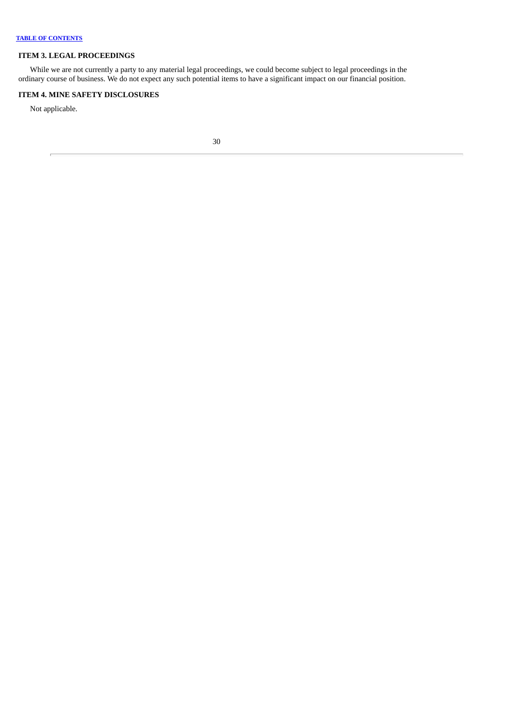# <span id="page-32-0"></span>**ITEM 3. LEGAL PROCEEDINGS**

While we are not currently a party to any material legal proceedings, we could become subject to legal proceedings in the ordinary course of business. We do not expect any such potential items to have a significant impact on our financial position.

# <span id="page-32-1"></span>**ITEM 4. MINE SAFETY DISCLOSURES**

Not applicable.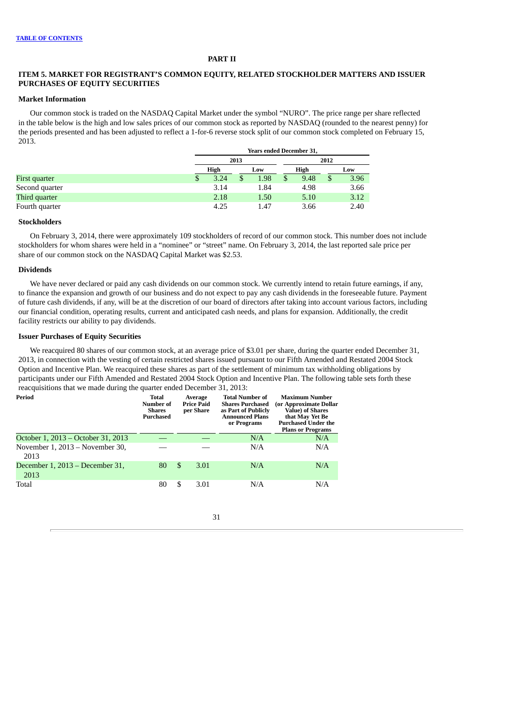### **PART II**

# <span id="page-33-0"></span>**ITEM 5. MARKET FOR REGISTRANT'S COMMON EQUITY, RELATED STOCKHOLDER MATTERS AND ISSUER PURCHASES OF EQUITY SECURITIES**

# **Market Information**

Our common stock is traded on the NASDAQ Capital Market under the symbol "NURO". The price range per share reflected in the table below is the high and low sales prices of our common stock as reported by NASDAQ (rounded to the nearest penny) for the periods presented and has been adjusted to reflect a 1-for-6 reverse stock split of our common stock completed on February 15, 2013.

|                |   | <b>Years ended December 31,</b> |     |      |      |      |     |      |  |  |  |  |
|----------------|---|---------------------------------|-----|------|------|------|-----|------|--|--|--|--|
|                |   | 2013                            |     |      | 2012 |      |     |      |  |  |  |  |
|                |   | High                            | Low |      | High |      | Low |      |  |  |  |  |
| First quarter  | Φ | 3.24                            |     | 1.98 |      | 9.48 | \$  | 3.96 |  |  |  |  |
| Second quarter |   | 3.14                            |     | 1.84 |      | 4.98 |     | 3.66 |  |  |  |  |
| Third quarter  |   | 2.18                            |     | 1.50 |      | 5.10 |     | 3.12 |  |  |  |  |
| Fourth quarter |   | 4.25                            |     | 1.47 |      | 3.66 |     | 2.40 |  |  |  |  |

### **Stockholders**

On February 3, 2014, there were approximately 109 stockholders of record of our common stock. This number does not include stockholders for whom shares were held in a "nominee" or "street" name. On February 3, 2014, the last reported sale price per share of our common stock on the NASDAQ Capital Market was \$2.53.

#### **Dividends**

We have never declared or paid any cash dividends on our common stock. We currently intend to retain future earnings, if any, to finance the expansion and growth of our business and do not expect to pay any cash dividends in the foreseeable future. Payment of future cash dividends, if any, will be at the discretion of our board of directors after taking into account various factors, including our financial condition, operating results, current and anticipated cash needs, and plans for expansion. Additionally, the credit facility restricts our ability to pay dividends.

# **Issuer Purchases of Equity Securities**

We reacquired 80 shares of our common stock, at an average price of \$3.01 per share, during the quarter ended December 31, 2013, in connection with the vesting of certain restricted shares issued pursuant to our Fifth Amended and Restated 2004 Stock Option and Incentive Plan. We reacquired these shares as part of the settlement of minimum tax withholding obligations by participants under our Fifth Amended and Restated 2004 Stock Option and Incentive Plan. The following table sets forth these reacquisitions that we made during the quarter ended December 31, 2013:

| Period                                  | Total<br>Number of<br><b>Shares</b><br>Purchased | Average<br><b>Price Paid</b><br>per Share |      | <b>Total Number of</b><br><b>Shares Purchased</b><br>as Part of Publicly<br><b>Announced Plans</b><br>or Programs | <b>Maximum Number</b><br>(or Approximate Dollar<br><b>Value) of Shares</b><br>that May Yet Be<br><b>Purchased Under the</b><br><b>Plans or Programs</b> |
|-----------------------------------------|--------------------------------------------------|-------------------------------------------|------|-------------------------------------------------------------------------------------------------------------------|---------------------------------------------------------------------------------------------------------------------------------------------------------|
| October 1, 2013 – October 31, 2013      |                                                  |                                           |      | N/A                                                                                                               | N/A                                                                                                                                                     |
| November 1, 2013 – November 30,<br>2013 |                                                  |                                           |      | N/A                                                                                                               | N/A                                                                                                                                                     |
| December 1, 2013 – December 31,<br>2013 | 80                                               | <sup>\$</sup>                             | 3.01 | N/A                                                                                                               | N/A                                                                                                                                                     |
| Total                                   | 80                                               | \$                                        | 3.01 | N/A                                                                                                               | N/A                                                                                                                                                     |

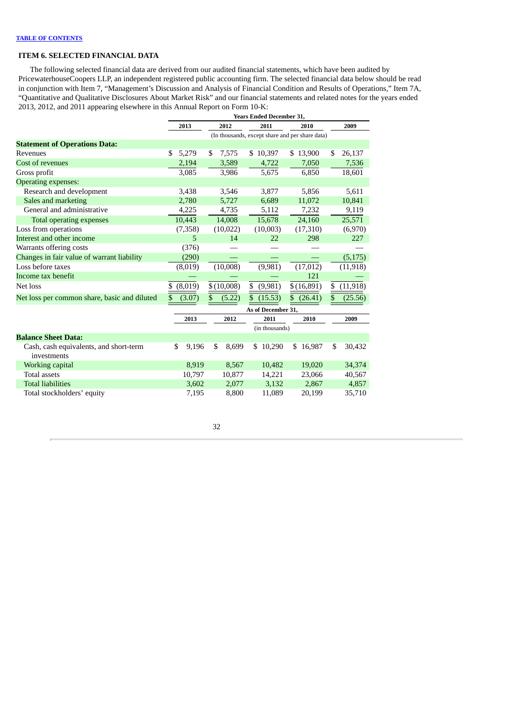# <span id="page-34-0"></span>**ITEM 6. SELECTED FINANCIAL DATA**

The following selected financial data are derived from our audited financial statements, which have been audited by PricewaterhouseCoopers LLP, an independent registered public accounting firm. The selected financial data below should be read in conjunction with Item 7, "Management's Discussion and Analysis of Financial Condition and Results of Operations," Item 7A, "Quantitative and Qualitative Disclosures About Market Risk" and our financial statements and related notes for the years ended 2013, 2012, and 2011 appearing elsewhere in this Annual Report on Form 10-K:

|                                                       | <b>Years Ended December 31,</b> |         |    |            |    |                    |    |                                                 |    |           |
|-------------------------------------------------------|---------------------------------|---------|----|------------|----|--------------------|----|-------------------------------------------------|----|-----------|
|                                                       |                                 | 2013    |    | 2012       |    | 2011               |    | 2010                                            |    | 2009      |
|                                                       |                                 |         |    |            |    |                    |    | (In thousands, except share and per share data) |    |           |
| <b>Statement of Operations Data:</b>                  |                                 |         |    |            |    |                    |    |                                                 |    |           |
| Revenues                                              | \$                              | 5,279   | \$ | 7,575      |    | \$10,397           |    | \$13,900                                        | S  | 26,137    |
| Cost of revenues                                      |                                 | 2,194   |    | 3,589      |    | 4,722              |    | 7,050                                           |    | 7,536     |
| Gross profit                                          |                                 | 3,085   |    | 3,986      |    | 5,675              |    | 6,850                                           |    | 18,601    |
| <b>Operating expenses:</b>                            |                                 |         |    |            |    |                    |    |                                                 |    |           |
| Research and development                              |                                 | 3,438   |    | 3,546      |    | 3,877              |    | 5,856                                           |    | 5,611     |
| Sales and marketing                                   |                                 | 2,780   |    | 5,727      |    | 6,689              |    | 11,072                                          |    | 10,841    |
| General and administrative                            |                                 | 4,225   |    | 4,735      |    | 5,112              |    | 7,232                                           |    | 9,119     |
| <b>Total operating expenses</b>                       |                                 | 10,443  |    | 14,008     |    | 15,678             |    | 24,160                                          |    | 25,571    |
| Loss from operations                                  |                                 | (7,358) |    | (10,022)   |    | (10,003)           |    | (17,310)                                        |    | (6,970)   |
| Interest and other income                             |                                 | 5       |    | 14         |    | 22                 |    | 298                                             |    | 227       |
| Warrants offering costs                               |                                 | (376)   |    |            |    |                    |    |                                                 |    |           |
| Changes in fair value of warrant liability            |                                 | (290)   |    |            |    |                    |    |                                                 |    | (5, 175)  |
| Loss before taxes                                     |                                 | (8,019) |    | (10,008)   |    | (9,981)            |    | (17, 012)                                       |    | (11, 918) |
| Income tax benefit                                    |                                 |         |    |            |    |                    |    | 121                                             |    |           |
| Net loss                                              | \$                              | (8,019) |    | \$(10,008) | \$ | (9,981)            |    | \$(16,891)                                      | \$ | (11, 918) |
| Net loss per common share, basic and diluted          | \$                              | (3.07)  | \$ | (5.22)     | \$ | (15.53)            | \$ | (26.41)                                         | \$ | (25.56)   |
|                                                       |                                 |         |    |            |    | As of December 31, |    |                                                 |    |           |
|                                                       |                                 | 2013    |    | 2012       |    | 2011               |    | 2010                                            |    | 2009      |
|                                                       |                                 |         |    |            |    | (in thousands)     |    |                                                 |    |           |
| <b>Balance Sheet Data:</b>                            |                                 |         |    |            |    |                    |    |                                                 |    |           |
| Cash, cash equivalents, and short-term<br>investments | \$                              | 9,196   | \$ | 8,699      |    | \$10,290           | \$ | 16,987                                          | \$ | 30,432    |
| Working capital                                       |                                 | 8,919   |    | 8,567      |    | 10,482             |    | 19,020                                          |    | 34,374    |
| Total assets                                          |                                 | 10.797  |    | 10.877     |    | 14.221             |    | 23,066                                          |    | 40,567    |

Total liabilities 3,602 2,077 3,132 2,867 4,857 Total stockholders' equity 7,195 8,800 11,089 20,199 35,710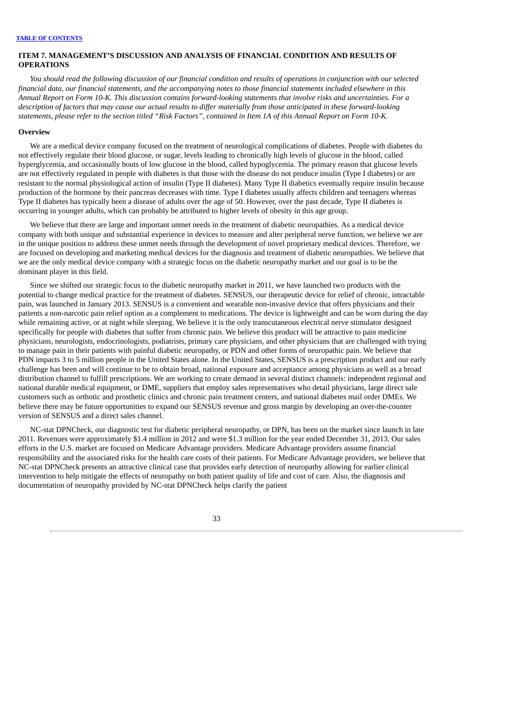# <span id="page-35-0"></span>**ITEM 7. MANAGEMENT'S DISCUSSION AND ANALYSIS OF FINANCIAL CONDITION AND RESULTS OF OPERATIONS**

You should read the following discussion of our financial condition and results of operations in conjunction with our selected financial data, our financial statements, and the accompanying notes to those financial statements included elsewhere in this Annual Report on Form 10-K. This discussion contains forward-looking statements that involve risks and uncertainties. For a description of factors that may cause our actual results to differ materially from those anticipated in these forward-looking statements, please refer to the section titled "Risk Factors", contained in Item 1A of this Annual Report on Form 10-K.

#### **Overview**

We are a medical device company focused on the treatment of neurological complications of diabetes. People with diabetes do not effectively regulate their blood glucose, or sugar, levels leading to chronically high levels of glucose in the blood, called hyperglycemia, and occasionally bouts of low glucose in the blood, called hypoglycemia. The primary reason that glucose levels are not effectively regulated in people with diabetes is that those with the disease do not produce insulin (Type I diabetes) or are resistant to the normal physiological action of insulin (Type II diabetes). Many Type II diabetics eventually require insulin because production of the hormone by their pancreas decreases with time. Type I diabetes usually affects children and teenagers whereas Type II diabetes has typically been a disease of adults over the age of 50. However, over the past decade, Type II diabetes is occurring in younger adults, which can probably be attributed to higher levels of obesity in this age group.

We believe that there are large and important unmet needs in the treatment of diabetic neuropathies. As a medical device company with both unique and substantial experience in devices to measure and alter peripheral nerve function, we believe we are in the unique position to address these unmet needs through the development of novel proprietary medical devices. Therefore, we are focused on developing and marketing medical devices for the diagnosis and treatment of diabetic neuropathies. We believe that we are the only medical device company with a strategic focus on the diabetic neuropathy market and our goal is to be the dominant player in this field.

Since we shifted our strategic focus to the diabetic neuropathy market in 2011, we have launched two products with the potential to change medical practice for the treatment of diabetes. SENSUS, our therapeutic device for relief of chronic, intractable pain, was launched in January 2013. SENSUS is a convenient and wearable non-invasive device that offers physicians and their patients a non-narcotic pain relief option as a complement to medications. The device is lightweight and can be worn during the day while remaining active, or at night while sleeping. We believe it is the only transcutaneous electrical nerve stimulator designed specifically for people with diabetes that suffer from chronic pain. We believe this product will be attractive to pain medicine physicians, neurologists, endocrinologists, podiatrists, primary care physicians, and other physicians that are challenged with trying to manage pain in their patients with painful diabetic neuropathy, or PDN and other forms of neuropathic pain. We believe that PDN impacts 3 to 5 million people in the United States alone. In the United States, SENSUS is a prescription product and our early challenge has been and will continue to be to obtain broad, national exposure and acceptance among physicians as well as a broad distribution channel to fulfill prescriptions. We are working to create demand in several distinct channels: independent regional and national durable medical equipment, or DME, suppliers that employ sales representatives who detail physicians, large direct sale customers such as orthotic and prosthetic clinics and chronic pain treatment centers, and national diabetes mail order DMEs. We believe there may be future opportunities to expand our SENSUS revenue and gross margin by developing an over-the-counter version of SENSUS and a direct sales channel.

NC-stat DPNCheck, our diagnostic test for diabetic peripheral neuropathy, or DPN, has been on the market since launch in late 2011. Revenues were approximately \$1.4 million in 2012 and were \$1.3 million for the year ended December 31, 2013. Our sales efforts in the U.S. market are focused on Medicare Advantage providers. Medicare Advantage providers assume financial responsibility and the associated risks for the health care costs of their patients. For Medicare Advantage providers, we believe that NC-stat DPNCheck presents an attractive clinical case that provides early detection of neuropathy allowing for earlier clinical intervention to help mitigate the effects of neuropathy on both patient quality of life and cost of care. Also, the diagnosis and documentation of neuropathy provided by NC-stat DPNCheck helps clarify the patient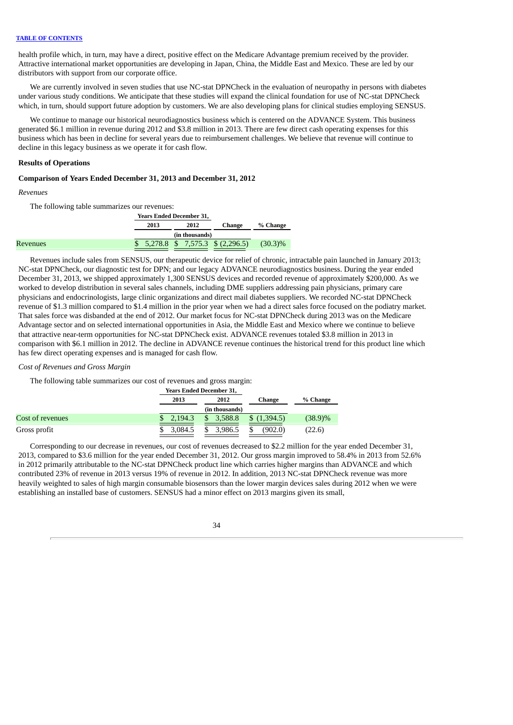health profile which, in turn, may have a direct, positive effect on the Medicare Advantage premium received by the provider. Attractive international market opportunities are developing in Japan, China, the Middle East and Mexico. These are led by our distributors with support from our corporate office.

We are currently involved in seven studies that use NC-stat DPNCheck in the evaluation of neuropathy in persons with diabetes under various study conditions. We anticipate that these studies will expand the clinical foundation for use of NC-stat DPNCheck which, in turn, should support future adoption by customers. We are also developing plans for clinical studies employing SENSUS.

We continue to manage our historical neurodiagnostics business which is centered on the ADVANCE System. This business generated \$6.1 million in revenue during 2012 and \$3.8 million in 2013. There are few direct cash operating expenses for this business which has been in decline for several years due to reimbursement challenges. We believe that revenue will continue to decline in this legacy business as we operate it for cash flow.

### **Results of Operations**

### **Comparison of Years Ended December 31, 2013 and December 31, 2012**

#### *Revenues*

The following table summarizes our revenues:

|          | <b>Years Ended December 31.</b> |  |                |                                    |            |
|----------|---------------------------------|--|----------------|------------------------------------|------------|
|          | 2013<br>2012                    |  | Change         | % Change                           |            |
|          |                                 |  | (in thousands) |                                    |            |
| Revenues |                                 |  |                | $$5,278.8$ $$7,575.3$ $$(2,296.5)$ | $(30.3)\%$ |

Revenues include sales from SENSUS, our therapeutic device for relief of chronic, intractable pain launched in January 2013; NC-stat DPNCheck, our diagnostic test for DPN; and our legacy ADVANCE neurodiagnostics business. During the year ended December 31, 2013, we shipped approximately 1,300 SENSUS devices and recorded revenue of approximately \$200,000. As we worked to develop distribution in several sales channels, including DME suppliers addressing pain physicians, primary care physicians and endocrinologists, large clinic organizations and direct mail diabetes suppliers. We recorded NC-stat DPNCheck revenue of \$1.3 million compared to \$1.4 million in the prior year when we had a direct sales force focused on the podiatry market. That sales force was disbanded at the end of 2012. Our market focus for NC-stat DPNCheck during 2013 was on the Medicare Advantage sector and on selected international opportunities in Asia, the Middle East and Mexico where we continue to believe that attractive near-term opportunities for NC-stat DPNCheck exist. ADVANCE revenues totaled \$3.8 million in 2013 in comparison with \$6.1 million in 2012. The decline in ADVANCE revenue continues the historical trend for this product line which has few direct operating expenses and is managed for cash flow.

### *Cost of Revenues and Gross Margin*

The following table summarizes our cost of revenues and gross margin:

|                  |              | <b>Years Ended December 31,</b> |              |            |  |
|------------------|--------------|---------------------------------|--------------|------------|--|
|                  | 2013<br>2012 |                                 | Change       | % Change   |  |
|                  |              | (in thousands)                  |              |            |  |
| Cost of revenues | 2.194.3      | 3,588.8<br>\$                   | (1,394.5)    | $(38.9)\%$ |  |
| Gross profit     | 3,084.5      | 3,986.5<br>\$                   | (902.0)<br>S | (22.6)     |  |

Corresponding to our decrease in revenues, our cost of revenues decreased to \$2.2 million for the year ended December 31, 2013, compared to \$3.6 million for the year ended December 31, 2012. Our gross margin improved to 58.4% in 2013 from 52.6% in 2012 primarily attributable to the NC-stat DPNCheck product line which carries higher margins than ADVANCE and which contributed 23% of revenue in 2013 versus 19% of revenue in 2012. In addition, 2013 NC-stat DPNCheck revenue was more heavily weighted to sales of high margin consumable biosensors than the lower margin devices sales during 2012 when we were establishing an installed base of customers. SENSUS had a minor effect on 2013 margins given its small,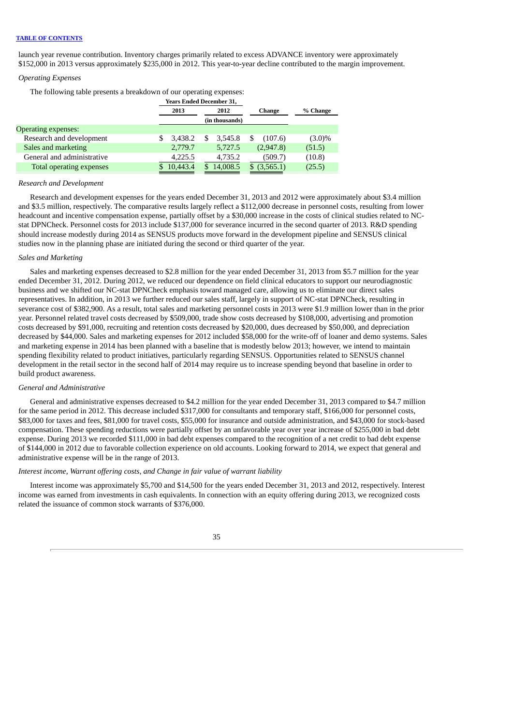launch year revenue contribution. Inventory charges primarily related to excess ADVANCE inventory were approximately \$152,000 in 2013 versus approximately \$235,000 in 2012. This year-to-year decline contributed to the margin improvement.

# *Operating Expenses*

The following table presents a breakdown of our operating expenses:

| 2013     | 2012 |         |                                                               | Change    | % Change  |
|----------|------|---------|---------------------------------------------------------------|-----------|-----------|
|          |      |         |                                                               |           |           |
|          |      |         |                                                               |           |           |
| 3.438.2  | S.   | 3.545.8 |                                                               | (107.6)   | $(3.0)\%$ |
| 2,779.7  |      | 5,727.5 |                                                               | (2,947.8) | (51.5)    |
| 4,225.5  |      | 4,735.2 |                                                               | (509.7)   | (10.8)    |
| 10,443.4 |      |         |                                                               | (3,565.1) | (25.5)    |
|          |      |         | <b>Years Ended December 31,</b><br>(in thousands)<br>14,008.5 |           |           |

# *Research and Development*

Research and development expenses for the years ended December 31, 2013 and 2012 were approximately about \$3.4 million and \$3.5 million, respectively. The comparative results largely reflect a \$112,000 decrease in personnel costs, resulting from lower headcount and incentive compensation expense, partially offset by a \$30,000 increase in the costs of clinical studies related to NCstat DPNCheck. Personnel costs for 2013 include \$137,000 for severance incurred in the second quarter of 2013. R&D spending should increase modestly during 2014 as SENSUS products move forward in the development pipeline and SENSUS clinical studies now in the planning phase are initiated during the second or third quarter of the year.

### *Sales and Marketing*

Sales and marketing expenses decreased to \$2.8 million for the year ended December 31, 2013 from \$5.7 million for the year ended December 31, 2012. During 2012, we reduced our dependence on field clinical educators to support our neurodiagnostic business and we shifted our NC-stat DPNCheck emphasis toward managed care, allowing us to eliminate our direct sales representatives. In addition, in 2013 we further reduced our sales staff, largely in support of NC-stat DPNCheck, resulting in severance cost of \$382,900. As a result, total sales and marketing personnel costs in 2013 were \$1.9 million lower than in the prior year. Personnel related travel costs decreased by \$509,000, trade show costs decreased by \$108,000, advertising and promotion costs decreased by \$91,000, recruiting and retention costs decreased by \$20,000, dues decreased by \$50,000, and depreciation decreased by \$44,000. Sales and marketing expenses for 2012 included \$58,000 for the write-off of loaner and demo systems. Sales and marketing expense in 2014 has been planned with a baseline that is modestly below 2013; however, we intend to maintain spending flexibility related to product initiatives, particularly regarding SENSUS. Opportunities related to SENSUS channel development in the retail sector in the second half of 2014 may require us to increase spending beyond that baseline in order to build product awareness.

### *General and Administrative*

General and administrative expenses decreased to \$4.2 million for the year ended December 31, 2013 compared to \$4.7 million for the same period in 2012. This decrease included \$317,000 for consultants and temporary staff, \$166,000 for personnel costs, \$83,000 for taxes and fees, \$81,000 for travel costs, \$55,000 for insurance and outside administration, and \$43,000 for stock-based compensation. These spending reductions were partially offset by an unfavorable year over year increase of \$255,000 in bad debt expense. During 2013 we recorded \$111,000 in bad debt expenses compared to the recognition of a net credit to bad debt expense of \$144,000 in 2012 due to favorable collection experience on old accounts. Looking forward to 2014, we expect that general and administrative expense will be in the range of 2013.

# *Interest income, Warrant offering costs, and Change in fair value of warrant liability*

Interest income was approximately \$5,700 and \$14,500 for the years ended December 31, 2013 and 2012, respectively. Interest income was earned from investments in cash equivalents. In connection with an equity offering during 2013, we recognized costs related the issuance of common stock warrants of \$376,000.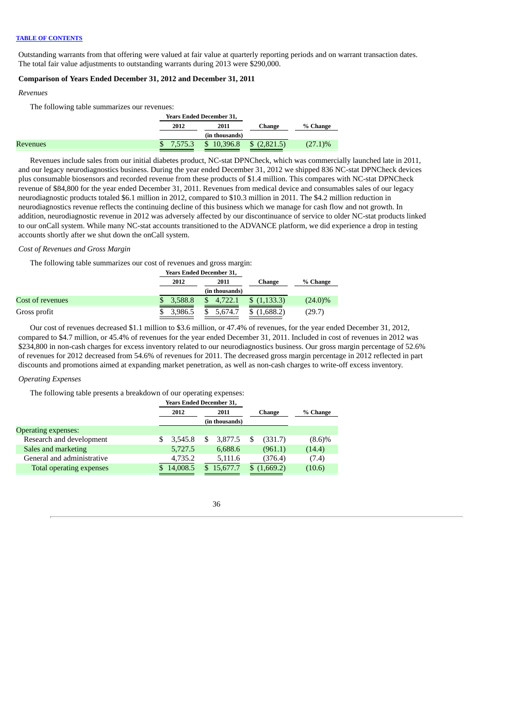Outstanding warrants from that offering were valued at fair value at quarterly reporting periods and on warrant transaction dates. The total fair value adjustments to outstanding warrants during 2013 were \$290,000.

# **Comparison of Years Ended December 31, 2012 and December 31, 2011**

#### *Revenues*

The following table summarizes our revenues:

|                 |      | <b>Years Ended December 31,</b>     |        |            |
|-----------------|------|-------------------------------------|--------|------------|
|                 | 2012 | 2011                                | Change | % Change   |
|                 |      | (in thousands)                      |        |            |
| <b>Revenues</b> |      | $$7,575.3$ $$10,396.8$ $$(2,821.5)$ |        | $(27.1)\%$ |

Revenues include sales from our initial diabetes product, NC-stat DPNCheck, which was commercially launched late in 2011, and our legacy neurodiagnostics business. During the year ended December 31, 2012 we shipped 836 NC-stat DPNCheck devices plus consumable biosensors and recorded revenue from these products of \$1.4 million. This compares with NC-stat DPNCheck revenue of \$84,800 for the year ended December 31, 2011. Revenues from medical device and consumables sales of our legacy neurodiagnostic products totaled \$6.1 million in 2012, compared to \$10.3 million in 2011. The \$4.2 million reduction in neurodiagnostics revenue reflects the continuing decline of this business which we manage for cash flow and not growth. In addition, neurodiagnostic revenue in 2012 was adversely affected by our discontinuance of service to older NC-stat products linked to our onCall system. While many NC-stat accounts transitioned to the ADVANCE platform, we did experience a drop in testing accounts shortly after we shut down the onCall system.

### *Cost of Revenues and Gross Margin*

The following table summarizes our cost of revenues and gross margin:

|                  |  | <b>Years Ended December 31,</b> |    |                |             |            |          |  |
|------------------|--|---------------------------------|----|----------------|-------------|------------|----------|--|
|                  |  | 2012<br>2011                    |    | Change         |             |            | % Change |  |
|                  |  |                                 |    | (in thousands) |             |            |          |  |
| Cost of revenues |  | 3,588.8                         | \$ | 4,722.1        | (1,133,3)   | $(24.0)\%$ |          |  |
| Gross profit     |  | 3.986.5                         |    | 5,674.7        | \$(1,688.2) | (29.7)     |          |  |

Our cost of revenues decreased \$1.1 million to \$3.6 million, or 47.4% of revenues, for the year ended December 31, 2012, compared to \$4.7 million, or 45.4% of revenues for the year ended December 31, 2011. Included in cost of revenues in 2012 was \$234,800 in non-cash charges for excess inventory related to our neurodiagnostics business. Our gross margin percentage of 52.6% of revenues for 2012 decreased from 54.6% of revenues for 2011. The decreased gross margin percentage in 2012 reflected in part discounts and promotions aimed at expanding market penetration, as well as non-cash charges to write-off excess inventory.

# *Operating Expenses*

The following table presents a breakdown of our operating expenses:

|                            |                | <b>Years Ended December 31,</b> |        |          |          |           |           |
|----------------------------|----------------|---------------------------------|--------|----------|----------|-----------|-----------|
|                            | 2012<br>2011   |                                 | Change |          | % Change |           |           |
|                            | (in thousands) |                                 |        |          |          |           |           |
| Operating expenses:        |                |                                 |        |          |          |           |           |
| Research and development   | S              | 3,545.8                         | S      | 3.877.5  |          | (331.7)   | $(8.6)\%$ |
| Sales and marketing        |                | 5,727.5                         |        | 6,688.6  |          | (961.1)   | (14.4)    |
| General and administrative |                | 4,735.2                         |        | 5,111.6  |          | (376.4)   | (7.4)     |
| Total operating expenses   |                | 14,008.5                        | S.     | 15,677.7 |          | (1,669.2) | (10.6)    |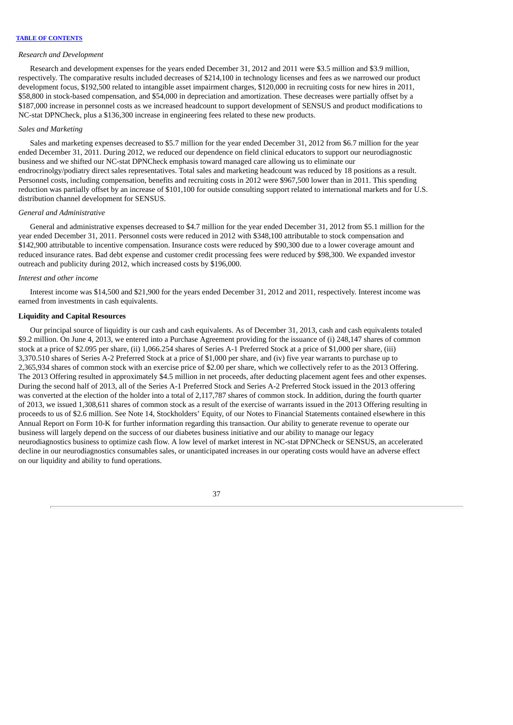#### *Research and Development*

Research and development expenses for the years ended December 31, 2012 and 2011 were \$3.5 million and \$3.9 million, respectively. The comparative results included decreases of \$214,100 in technology licenses and fees as we narrowed our product development focus, \$192,500 related to intangible asset impairment charges, \$120,000 in recruiting costs for new hires in 2011, \$58,800 in stock-based compensation, and \$54,000 in depreciation and amortization. These decreases were partially offset by a \$187,000 increase in personnel costs as we increased headcount to support development of SENSUS and product modifications to NC-stat DPNCheck, plus a \$136,300 increase in engineering fees related to these new products.

# *Sales and Marketing*

Sales and marketing expenses decreased to \$5.7 million for the year ended December 31, 2012 from \$6.7 million for the year ended December 31, 2011. During 2012, we reduced our dependence on field clinical educators to support our neurodiagnostic business and we shifted our NC-stat DPNCheck emphasis toward managed care allowing us to eliminate our endrocrinolgy/podiatry direct sales representatives. Total sales and marketing headcount was reduced by 18 positions as a result. Personnel costs, including compensation, benefits and recruiting costs in 2012 were \$967,500 lower than in 2011. This spending reduction was partially offset by an increase of \$101,100 for outside consulting support related to international markets and for U.S. distribution channel development for SENSUS.

# *General and Administrative*

General and administrative expenses decreased to \$4.7 million for the year ended December 31, 2012 from \$5.1 million for the year ended December 31, 2011. Personnel costs were reduced in 2012 with \$348,100 attributable to stock compensation and \$142,900 attributable to incentive compensation. Insurance costs were reduced by \$90,300 due to a lower coverage amount and reduced insurance rates. Bad debt expense and customer credit processing fees were reduced by \$98,300. We expanded investor outreach and publicity during 2012, which increased costs by \$196,000.

# *Interest and other income*

Interest income was \$14,500 and \$21,900 for the years ended December 31, 2012 and 2011, respectively. Interest income was earned from investments in cash equivalents.

# **Liquidity and Capital Resources**

Our principal source of liquidity is our cash and cash equivalents. As of December 31, 2013, cash and cash equivalents totaled \$9.2 million. On June 4, 2013, we entered into a Purchase Agreement providing for the issuance of (i) 248,147 shares of common stock at a price of \$2.095 per share, (ii) 1,066.254 shares of Series A-1 Preferred Stock at a price of \$1,000 per share, (iii) 3,370.510 shares of Series A-2 Preferred Stock at a price of \$1,000 per share, and (iv) five year warrants to purchase up to 2,365,934 shares of common stock with an exercise price of \$2.00 per share, which we collectively refer to as the 2013 Offering. The 2013 Offering resulted in approximately \$4.5 million in net proceeds, after deducting placement agent fees and other expenses. During the second half of 2013, all of the Series A-1 Preferred Stock and Series A-2 Preferred Stock issued in the 2013 offering was converted at the election of the holder into a total of 2,117,787 shares of common stock. In addition, during the fourth quarter of 2013, we issued 1,308,611 shares of common stock as a result of the exercise of warrants issued in the 2013 Offering resulting in proceeds to us of \$2.6 million. See Note 14, Stockholders' Equity, of our Notes to Financial Statements contained elsewhere in this Annual Report on Form 10-K for further information regarding this transaction. Our ability to generate revenue to operate our business will largely depend on the success of our diabetes business initiative and our ability to manage our legacy neurodiagnostics business to optimize cash flow. A low level of market interest in NC-stat DPNCheck or SENSUS, an accelerated decline in our neurodiagnostics consumables sales, or unanticipated increases in our operating costs would have an adverse effect on our liquidity and ability to fund operations.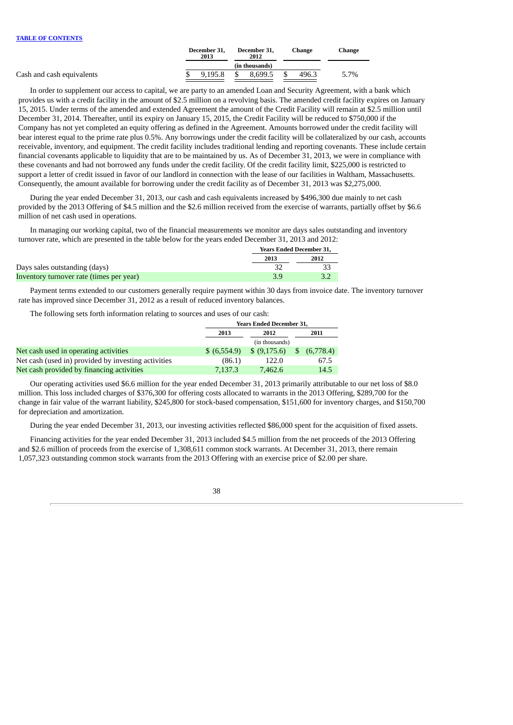|                           | December 31,<br>2013 |      | December 31.<br>2012 | Change | Change |
|---------------------------|----------------------|------|----------------------|--------|--------|
|                           |                      |      | (in thousands)       |        |        |
| Cash and cash equivalents | 9.195.8              | - \$ | 8.699.5              | 496.3  | 5.7%   |
|                           |                      |      |                      |        |        |

In order to supplement our access to capital, we are party to an amended Loan and Security Agreement, with a bank which provides us with a credit facility in the amount of \$2.5 million on a revolving basis. The amended credit facility expires on January 15, 2015. Under terms of the amended and extended Agreement the amount of the Credit Facility will remain at \$2.5 million until December 31, 2014. Thereafter, until its expiry on January 15, 2015, the Credit Facility will be reduced to \$750,000 if the Company has not yet completed an equity offering as defined in the Agreement. Amounts borrowed under the credit facility will bear interest equal to the prime rate plus 0.5%. Any borrowings under the credit facility will be collateralized by our cash, accounts receivable, inventory, and equipment. The credit facility includes traditional lending and reporting covenants. These include certain financial covenants applicable to liquidity that are to be maintained by us. As of December 31, 2013, we were in compliance with these covenants and had not borrowed any funds under the credit facility. Of the credit facility limit, \$225,000 is restricted to support a letter of credit issued in favor of our landlord in connection with the lease of our facilities in Waltham, Massachusetts. Consequently, the amount available for borrowing under the credit facility as of December 31, 2013 was \$2,275,000.

During the year ended December 31, 2013, our cash and cash equivalents increased by \$496,300 due mainly to net cash provided by the 2013 Offering of \$4.5 million and the \$2.6 million received from the exercise of warrants, partially offset by \$6.6 million of net cash used in operations.

In managing our working capital, two of the financial measurements we monitor are days sales outstanding and inventory turnover rate, which are presented in the table below for the years ended December 31, 2013 and 2012:

|                                          | <b>Years Ended December 31,</b> |      |
|------------------------------------------|---------------------------------|------|
|                                          | 2013                            | 2012 |
| Days sales outstanding (days)            |                                 |      |
| Inventory turnover rate (times per year) | 3.9                             |      |

Payment terms extended to our customers generally require payment within 30 days from invoice date. The inventory turnover rate has improved since December 31, 2012 as a result of reduced inventory balances.

The following sets forth information relating to sources and uses of our cash:

|                                                     | <b>Years Ended December 31,</b> |                |               |           |  |  |
|-----------------------------------------------------|---------------------------------|----------------|---------------|-----------|--|--|
|                                                     | 2013                            | 2012           |               | 2011      |  |  |
|                                                     |                                 | (in thousands) |               |           |  |  |
| Net cash used in operating activities               | \$ (6,554.9)                    | \$ (9,175.6)   | <sup>\$</sup> | (6,778.4) |  |  |
| Net cash (used in) provided by investing activities | (86.1)                          | 122.0          |               | 67.5      |  |  |
| Net cash provided by financing activities           | 7.137.3                         | 7.462.6        |               | 14.5      |  |  |

Our operating activities used \$6.6 million for the year ended December 31, 2013 primarily attributable to our net loss of \$8.0 million. This loss included charges of \$376,300 for offering costs allocated to warrants in the 2013 Offering, \$289,700 for the change in fair value of the warrant liability, \$245,800 for stock-based compensation, \$151,600 for inventory charges, and \$150,700 for depreciation and amortization.

During the year ended December 31, 2013, our investing activities reflected \$86,000 spent for the acquisition of fixed assets.

Financing activities for the year ended December 31, 2013 included \$4.5 million from the net proceeds of the 2013 Offering and \$2.6 million of proceeds from the exercise of 1,308,611 common stock warrants. At December 31, 2013, there remain 1,057,323 outstanding common stock warrants from the 2013 Offering with an exercise price of \$2.00 per share.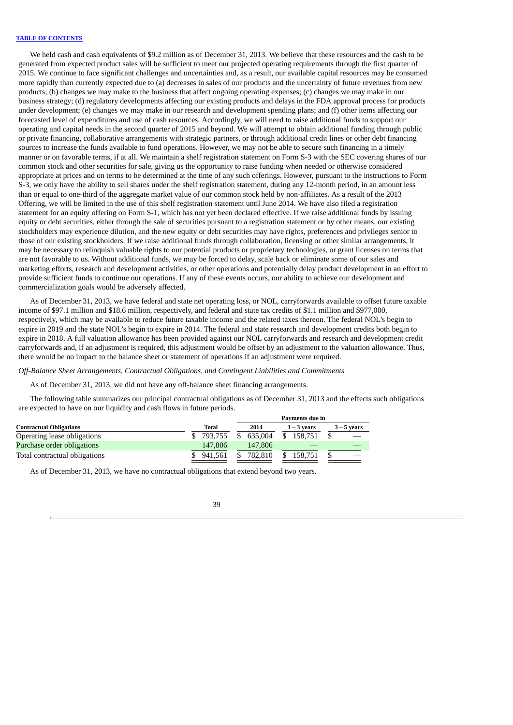We held cash and cash equivalents of \$9.2 million as of December 31, 2013. We believe that these resources and the cash to be generated from expected product sales will be sufficient to meet our projected operating requirements through the first quarter of 2015. We continue to face significant challenges and uncertainties and, as a result, our available capital resources may be consumed more rapidly than currently expected due to (a) decreases in sales of our products and the uncertainty of future revenues from new products; (b) changes we may make to the business that affect ongoing operating expenses; (c) changes we may make in our business strategy; (d) regulatory developments affecting our existing products and delays in the FDA approval process for products under development; (e) changes we may make in our research and development spending plans; and (f) other items affecting our forecasted level of expenditures and use of cash resources. Accordingly, we will need to raise additional funds to support our operating and capital needs in the second quarter of 2015 and beyond. We will attempt to obtain additional funding through public or private financing, collaborative arrangements with strategic partners, or through additional credit lines or other debt financing sources to increase the funds available to fund operations. However, we may not be able to secure such financing in a timely manner or on favorable terms, if at all. We maintain a shelf registration statement on Form S-3 with the SEC covering shares of our common stock and other securities for sale, giving us the opportunity to raise funding when needed or otherwise considered appropriate at prices and on terms to be determined at the time of any such offerings. However, pursuant to the instructions to Form S-3, we only have the ability to sell shares under the shelf registration statement, during any 12-month period, in an amount less than or equal to one-third of the aggregate market value of our common stock held by non-affiliates. As a result of the 2013 Offering, we will be limited in the use of this shelf registration statement until June 2014. We have also filed a registration statement for an equity offering on Form S-1, which has not yet been declared effective. If we raise additional funds by issuing equity or debt securities, either through the sale of securities pursuant to a registration statement or by other means, our existing stockholders may experience dilution, and the new equity or debt securities may have rights, preferences and privileges senior to those of our existing stockholders. If we raise additional funds through collaboration, licensing or other similar arrangements, it may be necessary to relinquish valuable rights to our potential products or proprietary technologies, or grant licenses on terms that are not favorable to us. Without additional funds, we may be forced to delay, scale back or eliminate some of our sales and marketing efforts, research and development activities, or other operations and potentially delay product development in an effort to provide sufficient funds to continue our operations. If any of these events occurs, our ability to achieve our development and commercialization goals would be adversely affected.

As of December 31, 2013, we have federal and state net operating loss, or NOL, carryforwards available to offset future taxable income of \$97.1 million and \$18.6 million, respectively, and federal and state tax credits of \$1.1 million and \$977,000, respectively, which may be available to reduce future taxable income and the related taxes thereon. The federal NOL's begin to expire in 2019 and the state NOL's begin to expire in 2014. The federal and state research and development credits both begin to expire in 2018. A full valuation allowance has been provided against our NOL carryforwards and research and development credit carryforwards and, if an adjustment is required, this adjustment would be offset by an adjustment to the valuation allowance. Thus, there would be no impact to the balance sheet or statement of operations if an adjustment were required.

*Off-Balance Sheet Arrangements, Contractual Obligations, and Contingent Liabilities and Commitments*

As of December 31, 2013, we did not have any off-balance sheet financing arrangements.

The following table summarizes our principal contractual obligations as of December 31, 2013 and the effects such obligations are expected to have on our liquidity and cash flows in future periods.

|                                | Payments due in |         |               |               |  |  |  |  |  |
|--------------------------------|-----------------|---------|---------------|---------------|--|--|--|--|--|
| <b>Contractual Obligations</b> | Total           | 2014    | $1 - 3$ years | $3 - 5$ years |  |  |  |  |  |
| Operating lease obligations    | \$793,755       | 635.004 | 158.751       |               |  |  |  |  |  |
| Purchase order obligations     | 147,806         | 147.806 |               |               |  |  |  |  |  |
| Total contractual obligations  | 941.561         | 782.810 | 158.751       |               |  |  |  |  |  |

As of December 31, 2013, we have no contractual obligations that extend beyond two years.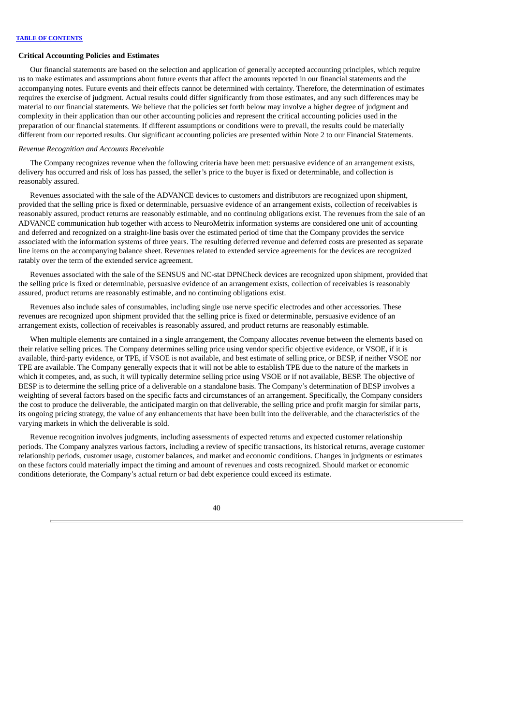# **Critical Accounting Policies and Estimates**

Our financial statements are based on the selection and application of generally accepted accounting principles, which require us to make estimates and assumptions about future events that affect the amounts reported in our financial statements and the accompanying notes. Future events and their effects cannot be determined with certainty. Therefore, the determination of estimates requires the exercise of judgment. Actual results could differ significantly from those estimates, and any such differences may be material to our financial statements. We believe that the policies set forth below may involve a higher degree of judgment and complexity in their application than our other accounting policies and represent the critical accounting policies used in the preparation of our financial statements. If different assumptions or conditions were to prevail, the results could be materially different from our reported results. Our significant accounting policies are presented within Note 2 to our Financial Statements.

# *Revenue Recognition and Accounts Receivable*

The Company recognizes revenue when the following criteria have been met: persuasive evidence of an arrangement exists, delivery has occurred and risk of loss has passed, the seller's price to the buyer is fixed or determinable, and collection is reasonably assured.

Revenues associated with the sale of the ADVANCE devices to customers and distributors are recognized upon shipment, provided that the selling price is fixed or determinable, persuasive evidence of an arrangement exists, collection of receivables is reasonably assured, product returns are reasonably estimable, and no continuing obligations exist. The revenues from the sale of an ADVANCE communication hub together with access to NeuroMetrix information systems are considered one unit of accounting and deferred and recognized on a straight-line basis over the estimated period of time that the Company provides the service associated with the information systems of three years. The resulting deferred revenue and deferred costs are presented as separate line items on the accompanying balance sheet. Revenues related to extended service agreements for the devices are recognized ratably over the term of the extended service agreement.

Revenues associated with the sale of the SENSUS and NC-stat DPNCheck devices are recognized upon shipment, provided that the selling price is fixed or determinable, persuasive evidence of an arrangement exists, collection of receivables is reasonably assured, product returns are reasonably estimable, and no continuing obligations exist.

Revenues also include sales of consumables, including single use nerve specific electrodes and other accessories. These revenues are recognized upon shipment provided that the selling price is fixed or determinable, persuasive evidence of an arrangement exists, collection of receivables is reasonably assured, and product returns are reasonably estimable.

When multiple elements are contained in a single arrangement, the Company allocates revenue between the elements based on their relative selling prices. The Company determines selling price using vendor specific objective evidence, or VSOE, if it is available, third-party evidence, or TPE, if VSOE is not available, and best estimate of selling price, or BESP, if neither VSOE nor TPE are available. The Company generally expects that it will not be able to establish TPE due to the nature of the markets in which it competes, and, as such, it will typically determine selling price using VSOE or if not available, BESP. The objective of BESP is to determine the selling price of a deliverable on a standalone basis. The Company's determination of BESP involves a weighting of several factors based on the specific facts and circumstances of an arrangement. Specifically, the Company considers the cost to produce the deliverable, the anticipated margin on that deliverable, the selling price and profit margin for similar parts, its ongoing pricing strategy, the value of any enhancements that have been built into the deliverable, and the characteristics of the varying markets in which the deliverable is sold.

Revenue recognition involves judgments, including assessments of expected returns and expected customer relationship periods. The Company analyzes various factors, including a review of specific transactions, its historical returns, average customer relationship periods, customer usage, customer balances, and market and economic conditions. Changes in judgments or estimates on these factors could materially impact the timing and amount of revenues and costs recognized. Should market or economic conditions deteriorate, the Company's actual return or bad debt experience could exceed its estimate.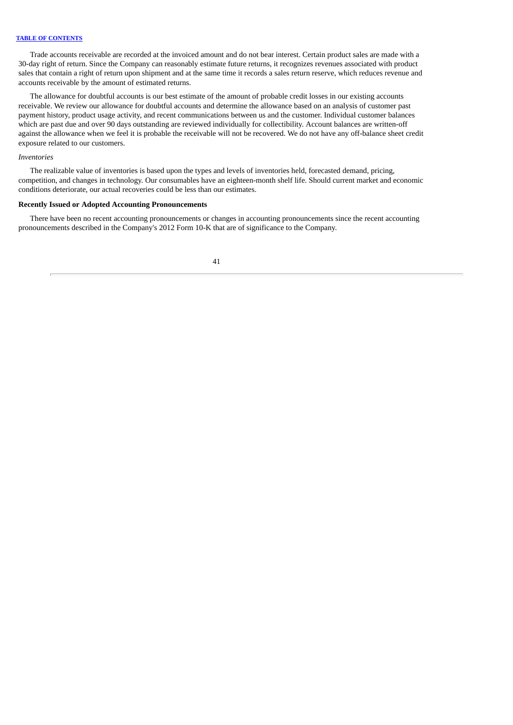Trade accounts receivable are recorded at the invoiced amount and do not bear interest. Certain product sales are made with a 30-day right of return. Since the Company can reasonably estimate future returns, it recognizes revenues associated with product sales that contain a right of return upon shipment and at the same time it records a sales return reserve, which reduces revenue and accounts receivable by the amount of estimated returns.

The allowance for doubtful accounts is our best estimate of the amount of probable credit losses in our existing accounts receivable. We review our allowance for doubtful accounts and determine the allowance based on an analysis of customer past payment history, product usage activity, and recent communications between us and the customer. Individual customer balances which are past due and over 90 days outstanding are reviewed individually for collectibility. Account balances are written-off against the allowance when we feel it is probable the receivable will not be recovered. We do not have any off-balance sheet credit exposure related to our customers.

# *Inventories*

The realizable value of inventories is based upon the types and levels of inventories held, forecasted demand, pricing, competition, and changes in technology. Our consumables have an eighteen-month shelf life. Should current market and economic conditions deteriorate, our actual recoveries could be less than our estimates.

# **Recently Issued or Adopted Accounting Pronouncements**

There have been no recent accounting pronouncements or changes in accounting pronouncements since the recent accounting pronouncements described in the Company's 2012 Form 10-K that are of significance to the Company.

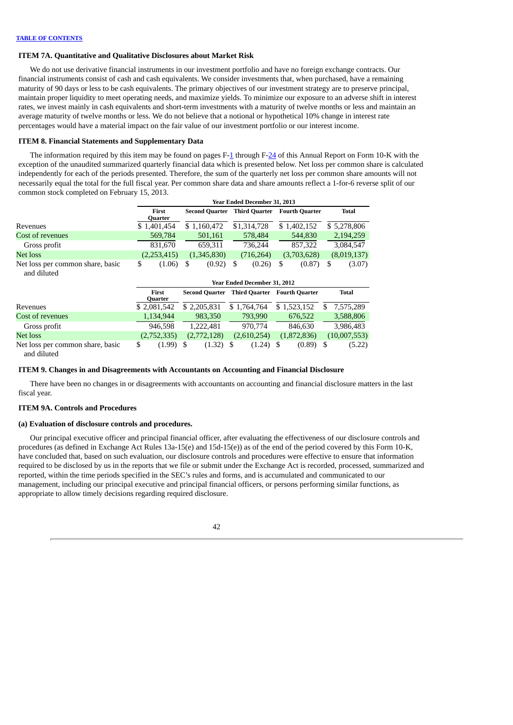# **ITEM 7A. Quantitative and Qualitative Disclosures about Market Risk**

We do not use derivative financial instruments in our investment portfolio and have no foreign exchange contracts. Our financial instruments consist of cash and cash equivalents. We consider investments that, when purchased, have a remaining maturity of 90 days or less to be cash equivalents. The primary objectives of our investment strategy are to preserve principal, maintain proper liquidity to meet operating needs, and maximize yields. To minimize our exposure to an adverse shift in interest rates, we invest mainly in cash equivalents and short-term investments with a maturity of twelve months or less and maintain an average maturity of twelve months or less. We do not believe that a notional or hypothetical 10% change in interest rate percentages would have a material impact on the fair value of our investment portfolio or our interest income.

### **ITEM 8. Financial Statements and Supplementary Data**

The information required by this item may be found on pages F[-1](#page-58-0) through F-[24](#page-81-0) of this Annual Report on Form 10-K with the exception of the unaudited summarized quarterly financial data which is presented below. Net loss per common share is calculated independently for each of the periods presented. Therefore, the sum of the quarterly net loss per common share amounts will not necessarily equal the total for the full fiscal year. Per common share data and share amounts reflect a 1-for-6 reverse split of our common stock completed on February 15, 2013.

|                                                 | Year Ended December 31, 2013 |                  |    |                       |         |                                     |             |                                     |           |              |  |
|-------------------------------------------------|------------------------------|------------------|----|-----------------------|---------|-------------------------------------|-------------|-------------------------------------|-----------|--------------|--|
|                                                 |                              | First<br>Ouarter |    | <b>Second Quarter</b> |         |                                     |             | <b>Third Quarter</b> Fourth Quarter |           | <b>Total</b> |  |
| Revenues                                        | \$1,401,454                  |                  |    | \$1,160,472           |         | \$1,314,728                         | \$1,402,152 |                                     |           | \$5,278,806  |  |
| Cost of revenues                                |                              | 569,784          |    | 501,161               |         | 578,484                             |             | 544,830                             |           | 2,194,259    |  |
| Gross profit                                    |                              | 831,670          |    | 659,311               |         | 736,244                             |             | 857,322                             |           | 3,084,547    |  |
| Net loss                                        |                              | (2,253,415)      |    | (1,345,830)           |         | (716, 264)                          |             | (3,703,628)                         |           | (8,019,137)  |  |
| Net loss per common share, basic<br>and diluted | \$                           | (1.06)           | S  | (0.92)                | S       | (0.26)                              | \$          | (0.87)                              | \$        | (3.07)       |  |
|                                                 |                              |                  |    |                       |         | Year Ended December 31, 2012        |             |                                     |           |              |  |
|                                                 |                              | First<br>Quarter |    | Second Quarter        |         | <b>Third Quarter</b> Fourth Quarter |             |                                     |           | <b>Total</b> |  |
| Revenues                                        | \$2,081,542                  |                  |    | \$2,205,831           |         | \$1,764,764                         |             | \$1,523,152                         | \$.       | 7,575,289    |  |
| Cost of revenues                                |                              | 1,134,944        |    | 983,350               | 793,990 |                                     | 676,522     |                                     |           | 3,588,806    |  |
| Gross profit                                    |                              | 946,598          |    | 1,222,481             | 970,774 |                                     | 846,630     |                                     | 3,986,483 |              |  |
| Net loss                                        |                              | (2,752,335)      |    | (2,772,128)           |         | (2,610,254)                         |             | (1,872,836)                         |           | (10,007,553) |  |
| Net loss per common share, basic<br>and diluted | \$                           | (1.99)           | -S | (1.32)                | -S      | (1.24)                              | S           | (0.89)                              | S         | (5.22)       |  |

#### **ITEM 9. Changes in and Disagreements with Accountants on Accounting and Financial Disclosure**

There have been no changes in or disagreements with accountants on accounting and financial disclosure matters in the last fiscal year.

### **ITEM 9A. Controls and Procedures**

### **(a) Evaluation of disclosure controls and procedures.**

Our principal executive officer and principal financial officer, after evaluating the effectiveness of our disclosure controls and procedures (as defined in Exchange Act Rules 13a-15(e) and 15d-15(e)) as of the end of the period covered by this Form 10-K, have concluded that, based on such evaluation, our disclosure controls and procedures were effective to ensure that information required to be disclosed by us in the reports that we file or submit under the Exchange Act is recorded, processed, summarized and reported, within the time periods specified in the SEC's rules and forms, and is accumulated and communicated to our management, including our principal executive and principal financial officers, or persons performing similar functions, as appropriate to allow timely decisions regarding required disclosure.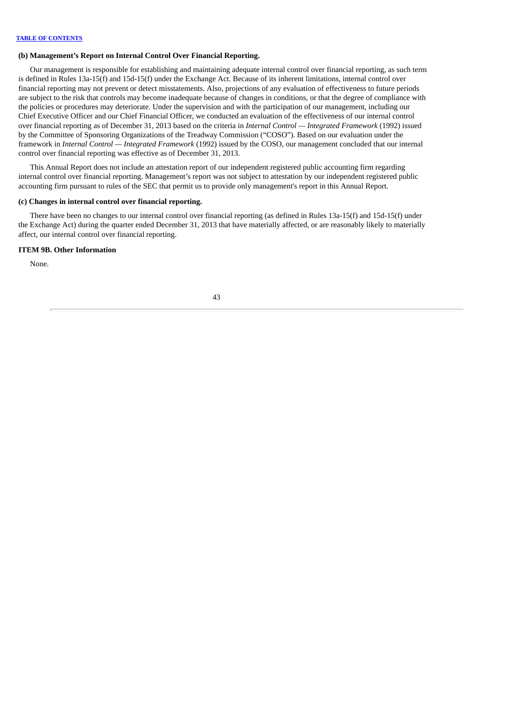# **(b) Management's Report on Internal Control Over Financial Reporting.**

Our management is responsible for establishing and maintaining adequate internal control over financial reporting, as such term is defined in Rules 13a-15(f) and 15d-15(f) under the Exchange Act. Because of its inherent limitations, internal control over financial reporting may not prevent or detect misstatements. Also, projections of any evaluation of effectiveness to future periods are subject to the risk that controls may become inadequate because of changes in conditions, or that the degree of compliance with the policies or procedures may deteriorate. Under the supervision and with the participation of our management, including our Chief Executive Officer and our Chief Financial Officer, we conducted an evaluation of the effectiveness of our internal control over financial reporting as of December 31, 2013 based on the criteria in *Internal Control — Integrated Framework* (1992) issued by the Committee of Sponsoring Organizations of the Treadway Commission ("COSO"). Based on our evaluation under the framework in *Internal Control — Integrated Framework* (1992) issued by the COSO, our management concluded that our internal control over financial reporting was effective as of December 31, 2013.

This Annual Report does not include an attestation report of our independent registered public accounting firm regarding internal control over financial reporting. Management's report was not subject to attestation by our independent registered public accounting firm pursuant to rules of the SEC that permit us to provide only management's report in this Annual Report.

# **(c) Changes in internal control over financial reporting.**

There have been no changes to our internal control over financial reporting (as defined in Rules 13a-15(f) and 15d-15(f) under the Exchange Act) during the quarter ended December 31, 2013 that have materially affected, or are reasonably likely to materially affect, our internal control over financial reporting.

# **ITEM 9B. Other Information**

None.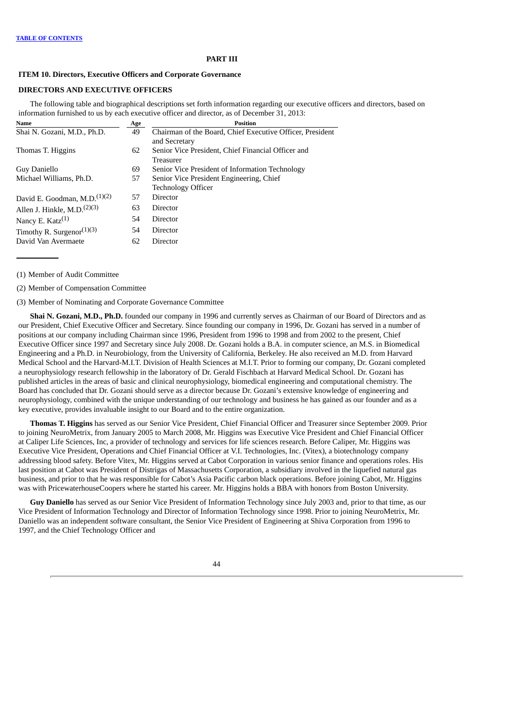### **PART III**

### **ITEM 10. Directors, Executive Officers and Corporate Governance**

# **DIRECTORS AND EXECUTIVE OFFICERS**

The following table and biographical descriptions set forth information regarding our executive officers and directors, based on information furnished to us by each executive officer and director, as of December 31, 2013:

| Name                                  | Age | <b>Position</b>                                           |
|---------------------------------------|-----|-----------------------------------------------------------|
| Shai N. Gozani, M.D., Ph.D.           | 49  | Chairman of the Board, Chief Executive Officer, President |
|                                       |     | and Secretary                                             |
| Thomas T. Higgins                     | 62  | Senior Vice President, Chief Financial Officer and        |
|                                       |     | Treasurer                                                 |
| Guy Daniello                          | 69  | Senior Vice President of Information Technology           |
| Michael Williams, Ph.D.               | 57  | Senior Vice President Engineering, Chief                  |
|                                       |     | <b>Technology Officer</b>                                 |
| David E. Goodman, $M.D.(1)(2)$        | 57  | Director                                                  |
| Allen J. Hinkle, M.D. $(2)(3)$        | 63  | Director                                                  |
| Nancy E. $Katz^{(1)}$                 | 54  | Director                                                  |
| Timothy R. Surgenor <sup>(1)(3)</sup> | 54  | Director                                                  |
| David Van Avermaete                   | 62  | Director                                                  |
|                                       |     |                                                           |

(1) Member of Audit Committee

(2) Member of Compensation Committee

(3) Member of Nominating and Corporate Governance Committee

**Shai N. Gozani, M.D., Ph.D.** founded our company in 1996 and currently serves as Chairman of our Board of Directors and as our President, Chief Executive Officer and Secretary. Since founding our company in 1996, Dr. Gozani has served in a number of positions at our company including Chairman since 1996, President from 1996 to 1998 and from 2002 to the present, Chief Executive Officer since 1997 and Secretary since July 2008. Dr. Gozani holds a B.A. in computer science, an M.S. in Biomedical Engineering and a Ph.D. in Neurobiology, from the University of California, Berkeley. He also received an M.D. from Harvard Medical School and the Harvard-M.I.T. Division of Health Sciences at M.I.T. Prior to forming our company, Dr. Gozani completed a neurophysiology research fellowship in the laboratory of Dr. Gerald Fischbach at Harvard Medical School. Dr. Gozani has published articles in the areas of basic and clinical neurophysiology, biomedical engineering and computational chemistry. The Board has concluded that Dr. Gozani should serve as a director because Dr. Gozani's extensive knowledge of engineering and neurophysiology, combined with the unique understanding of our technology and business he has gained as our founder and as a key executive, provides invaluable insight to our Board and to the entire organization.

**Thomas T. Higgins** has served as our Senior Vice President, Chief Financial Officer and Treasurer since September 2009. Prior to joining NeuroMetrix, from January 2005 to March 2008, Mr. Higgins was Executive Vice President and Chief Financial Officer at Caliper Life Sciences, Inc, a provider of technology and services for life sciences research. Before Caliper, Mr. Higgins was Executive Vice President, Operations and Chief Financial Officer at V.I. Technologies, Inc. (Vitex), a biotechnology company addressing blood safety. Before Vitex, Mr. Higgins served at Cabot Corporation in various senior finance and operations roles. His last position at Cabot was President of Distrigas of Massachusetts Corporation, a subsidiary involved in the liquefied natural gas business, and prior to that he was responsible for Cabot's Asia Pacific carbon black operations. Before joining Cabot, Mr. Higgins was with PricewaterhouseCoopers where he started his career. Mr. Higgins holds a BBA with honors from Boston University.

**Guy Daniello** has served as our Senior Vice President of Information Technology since July 2003 and, prior to that time, as our Vice President of Information Technology and Director of Information Technology since 1998. Prior to joining NeuroMetrix, Mr. Daniello was an independent software consultant, the Senior Vice President of Engineering at Shiva Corporation from 1996 to 1997, and the Chief Technology Officer and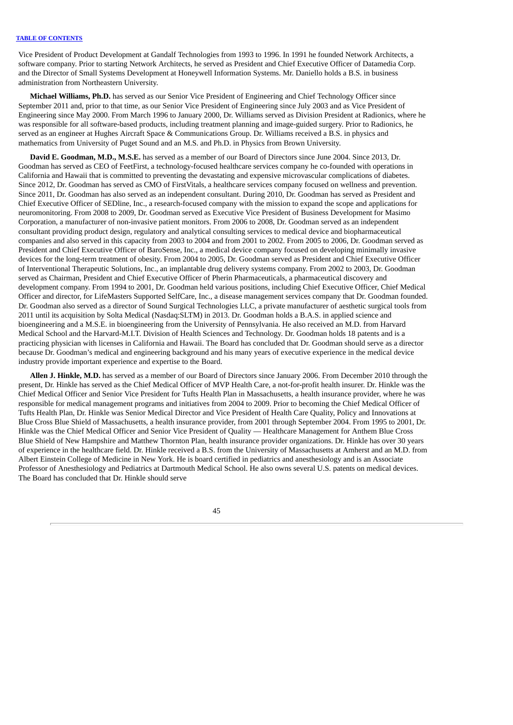Vice President of Product Development at Gandalf Technologies from 1993 to 1996. In 1991 he founded Network Architects, a software company. Prior to starting Network Architects, he served as President and Chief Executive Officer of Datamedia Corp. and the Director of Small Systems Development at Honeywell Information Systems. Mr. Daniello holds a B.S. in business administration from Northeastern University.

**Michael Williams, Ph.D.** has served as our Senior Vice President of Engineering and Chief Technology Officer since September 2011 and, prior to that time, as our Senior Vice President of Engineering since July 2003 and as Vice President of Engineering since May 2000. From March 1996 to January 2000, Dr. Williams served as Division President at Radionics, where he was responsible for all software-based products, including treatment planning and image-guided surgery. Prior to Radionics, he served as an engineer at Hughes Aircraft Space & Communications Group. Dr. Williams received a B.S. in physics and mathematics from University of Puget Sound and an M.S. and Ph.D. in Physics from Brown University.

**David E. Goodman, M.D., M.S.E.** has served as a member of our Board of Directors since June 2004. Since 2013, Dr. Goodman has served as CEO of FeetFirst, a technology-focused healthcare services company he co-founded with operations in California and Hawaii that is committed to preventing the devastating and expensive microvascular complications of diabetes. Since 2012, Dr. Goodman has served as CMO of FirstVitals, a healthcare services company focused on wellness and prevention. Since 2011, Dr. Goodman has also served as an independent consultant. During 2010, Dr. Goodman has served as President and Chief Executive Officer of SEDline, Inc., a research-focused company with the mission to expand the scope and applications for neuromonitoring. From 2008 to 2009, Dr. Goodman served as Executive Vice President of Business Development for Masimo Corporation, a manufacturer of non-invasive patient monitors. From 2006 to 2008, Dr. Goodman served as an independent consultant providing product design, regulatory and analytical consulting services to medical device and biopharmaceutical companies and also served in this capacity from 2003 to 2004 and from 2001 to 2002. From 2005 to 2006, Dr. Goodman served as President and Chief Executive Officer of BaroSense, Inc., a medical device company focused on developing minimally invasive devices for the long-term treatment of obesity. From 2004 to 2005, Dr. Goodman served as President and Chief Executive Officer of Interventional Therapeutic Solutions, Inc., an implantable drug delivery systems company. From 2002 to 2003, Dr. Goodman served as Chairman, President and Chief Executive Officer of Pherin Pharmaceuticals, a pharmaceutical discovery and development company. From 1994 to 2001, Dr. Goodman held various positions, including Chief Executive Officer, Chief Medical Officer and director, for LifeMasters Supported SelfCare, Inc., a disease management services company that Dr. Goodman founded. Dr. Goodman also served as a director of Sound Surgical Technologies LLC, a private manufacturer of aesthetic surgical tools from 2011 until its acquisition by Solta Medical (Nasdaq:SLTM) in 2013. Dr. Goodman holds a B.A.S. in applied science and bioengineering and a M.S.E. in bioengineering from the University of Pennsylvania. He also received an M.D. from Harvard Medical School and the Harvard-M.I.T. Division of Health Sciences and Technology. Dr. Goodman holds 18 patents and is a practicing physician with licenses in California and Hawaii. The Board has concluded that Dr. Goodman should serve as a director because Dr. Goodman's medical and engineering background and his many years of executive experience in the medical device industry provide important experience and expertise to the Board.

**Allen J. Hinkle, M.D.** has served as a member of our Board of Directors since January 2006. From December 2010 through the present, Dr. Hinkle has served as the Chief Medical Officer of MVP Health Care, a not-for-profit health insurer. Dr. Hinkle was the Chief Medical Officer and Senior Vice President for Tufts Health Plan in Massachusetts, a health insurance provider, where he was responsible for medical management programs and initiatives from 2004 to 2009. Prior to becoming the Chief Medical Officer of Tufts Health Plan, Dr. Hinkle was Senior Medical Director and Vice President of Health Care Quality, Policy and Innovations at Blue Cross Blue Shield of Massachusetts, a health insurance provider, from 2001 through September 2004. From 1995 to 2001, Dr. Hinkle was the Chief Medical Officer and Senior Vice President of Quality — Healthcare Management for Anthem Blue Cross Blue Shield of New Hampshire and Matthew Thornton Plan, health insurance provider organizations. Dr. Hinkle has over 30 years of experience in the healthcare field. Dr. Hinkle received a B.S. from the University of Massachusetts at Amherst and an M.D. from Albert Einstein College of Medicine in New York. He is board certified in pediatrics and anesthesiology and is an Associate Professor of Anesthesiology and Pediatrics at Dartmouth Medical School. He also owns several U.S. patents on medical devices. The Board has concluded that Dr. Hinkle should serve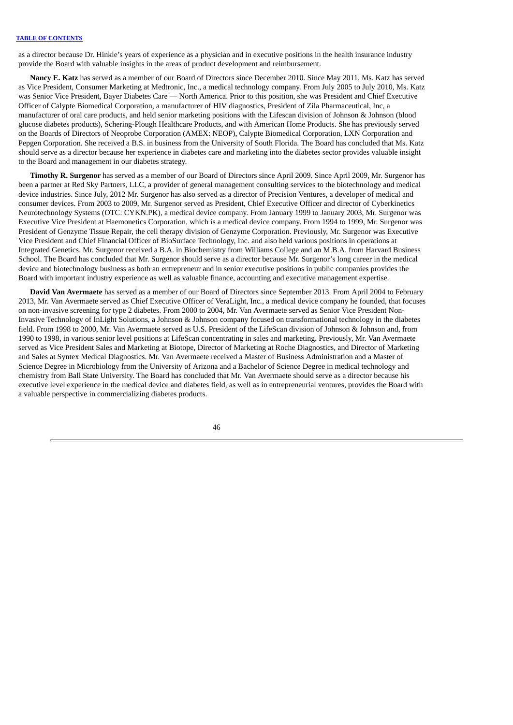as a director because Dr. Hinkle's years of experience as a physician and in executive positions in the health insurance industry provide the Board with valuable insights in the areas of product development and reimbursement.

**Nancy E. Katz** has served as a member of our Board of Directors since December 2010. Since May 2011, Ms. Katz has served as Vice President, Consumer Marketing at Medtronic, Inc., a medical technology company. From July 2005 to July 2010, Ms. Katz was Senior Vice President, Bayer Diabetes Care — North America. Prior to this position, she was President and Chief Executive Officer of Calypte Biomedical Corporation, a manufacturer of HIV diagnostics, President of Zila Pharmaceutical, Inc, a manufacturer of oral care products, and held senior marketing positions with the Lifescan division of Johnson & Johnson (blood glucose diabetes products), Schering-Plough Healthcare Products, and with American Home Products. She has previously served on the Boards of Directors of Neoprobe Corporation (AMEX: NEOP), Calypte Biomedical Corporation, LXN Corporation and Pepgen Corporation. She received a B.S. in business from the University of South Florida. The Board has concluded that Ms. Katz should serve as a director because her experience in diabetes care and marketing into the diabetes sector provides valuable insight to the Board and management in our diabetes strategy.

**Timothy R. Surgenor** has served as a member of our Board of Directors since April 2009. Since April 2009, Mr. Surgenor has been a partner at Red Sky Partners, LLC, a provider of general management consulting services to the biotechnology and medical device industries. Since July, 2012 Mr. Surgenor has also served as a director of Precision Ventures, a developer of medical and consumer devices. From 2003 to 2009, Mr. Surgenor served as President, Chief Executive Officer and director of Cyberkinetics Neurotechnology Systems (OTC: CYKN.PK), a medical device company. From January 1999 to January 2003, Mr. Surgenor was Executive Vice President at Haemonetics Corporation, which is a medical device company. From 1994 to 1999, Mr. Surgenor was President of Genzyme Tissue Repair, the cell therapy division of Genzyme Corporation. Previously, Mr. Surgenor was Executive Vice President and Chief Financial Officer of BioSurface Technology, Inc. and also held various positions in operations at Integrated Genetics. Mr. Surgenor received a B.A. in Biochemistry from Williams College and an M.B.A. from Harvard Business School. The Board has concluded that Mr. Surgenor should serve as a director because Mr. Surgenor's long career in the medical device and biotechnology business as both an entrepreneur and in senior executive positions in public companies provides the Board with important industry experience as well as valuable finance, accounting and executive management expertise.

**David Van Avermaete** has served as a member of our Board of Directors since September 2013. From April 2004 to February 2013, Mr. Van Avermaete served as Chief Executive Officer of VeraLight, Inc., a medical device company he founded, that focuses on non-invasive screening for type 2 diabetes. From 2000 to 2004, Mr. Van Avermaete served as Senior Vice President Non-Invasive Technology of InLight Solutions, a Johnson & Johnson company focused on transformational technology in the diabetes field. From 1998 to 2000, Mr. Van Avermaete served as U.S. President of the LifeScan division of Johnson & Johnson and, from 1990 to 1998, in various senior level positions at LifeScan concentrating in sales and marketing. Previously, Mr. Van Avermaete served as Vice President Sales and Marketing at Biotope, Director of Marketing at Roche Diagnostics, and Director of Marketing and Sales at Syntex Medical Diagnostics. Mr. Van Avermaete received a Master of Business Administration and a Master of Science Degree in Microbiology from the University of Arizona and a Bachelor of Science Degree in medical technology and chemistry from Ball State University. The Board has concluded that Mr. Van Avermaete should serve as a director because his executive level experience in the medical device and diabetes field, as well as in entrepreneurial ventures, provides the Board with a valuable perspective in commercializing diabetes products.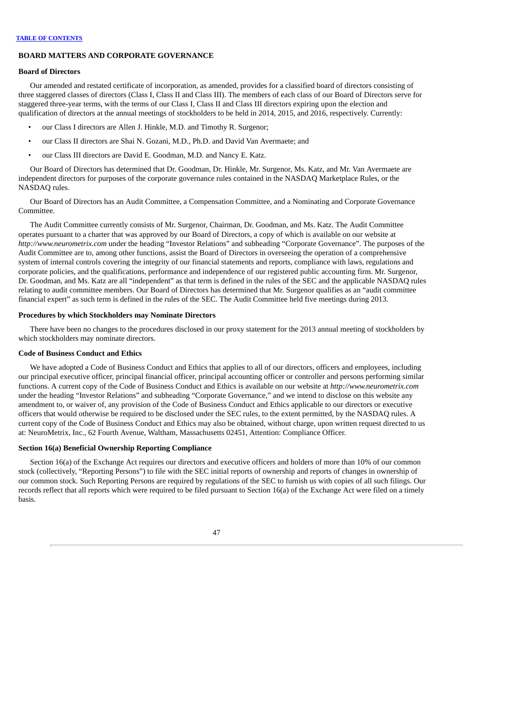# **BOARD MATTERS AND CORPORATE GOVERNANCE**

### **Board of Directors**

Our amended and restated certificate of incorporation, as amended, provides for a classified board of directors consisting of three staggered classes of directors (Class I, Class II and Class III). The members of each class of our Board of Directors serve for staggered three-year terms, with the terms of our Class I, Class II and Class III directors expiring upon the election and qualification of directors at the annual meetings of stockholders to be held in 2014, 2015, and 2016, respectively. Currently:

- our Class I directors are Allen J. Hinkle, M.D. and Timothy R. Surgenor;
- our Class II directors are Shai N. Gozani, M.D., Ph.D. and David Van Avermaete; and
- our Class III directors are David E. Goodman, M.D. and Nancy E. Katz.

Our Board of Directors has determined that Dr. Goodman, Dr. Hinkle, Mr. Surgenor, Ms. Katz, and Mr. Van Avermaete are independent directors for purposes of the corporate governance rules contained in the NASDAQ Marketplace Rules, or the NASDAQ rules.

Our Board of Directors has an Audit Committee, a Compensation Committee, and a Nominating and Corporate Governance Committee.

The Audit Committee currently consists of Mr. Surgenor, Chairman, Dr. Goodman, and Ms. Katz. The Audit Committee operates pursuant to a charter that was approved by our Board of Directors, a copy of which is available on our website at *http://www.neurometrix.com* under the heading "Investor Relations" and subheading "Corporate Governance". The purposes of the Audit Committee are to, among other functions, assist the Board of Directors in overseeing the operation of a comprehensive system of internal controls covering the integrity of our financial statements and reports, compliance with laws, regulations and corporate policies, and the qualifications, performance and independence of our registered public accounting firm. Mr. Surgenor, Dr. Goodman, and Ms. Katz are all "independent" as that term is defined in the rules of the SEC and the applicable NASDAQ rules relating to audit committee members. Our Board of Directors has determined that Mr. Surgenor qualifies as an "audit committee financial expert" as such term is defined in the rules of the SEC. The Audit Committee held five meetings during 2013.

# **Procedures by which Stockholders may Nominate Directors**

There have been no changes to the procedures disclosed in our proxy statement for the 2013 annual meeting of stockholders by which stockholders may nominate directors.

# **Code of Business Conduct and Ethics**

We have adopted a Code of Business Conduct and Ethics that applies to all of our directors, officers and employees, including our principal executive officer, principal financial officer, principal accounting officer or controller and persons performing similar functions. A current copy of the Code of Business Conduct and Ethics is available on our website at *http://www.neurometrix.com* under the heading "Investor Relations" and subheading "Corporate Governance," and we intend to disclose on this website any amendment to, or waiver of, any provision of the Code of Business Conduct and Ethics applicable to our directors or executive officers that would otherwise be required to be disclosed under the SEC rules, to the extent permitted, by the NASDAQ rules. A current copy of the Code of Business Conduct and Ethics may also be obtained, without charge, upon written request directed to us at: NeuroMetrix, Inc., 62 Fourth Avenue, Waltham, Massachusetts 02451, Attention: Compliance Officer.

# **Section 16(a) Beneficial Ownership Reporting Compliance**

Section 16(a) of the Exchange Act requires our directors and executive officers and holders of more than 10% of our common stock (collectively, "Reporting Persons") to file with the SEC initial reports of ownership and reports of changes in ownership of our common stock. Such Reporting Persons are required by regulations of the SEC to furnish us with copies of all such filings. Our records reflect that all reports which were required to be filed pursuant to Section 16(a) of the Exchange Act were filed on a timely basis.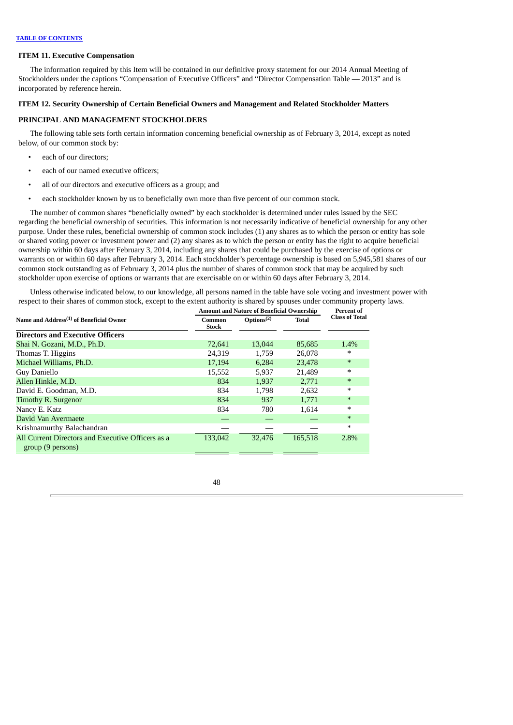### **ITEM 11. Executive Compensation**

The information required by this Item will be contained in our definitive proxy statement for our 2014 Annual Meeting of Stockholders under the captions "Compensation of Executive Officers" and "Director Compensation Table — 2013" and is incorporated by reference herein.

# **ITEM 12. Security Ownership of Certain Beneficial Owners and Management and Related Stockholder Matters**

# **PRINCIPAL AND MANAGEMENT STOCKHOLDERS**

The following table sets forth certain information concerning beneficial ownership as of February 3, 2014, except as noted below, of our common stock by:

- each of our directors;
- each of our named executive officers;
- all of our directors and executive officers as a group; and
- each stockholder known by us to beneficially own more than five percent of our common stock.

The number of common shares "beneficially owned" by each stockholder is determined under rules issued by the SEC regarding the beneficial ownership of securities. This information is not necessarily indicative of beneficial ownership for any other purpose. Under these rules, beneficial ownership of common stock includes (1) any shares as to which the person or entity has sole or shared voting power or investment power and (2) any shares as to which the person or entity has the right to acquire beneficial ownership within 60 days after February 3, 2014, including any shares that could be purchased by the exercise of options or warrants on or within 60 days after February 3, 2014. Each stockholder's percentage ownership is based on 5,945,581 shares of our common stock outstanding as of February 3, 2014 plus the number of shares of common stock that may be acquired by such stockholder upon exercise of options or warrants that are exercisable on or within 60 days after February 3, 2014.

Unless otherwise indicated below, to our knowledge, all persons named in the table have sole voting and investment power with respect to their shares of common stock, except to the extent authority is shared by spouses under community property laws.

|                                                                        | <b>Amount and Nature of Beneficial Ownership</b> | Percent of                          |              |                       |
|------------------------------------------------------------------------|--------------------------------------------------|-------------------------------------|--------------|-----------------------|
| Name and Address <sup>(1)</sup> of Beneficial Owner                    | Common<br><b>Stock</b>                           | Options <sup><math>(2)</math></sup> | <b>Total</b> | <b>Class of Total</b> |
| <b>Directors and Executive Officers</b>                                |                                                  |                                     |              |                       |
| Shai N. Gozani, M.D., Ph.D.                                            | 72.641                                           | 13,044                              | 85,685       | 1.4%                  |
| Thomas T. Higgins                                                      | 24,319                                           | 1,759                               | 26,078       | $\ast$                |
| Michael Williams, Ph.D.                                                | 17,194                                           | 6,284                               | 23,478       | $\ast$                |
| Guy Daniello                                                           | 15,552                                           | 5,937                               | 21.489       | $\ast$                |
| Allen Hinkle, M.D.                                                     | 834                                              | 1,937                               | 2,771        | $*$                   |
| David E. Goodman, M.D.                                                 | 834                                              | 1.798                               | 2,632        | $\ast$                |
| Timothy R. Surgenor                                                    | 834                                              | 937                                 | 1,771        | $*$                   |
| Nancy E. Katz                                                          | 834                                              | 780                                 | 1,614        | $\ast$                |
| David Van Avermaete                                                    |                                                  |                                     |              | $\ast$                |
| Krishnamurthy Balachandran                                             |                                                  |                                     |              | $\ast$                |
| All Current Directors and Executive Officers as a<br>group (9 persons) | 133,042                                          | 32,476                              | 165,518      | 2.8%                  |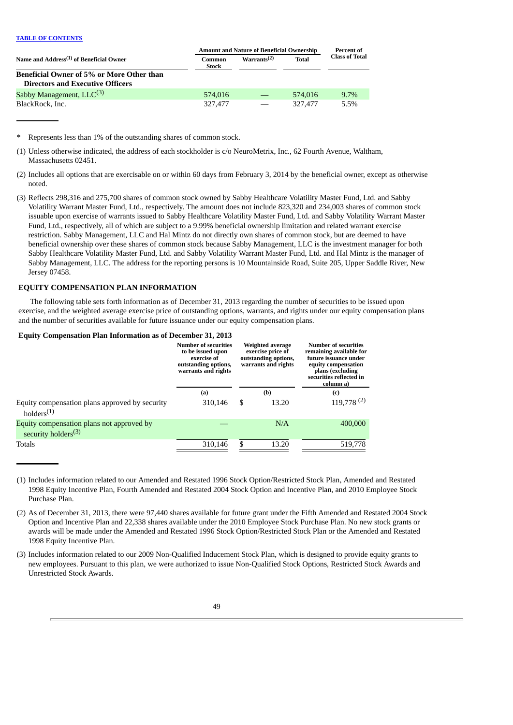|                                                     | <b>Amount and Nature of Beneficial Ownership</b> | <b>Percent of</b>       |              |                       |  |
|-----------------------------------------------------|--------------------------------------------------|-------------------------|--------------|-----------------------|--|
| Name and Address <sup>(1)</sup> of Beneficial Owner | Common<br>Stock                                  | Warrants <sup>(2)</sup> | <b>Total</b> | <b>Class of Total</b> |  |
| <b>Beneficial Owner of 5% or More Other than</b>    |                                                  |                         |              |                       |  |
| <b>Directors and Executive Officers</b>             |                                                  |                         |              |                       |  |
| Sabby Management, $LLC^{(3)}$                       | 574,016                                          |                         | 574.016      | $9.7\%$               |  |
| BlackRock, Inc.                                     | 327,477                                          |                         | 327.477      | 5.5%                  |  |

Represents less than 1% of the outstanding shares of common stock.

- (1) Unless otherwise indicated, the address of each stockholder is c/o NeuroMetrix, Inc., 62 Fourth Avenue, Waltham, Massachusetts 02451.
- (2) Includes all options that are exercisable on or within 60 days from February 3, 2014 by the beneficial owner, except as otherwise noted.
- (3) Reflects 298,316 and 275,700 shares of common stock owned by Sabby Healthcare Volatility Master Fund, Ltd. and Sabby Volatility Warrant Master Fund, Ltd., respectively. The amount does not include 823,320 and 234,003 shares of common stock issuable upon exercise of warrants issued to Sabby Healthcare Volatility Master Fund, Ltd. and Sabby Volatility Warrant Master Fund, Ltd., respectively, all of which are subject to a 9.99% beneficial ownership limitation and related warrant exercise restriction. Sabby Management, LLC and Hal Mintz do not directly own shares of common stock, but are deemed to have beneficial ownership over these shares of common stock because Sabby Management, LLC is the investment manager for both Sabby Healthcare Volatility Master Fund, Ltd. and Sabby Volatility Warrant Master Fund, Ltd. and Hal Mintz is the manager of Sabby Management, LLC. The address for the reporting persons is 10 Mountainside Road, Suite 205, Upper Saddle River, New Jersey 07458.

# **EQUITY COMPENSATION PLAN INFORMATION**

The following table sets forth information as of December 31, 2013 regarding the number of securities to be issued upon exercise, and the weighted average exercise price of outstanding options, warrants, and rights under our equity compensation plans and the number of securities available for future issuance under our equity compensation plans.

# **Equity Compensation Plan Information as of December 31, 2013**

|                                                                                          | Number of securities<br>to be issued upon<br>exercise of<br>outstanding options,<br>warrants and rights | <b>Weighted average</b><br>exercise price of<br>outstanding options,<br>warrants and rights |       | Number of securities<br>remaining available for<br>future issuance under<br>equity compensation<br>plans (excluding<br>securities reflected in<br>column a) |
|------------------------------------------------------------------------------------------|---------------------------------------------------------------------------------------------------------|---------------------------------------------------------------------------------------------|-------|-------------------------------------------------------------------------------------------------------------------------------------------------------------|
|                                                                                          | (a)                                                                                                     |                                                                                             | (b)   | (c)                                                                                                                                                         |
| Equity compensation plans approved by security<br>$h$ olders <sup><math>(1)</math></sup> | 310,146                                                                                                 | \$                                                                                          | 13.20 | 119,778(2)                                                                                                                                                  |
| Equity compensation plans not approved by<br>security holders $(3)$                      |                                                                                                         |                                                                                             | N/A   | 400,000                                                                                                                                                     |
| Totals                                                                                   | 310,146                                                                                                 |                                                                                             | 13.20 | 519,778                                                                                                                                                     |

(1) Includes information related to our Amended and Restated 1996 Stock Option/Restricted Stock Plan, Amended and Restated 1998 Equity Incentive Plan, Fourth Amended and Restated 2004 Stock Option and Incentive Plan, and 2010 Employee Stock Purchase Plan.

(2) As of December 31, 2013, there were 97,440 shares available for future grant under the Fifth Amended and Restated 2004 Stock Option and Incentive Plan and 22,338 shares available under the 2010 Employee Stock Purchase Plan. No new stock grants or awards will be made under the Amended and Restated 1996 Stock Option/Restricted Stock Plan or the Amended and Restated 1998 Equity Incentive Plan.

(3) Includes information related to our 2009 Non-Qualified Inducement Stock Plan, which is designed to provide equity grants to new employees. Pursuant to this plan, we were authorized to issue Non-Qualified Stock Options, Restricted Stock Awards and Unrestricted Stock Awards.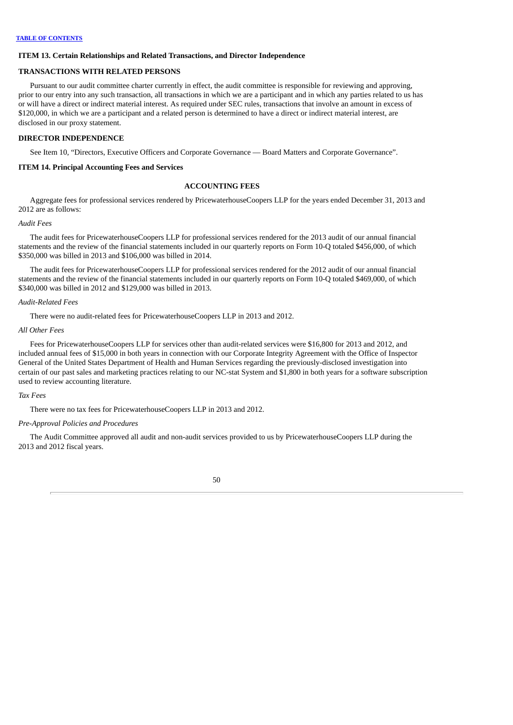# **ITEM 13. Certain Relationships and Related Transactions, and Director Independence**

# **TRANSACTIONS WITH RELATED PERSONS**

Pursuant to our audit committee charter currently in effect, the audit committee is responsible for reviewing and approving, prior to our entry into any such transaction, all transactions in which we are a participant and in which any parties related to us has or will have a direct or indirect material interest. As required under SEC rules, transactions that involve an amount in excess of \$120,000, in which we are a participant and a related person is determined to have a direct or indirect material interest, are disclosed in our proxy statement.

# **DIRECTOR INDEPENDENCE**

See Item 10, "Directors, Executive Officers and Corporate Governance — Board Matters and Corporate Governance".

# **ITEM 14. Principal Accounting Fees and Services**

# **ACCOUNTING FEES**

Aggregate fees for professional services rendered by PricewaterhouseCoopers LLP for the years ended December 31, 2013 and 2012 are as follows:

# *Audit Fees*

The audit fees for PricewaterhouseCoopers LLP for professional services rendered for the 2013 audit of our annual financial statements and the review of the financial statements included in our quarterly reports on Form 10-Q totaled \$456,000, of which \$350,000 was billed in 2013 and \$106,000 was billed in 2014.

The audit fees for PricewaterhouseCoopers LLP for professional services rendered for the 2012 audit of our annual financial statements and the review of the financial statements included in our quarterly reports on Form 10-Q totaled \$469,000, of which \$340,000 was billed in 2012 and \$129,000 was billed in 2013.

# *Audit-Related Fees*

There were no audit-related fees for PricewaterhouseCoopers LLP in 2013 and 2012.

#### *All Other Fees*

Fees for PricewaterhouseCoopers LLP for services other than audit-related services were \$16,800 for 2013 and 2012, and included annual fees of \$15,000 in both years in connection with our Corporate Integrity Agreement with the Office of Inspector General of the United States Department of Health and Human Services regarding the previously-disclosed investigation into certain of our past sales and marketing practices relating to our NC-stat System and \$1,800 in both years for a software subscription used to review accounting literature.

#### *Tax Fees*

There were no tax fees for PricewaterhouseCoopers LLP in 2013 and 2012.

# *Pre-Approval Policies and Procedures*

The Audit Committee approved all audit and non-audit services provided to us by PricewaterhouseCoopers LLP during the 2013 and 2012 fiscal years.

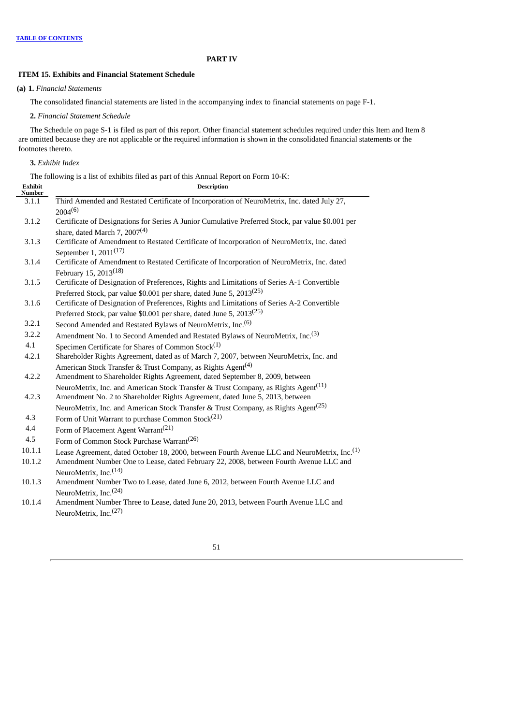# **PART IV**

# **ITEM 15. Exhibits and Financial Statement Schedule**

**(a) 1.** *Financial Statements*

The consolidated financial statements are listed in the accompanying index to financial statements on page F-1.

**2.** *Financial Statement Schedule*

The Schedule on page S-1 is filed as part of this report. Other financial statement schedules required under this Item and Item 8 are omitted because they are not applicable or the required information is shown in the consolidated financial statements or the footnotes thereto.

**3.** *Exhibit Index*

The following is a list of exhibits filed as part of this Annual Report on Form 10-K:

| <b>Exhibit</b><br><b>Number</b> | <b>Description</b>                                                                                                                                                             |
|---------------------------------|--------------------------------------------------------------------------------------------------------------------------------------------------------------------------------|
| 3.1.1                           | Third Amended and Restated Certificate of Incorporation of NeuroMetrix, Inc. dated July 27,<br>$2004^{(6)}$                                                                    |
| 3.1.2                           | Certificate of Designations for Series A Junior Cumulative Preferred Stock, par value \$0.001 per<br>share, dated March 7, $2007(4)$                                           |
| 3.1.3                           | Certificate of Amendment to Restated Certificate of Incorporation of NeuroMetrix, Inc. dated<br>September 1, 2011 <sup>(17)</sup>                                              |
| 3.1.4                           | Certificate of Amendment to Restated Certificate of Incorporation of NeuroMetrix, Inc. dated<br>February 15, 2013 <sup>(18)</sup>                                              |
| 3.1.5                           | Certificate of Designation of Preferences, Rights and Limitations of Series A-1 Convertible                                                                                    |
|                                 | Preferred Stock, par value \$0.001 per share, dated June 5, 2013 <sup>(25)</sup>                                                                                               |
| 3.1.6                           | Certificate of Designation of Preferences, Rights and Limitations of Series A-2 Convertible                                                                                    |
|                                 | Preferred Stock, par value \$0.001 per share, dated June 5, 2013 <sup>(25)</sup>                                                                                               |
| 3.2.1                           | Second Amended and Restated Bylaws of NeuroMetrix, Inc. <sup>(6)</sup>                                                                                                         |
| 3.2.2                           | Amendment No. 1 to Second Amended and Restated Bylaws of NeuroMetrix, Inc. <sup>(3)</sup>                                                                                      |
| 4.1                             | Specimen Certificate for Shares of Common Stock <sup>(1)</sup>                                                                                                                 |
| 4.2.1                           | Shareholder Rights Agreement, dated as of March 7, 2007, between NeuroMetrix, Inc. and                                                                                         |
|                                 | American Stock Transfer & Trust Company, as Rights Agent <sup>(4)</sup>                                                                                                        |
| 4.2.2                           | Amendment to Shareholder Rights Agreement, dated September 8, 2009, between                                                                                                    |
| 4.2.3                           | NeuroMetrix, Inc. and American Stock Transfer & Trust Company, as Rights Agent <sup>(11)</sup><br>Amendment No. 2 to Shareholder Rights Agreement, dated June 5, 2013, between |
|                                 | NeuroMetrix, Inc. and American Stock Transfer & Trust Company, as Rights Agent <sup>(25)</sup>                                                                                 |
| 4.3                             | Form of Unit Warrant to purchase Common Stock <sup>(21)</sup>                                                                                                                  |
| 4.4                             | Form of Placement Agent Warrant <sup>(21)</sup>                                                                                                                                |
| 4.5                             | Form of Common Stock Purchase Warrant <sup>(26)</sup>                                                                                                                          |
| 10.1.1                          | Lease Agreement, dated October 18, 2000, between Fourth Avenue LLC and NeuroMetrix, Inc. <sup>(1)</sup>                                                                        |
| 10.1.2                          | Amendment Number One to Lease, dated February 22, 2008, between Fourth Avenue LLC and                                                                                          |
|                                 | NeuroMetrix, Inc. <sup>(14)</sup>                                                                                                                                              |
| 10.1.3                          | Amendment Number Two to Lease, dated June 6, 2012, between Fourth Avenue LLC and                                                                                               |
|                                 | NeuroMetrix, Inc. <sup>(24)</sup>                                                                                                                                              |
| 10.1.4                          | Amendment Number Three to Lease, dated June 20, 2013, between Fourth Avenue LLC and                                                                                            |
|                                 | NeuroMetrix, Inc. <sup>(27)</sup>                                                                                                                                              |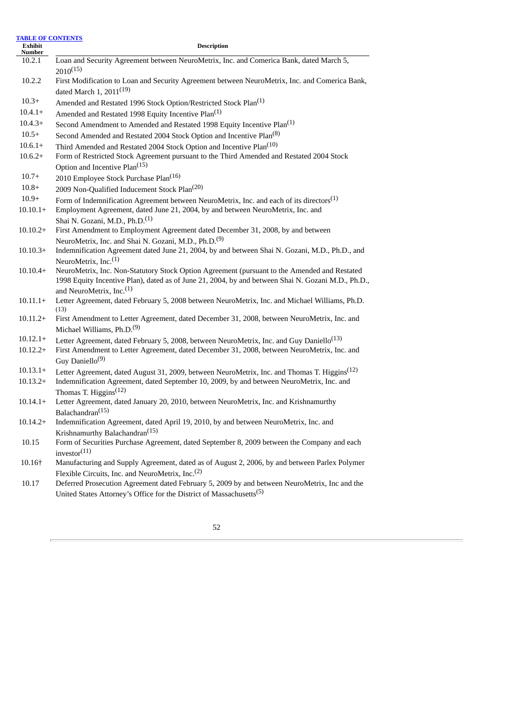| <b>TABLE OF CONTENTS</b> |                                                                                                                                                                                                                                            |
|--------------------------|--------------------------------------------------------------------------------------------------------------------------------------------------------------------------------------------------------------------------------------------|
| Exhibit<br>Number        | <b>Description</b>                                                                                                                                                                                                                         |
| 10.2.1                   | Loan and Security Agreement between NeuroMetrix, Inc. and Comerica Bank, dated March 5,<br>$2010^{(15)}$                                                                                                                                   |
| 10.2.2                   | First Modification to Loan and Security Agreement between NeuroMetrix, Inc. and Comerica Bank,                                                                                                                                             |
|                          | dated March 1, 2011 <sup>(19)</sup>                                                                                                                                                                                                        |
| $10.3+$                  | Amended and Restated 1996 Stock Option/Restricted Stock Plan <sup>(1)</sup>                                                                                                                                                                |
| $10.4.1+$                | Amended and Restated 1998 Equity Incentive Plan <sup>(1)</sup>                                                                                                                                                                             |
| $10.4.3+$                | Second Amendment to Amended and Restated 1998 Equity Incentive Plan <sup>(1)</sup>                                                                                                                                                         |
| $10.5+$                  | Second Amended and Restated 2004 Stock Option and Incentive Plan <sup>(8)</sup>                                                                                                                                                            |
| $10.6.1+$                | Third Amended and Restated 2004 Stock Option and Incentive Plan <sup>(10)</sup>                                                                                                                                                            |
| $10.6.2+$                | Form of Restricted Stock Agreement pursuant to the Third Amended and Restated 2004 Stock<br>Option and Incentive Plan <sup>(15)</sup>                                                                                                      |
| $10.7+$                  | 2010 Employee Stock Purchase Plan <sup>(16)</sup>                                                                                                                                                                                          |
| $10.8+$                  | 2009 Non-Qualified Inducement Stock Plan <sup>(20)</sup>                                                                                                                                                                                   |
| $10.9+$                  | Form of Indemnification Agreement between NeuroMetrix, Inc. and each of its directors <sup>(1)</sup>                                                                                                                                       |
| $10.10.1+$               | Employment Agreement, dated June 21, 2004, by and between NeuroMetrix, Inc. and                                                                                                                                                            |
|                          | Shai N. Gozani, M.D., Ph.D. <sup>(1)</sup>                                                                                                                                                                                                 |
| $10.10.2+$               | First Amendment to Employment Agreement dated December 31, 2008, by and between                                                                                                                                                            |
| $10.10.3+$               | NeuroMetrix, Inc. and Shai N. Gozani, M.D., Ph.D. <sup>(9)</sup><br>Indemnification Agreement dated June 21, 2004, by and between Shai N. Gozani, M.D., Ph.D., and                                                                         |
|                          | NeuroMetrix, Inc. $(1)$                                                                                                                                                                                                                    |
| $10.10.4+$               | NeuroMetrix, Inc. Non-Statutory Stock Option Agreement (pursuant to the Amended and Restated<br>1998 Equity Incentive Plan), dated as of June 21, 2004, by and between Shai N. Gozani M.D., Ph.D.,<br>and NeuroMetrix, Inc. <sup>(1)</sup> |
| $10.11.1+$               | Letter Agreement, dated February 5, 2008 between NeuroMetrix, Inc. and Michael Williams, Ph.D.<br>(13)                                                                                                                                     |
| $10.11.2+$               | First Amendment to Letter Agreement, dated December 31, 2008, between NeuroMetrix, Inc. and<br>Michael Williams, Ph.D. <sup>(9)</sup>                                                                                                      |
| $10.12.1+$               | Letter Agreement, dated February 5, 2008, between NeuroMetrix, Inc. and Guy Daniello <sup>(13)</sup>                                                                                                                                       |
| $10.12.2+$               | First Amendment to Letter Agreement, dated December 31, 2008, between NeuroMetrix, Inc. and<br>Guy Daniello <sup>(9)</sup>                                                                                                                 |
| $10.13.1+$               | Letter Agreement, dated August 31, 2009, between NeuroMetrix, Inc. and Thomas T. Higgins <sup>(12)</sup>                                                                                                                                   |
| $10.13.2+$               | Indemnification Agreement, dated September 10, 2009, by and between NeuroMetrix, Inc. and                                                                                                                                                  |
|                          | Thomas T. Higgins <sup><math>(12)</math></sup>                                                                                                                                                                                             |
| $10.14.1+$               | Letter Agreement, dated January 20, 2010, between NeuroMetrix, Inc. and Krishnamurthy                                                                                                                                                      |
|                          | Balachandran <sup>(15)</sup>                                                                                                                                                                                                               |
| $10.14.2+$               | Indemnification Agreement, dated April 19, 2010, by and between NeuroMetrix, Inc. and                                                                                                                                                      |
| 10.15                    | Krishnamurthy Balachandran <sup>(15)</sup><br>Form of Securities Purchase Agreement, dated September 8, 2009 between the Company and each                                                                                                  |
|                          | investor <sup>(11)</sup>                                                                                                                                                                                                                   |
| 10.16+                   | Manufacturing and Supply Agreement, dated as of August 2, 2006, by and between Parlex Polymer                                                                                                                                              |
|                          | Flexible Circuits, Inc. and NeuroMetrix, Inc. <sup>(2)</sup>                                                                                                                                                                               |
| 10.17                    | Deferred Prosecution Agreement dated February 5, 2009 by and between NeuroMetrix, Inc and the                                                                                                                                              |
|                          | United States Attorney's Office for the District of Massachusetts <sup>(5)</sup>                                                                                                                                                           |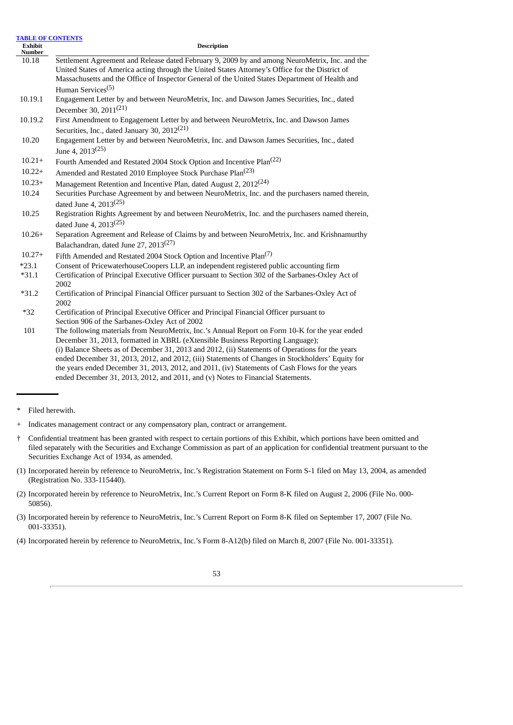| <b>Exhibit</b><br><b>Number</b> | <b>Description</b>                                                                                                                                                                                                                                                                                                                                                                                                                                                                                                                                                            |
|---------------------------------|-------------------------------------------------------------------------------------------------------------------------------------------------------------------------------------------------------------------------------------------------------------------------------------------------------------------------------------------------------------------------------------------------------------------------------------------------------------------------------------------------------------------------------------------------------------------------------|
| 10.18                           | Settlement Agreement and Release dated February 9, 2009 by and among NeuroMetrix, Inc. and the<br>United States of America acting through the United States Attorney's Office for the District of<br>Massachusetts and the Office of Inspector General of the United States Department of Health and                                                                                                                                                                                                                                                                          |
|                                 | Human Services <sup>(5)</sup>                                                                                                                                                                                                                                                                                                                                                                                                                                                                                                                                                 |
| 10.19.1                         | Engagement Letter by and between NeuroMetrix, Inc. and Dawson James Securities, Inc., dated<br>December 30, 2011 <sup>(21)</sup>                                                                                                                                                                                                                                                                                                                                                                                                                                              |
| 10.19.2                         | First Amendment to Engagement Letter by and between NeuroMetrix, Inc. and Dawson James<br>Securities, Inc., dated January 30, $2012^{(21)}$                                                                                                                                                                                                                                                                                                                                                                                                                                   |
| 10.20                           | Engagement Letter by and between NeuroMetrix, Inc. and Dawson James Securities, Inc., dated<br>June 4, 2013 <sup>(25)</sup>                                                                                                                                                                                                                                                                                                                                                                                                                                                   |
| $10.21+$                        | Fourth Amended and Restated 2004 Stock Option and Incentive Plan <sup>(22)</sup>                                                                                                                                                                                                                                                                                                                                                                                                                                                                                              |
| $10.22+$                        | Amended and Restated 2010 Employee Stock Purchase Plan <sup>(23)</sup>                                                                                                                                                                                                                                                                                                                                                                                                                                                                                                        |
| $10.23+$                        | Management Retention and Incentive Plan, dated August 2, 2012 <sup>(24)</sup>                                                                                                                                                                                                                                                                                                                                                                                                                                                                                                 |
| 10.24                           | Securities Purchase Agreement by and between NeuroMetrix, Inc. and the purchasers named therein,<br>dated June 4, 2013 <sup>(25)</sup>                                                                                                                                                                                                                                                                                                                                                                                                                                        |
| 10.25                           | Registration Rights Agreement by and between NeuroMetrix, Inc. and the purchasers named therein,<br>dated June 4, 2013 <sup>(25)</sup>                                                                                                                                                                                                                                                                                                                                                                                                                                        |
| $10.26+$                        | Separation Agreement and Release of Claims by and between NeuroMetrix, Inc. and Krishnamurthy<br>Balachandran, dated June 27, 2013 <sup>(27)</sup>                                                                                                                                                                                                                                                                                                                                                                                                                            |
| $10.27+$                        | Fifth Amended and Restated 2004 Stock Option and Incentive Plan <sup>(7)</sup>                                                                                                                                                                                                                                                                                                                                                                                                                                                                                                |
| $*23.1$                         | Consent of PricewaterhouseCoopers LLP, an independent registered public accounting firm                                                                                                                                                                                                                                                                                                                                                                                                                                                                                       |
| $*31.1$                         | Certification of Principal Executive Officer pursuant to Section 302 of the Sarbanes-Oxley Act of<br>2002                                                                                                                                                                                                                                                                                                                                                                                                                                                                     |
| $*31.2$                         | Certification of Principal Financial Officer pursuant to Section 302 of the Sarbanes-Oxley Act of<br>2002                                                                                                                                                                                                                                                                                                                                                                                                                                                                     |
| $*32$                           | Certification of Principal Executive Officer and Principal Financial Officer pursuant to<br>Section 906 of the Sarbanes-Oxley Act of 2002                                                                                                                                                                                                                                                                                                                                                                                                                                     |
| 101                             | The following materials from NeuroMetrix, Inc.'s Annual Report on Form 10-K for the year ended<br>December 31, 2013, formatted in XBRL (eXtensible Business Reporting Language);<br>(i) Balance Sheets as of December 31, 2013 and 2012, (ii) Statements of Operations for the years<br>ended December 31, 2013, 2012, and 2012, (iii) Statements of Changes in Stockholders' Equity for<br>the years ended December 31, 2013, 2012, and 2011, (iv) Statements of Cash Flows for the years<br>ended December 31, 2013, 2012, and 2011, and (v) Notes to Financial Statements. |

<sup>\*</sup> Filed herewith.

- † Confidential treatment has been granted with respect to certain portions of this Exhibit, which portions have been omitted and filed separately with the Securities and Exchange Commission as part of an application for confidential treatment pursuant to the Securities Exchange Act of 1934, as amended.
- (1) Incorporated herein by reference to NeuroMetrix, Inc.'s Registration Statement on Form S-1 filed on May 13, 2004, as amended (Registration No. 333-115440).

(4) Incorporated herein by reference to NeuroMetrix, Inc.'s Form 8-A12(b) filed on March 8, 2007 (File No. 001-33351).

Indicates management contract or any compensatory plan, contract or arrangement.

<sup>(2)</sup> Incorporated herein by reference to NeuroMetrix, Inc.'s Current Report on Form 8-K filed on August 2, 2006 (File No. 000- 50856).

<sup>(3)</sup> Incorporated herein by reference to NeuroMetrix, Inc.'s Current Report on Form 8-K filed on September 17, 2007 (File No. 001-33351).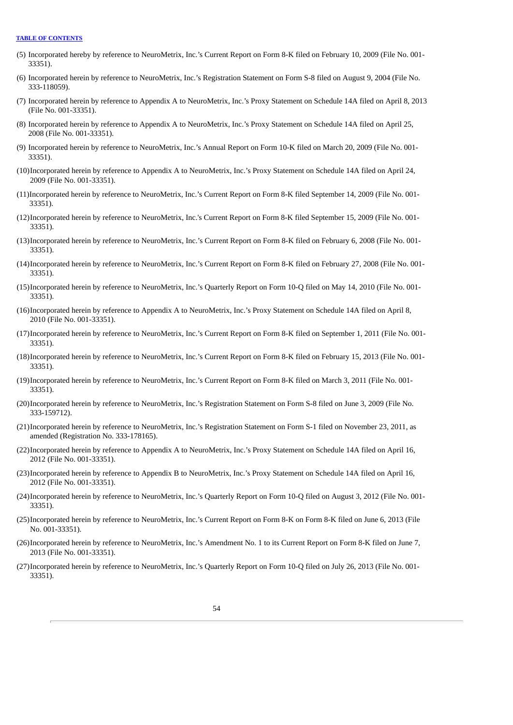- (5) Incorporated hereby by reference to NeuroMetrix, Inc.'s Current Report on Form 8-K filed on February 10, 2009 (File No. 001- 33351).
- (6) Incorporated herein by reference to NeuroMetrix, Inc.'s Registration Statement on Form S-8 filed on August 9, 2004 (File No. 333-118059).
- (7) Incorporated herein by reference to Appendix A to NeuroMetrix, Inc.'s Proxy Statement on Schedule 14A filed on April 8, 2013 (File No. 001-33351).
- (8) Incorporated herein by reference to Appendix A to NeuroMetrix, Inc.'s Proxy Statement on Schedule 14A filed on April 25, 2008 (File No. 001-33351).
- (9) Incorporated herein by reference to NeuroMetrix, Inc.'s Annual Report on Form 10-K filed on March 20, 2009 (File No. 001- 33351).
- (10)Incorporated herein by reference to Appendix A to NeuroMetrix, Inc.'s Proxy Statement on Schedule 14A filed on April 24, 2009 (File No. 001-33351).
- (11)Incorporated herein by reference to NeuroMetrix, Inc.'s Current Report on Form 8-K filed September 14, 2009 (File No. 001- 33351).
- (12)Incorporated herein by reference to NeuroMetrix, Inc.'s Current Report on Form 8-K filed September 15, 2009 (File No. 001- 33351).
- (13)Incorporated herein by reference to NeuroMetrix, Inc.'s Current Report on Form 8-K filed on February 6, 2008 (File No. 001- 33351).
- (14)Incorporated herein by reference to NeuroMetrix, Inc.'s Current Report on Form 8-K filed on February 27, 2008 (File No. 001- 33351).
- (15)Incorporated herein by reference to NeuroMetrix, Inc.'s Quarterly Report on Form 10-Q filed on May 14, 2010 (File No. 001- 33351).
- (16)Incorporated herein by reference to Appendix A to NeuroMetrix, Inc.'s Proxy Statement on Schedule 14A filed on April 8, 2010 (File No. 001-33351).
- (17)Incorporated herein by reference to NeuroMetrix, Inc.'s Current Report on Form 8-K filed on September 1, 2011 (File No. 001- 33351).
- (18)Incorporated herein by reference to NeuroMetrix, Inc.'s Current Report on Form 8-K filed on February 15, 2013 (File No. 001- 33351).
- (19)Incorporated herein by reference to NeuroMetrix, Inc.'s Current Report on Form 8-K filed on March 3, 2011 (File No. 001- 33351).
- (20)Incorporated herein by reference to NeuroMetrix, Inc.'s Registration Statement on Form S-8 filed on June 3, 2009 (File No. 333-159712).
- (21)Incorporated herein by reference to NeuroMetrix, Inc.'s Registration Statement on Form S-1 filed on November 23, 2011, as amended (Registration No. 333-178165).
- (22)Incorporated herein by reference to Appendix A to NeuroMetrix, Inc.'s Proxy Statement on Schedule 14A filed on April 16, 2012 (File No. 001-33351).
- (23)Incorporated herein by reference to Appendix B to NeuroMetrix, Inc.'s Proxy Statement on Schedule 14A filed on April 16, 2012 (File No. 001-33351).
- (24)Incorporated herein by reference to NeuroMetrix, Inc.'s Quarterly Report on Form 10-Q filed on August 3, 2012 (File No. 001- 33351).
- (25)Incorporated herein by reference to NeuroMetrix, Inc.'s Current Report on Form 8-K on Form 8-K filed on June 6, 2013 (File No. 001-33351).
- (26)Incorporated herein by reference to NeuroMetrix, Inc.'s Amendment No. 1 to its Current Report on Form 8-K filed on June 7, 2013 (File No. 001-33351).
- (27)Incorporated herein by reference to NeuroMetrix, Inc.'s Quarterly Report on Form 10-Q filed on July 26, 2013 (File No. 001- 33351).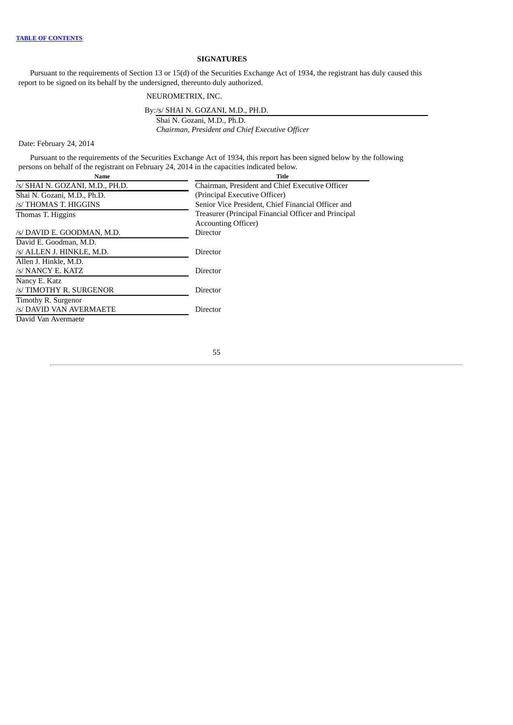# **SIGNATURES**

Pursuant to the requirements of Section 13 or 15(d) of the Securities Exchange Act of 1934, the registrant has duly caused this report to be signed on its behalf by the undersigned, thereunto duly authorized.

# NEUROMETRIX, INC.

By:/s/ SHAI N. GOZANI, M.D., PH.D.

Shai N. Gozani, M.D., Ph.D. *Chairman, President and Chief Executive Officer*

Date: February 24, 2014

Pursuant to the requirements of the Securities Exchange Act of 1934, this report has been signed below by the following persons on behalf of the registrant on February 24, 2014 in the capacities indicated below.

| Name                            | Title                                                |
|---------------------------------|------------------------------------------------------|
| /s/ SHAI N. GOZANI, M.D., PH.D. | Chairman, President and Chief Executive Officer      |
| Shai N. Gozani, M.D., Ph.D.     | (Principal Executive Officer)                        |
| /s/ THOMAS T. HIGGINS           | Senior Vice President, Chief Financial Officer and   |
| Thomas T. Higgins               | Treasurer (Principal Financial Officer and Principal |
|                                 | <b>Accounting Officer</b> )                          |
| /s/ DAVID E. GOODMAN, M.D.      | Director                                             |
| David E. Goodman, M.D.          |                                                      |
| /s/ ALLEN J. HINKLE, M.D.       | Director                                             |
| Allen J. Hinkle, M.D.           |                                                      |
| /s/ NANCY E. KATZ               | Director                                             |
| Nancy E. Katz                   |                                                      |
| /s/ TIMOTHY R. SURGENOR         | Director                                             |
| Timothy R. Surgenor             |                                                      |
| /s/ DAVID VAN AVERMAETE         | Director                                             |
| David Van Avermaete             |                                                      |
|                                 |                                                      |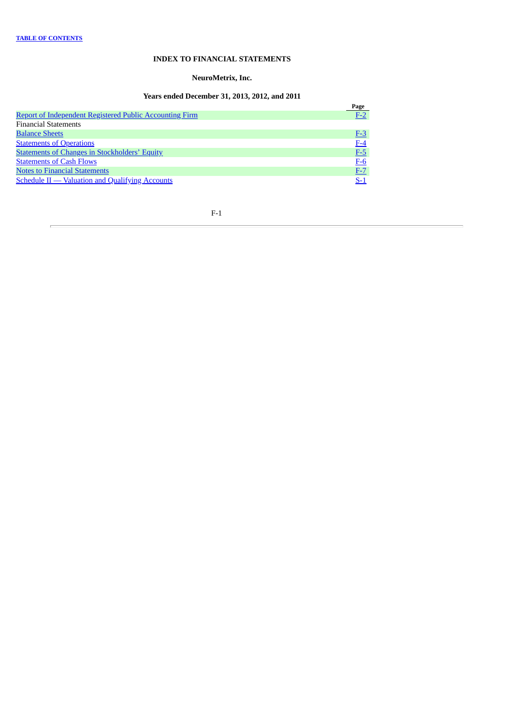# **INDEX TO FINANCIAL STATEMENTS**

# **NeuroMetrix, Inc.**

# **Years ended December 31, 2013, 2012, and 2011**

<span id="page-58-0"></span>

|                                                                | Page  |
|----------------------------------------------------------------|-------|
| <b>Report of Independent Registered Public Accounting Firm</b> | $F-2$ |
| <b>Financial Statements</b>                                    |       |
| <b>Balance Sheets</b>                                          | $F-3$ |
| <b>Statements of Operations</b>                                | $F-4$ |
| <b>Statements of Changes in Stockholders' Equity</b>           | $F-5$ |
| <b>Statements of Cash Flows</b>                                | $F-6$ |
| <b>Notes to Financial Statements</b>                           | $F-7$ |
| <b>Schedule II - Valuation and Qualifying Accounts</b>         | $S-1$ |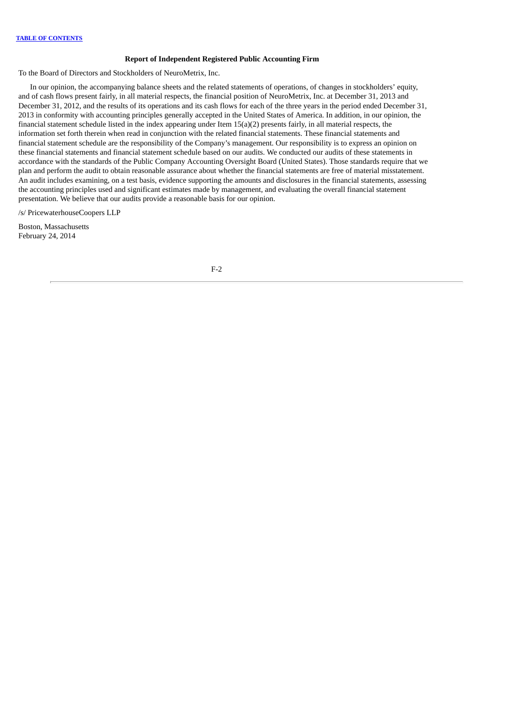### **Report of Independent Registered Public Accounting Firm**

<span id="page-59-0"></span>To the Board of Directors and Stockholders of NeuroMetrix, Inc.

In our opinion, the accompanying balance sheets and the related statements of operations, of changes in stockholders' equity, and of cash flows present fairly, in all material respects, the financial position of NeuroMetrix, Inc. at December 31, 2013 and December 31, 2012, and the results of its operations and its cash flows for each of the three years in the period ended December 31, 2013 in conformity with accounting principles generally accepted in the United States of America. In addition, in our opinion, the financial statement schedule listed in the index appearing under Item 15(a)(2) presents fairly, in all material respects, the information set forth therein when read in conjunction with the related financial statements. These financial statements and financial statement schedule are the responsibility of the Company's management. Our responsibility is to express an opinion on these financial statements and financial statement schedule based on our audits. We conducted our audits of these statements in accordance with the standards of the Public Company Accounting Oversight Board (United States). Those standards require that we plan and perform the audit to obtain reasonable assurance about whether the financial statements are free of material misstatement. An audit includes examining, on a test basis, evidence supporting the amounts and disclosures in the financial statements, assessing the accounting principles used and significant estimates made by management, and evaluating the overall financial statement presentation. We believe that our audits provide a reasonable basis for our opinion.

/s/ PricewaterhouseCoopers LLP

Boston, Massachusetts February 24, 2014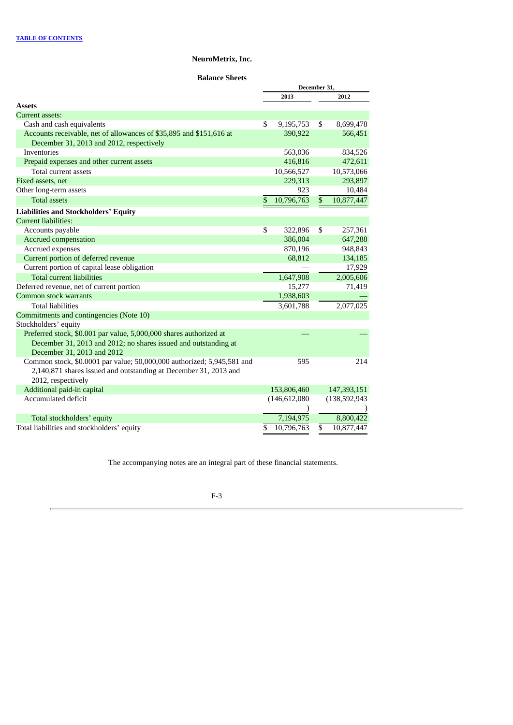**Balance Sheets**

<span id="page-60-0"></span>

|                                                                        | December 31, |                 |    |                 |
|------------------------------------------------------------------------|--------------|-----------------|----|-----------------|
|                                                                        |              | 2013            |    | 2012            |
| <b>Assets</b>                                                          |              |                 |    |                 |
| <b>Current assets:</b>                                                 |              |                 |    |                 |
| Cash and cash equivalents                                              | \$           | 9,195,753       | \$ | 8,699,478       |
| Accounts receivable, net of allowances of \$35,895 and \$151,616 at    |              | 390,922         |    | 566,451         |
| December 31, 2013 and 2012, respectively                               |              |                 |    |                 |
| Inventories                                                            |              | 563,036         |    | 834,526         |
| Prepaid expenses and other current assets                              |              | 416,816         |    | 472,611         |
| Total current assets                                                   |              | 10,566,527      |    | 10,573,066      |
| Fixed assets, net                                                      |              | 229,313         |    | 293,897         |
| Other long-term assets                                                 |              | 923             |    | 10,484          |
| <b>Total assets</b>                                                    | \$           | 10,796,763      | \$ | 10,877,447      |
| <b>Liabilities and Stockholders' Equity</b>                            |              |                 |    |                 |
| <b>Current liabilities:</b>                                            |              |                 |    |                 |
| Accounts payable                                                       | \$           | 322,896         | \$ | 257,361         |
| <b>Accrued compensation</b>                                            |              | 386,004         |    | 647,288         |
| Accrued expenses                                                       |              | 870,196         |    | 948,843         |
| Current portion of deferred revenue                                    |              | 68,812          |    | 134,185         |
| Current portion of capital lease obligation                            |              |                 |    | 17,929          |
| <b>Total current liabilities</b>                                       |              | 1,647,908       |    | 2,005,606       |
| Deferred revenue, net of current portion                               |              | 15,277          |    | 71,419          |
| Common stock warrants                                                  |              | 1,938,603       |    |                 |
| <b>Total liabilities</b>                                               |              | 3,601,788       |    | 2,077,025       |
| Commitments and contingencies (Note 10)                                |              |                 |    |                 |
| Stockholders' equity                                                   |              |                 |    |                 |
| Preferred stock, \$0.001 par value, 5,000,000 shares authorized at     |              |                 |    |                 |
| December 31, 2013 and 2012; no shares issued and outstanding at        |              |                 |    |                 |
| December 31, 2013 and 2012                                             |              |                 |    |                 |
| Common stock, \$0.0001 par value; 50,000,000 authorized; 5,945,581 and |              | 595             |    | 214             |
| 2,140,871 shares issued and outstanding at December 31, 2013 and       |              |                 |    |                 |
| 2012, respectively                                                     |              |                 |    |                 |
| Additional paid-in capital                                             |              | 153,806,460     |    | 147,393,151     |
| Accumulated deficit                                                    |              | (146, 612, 080) |    | (138, 592, 943) |
|                                                                        |              |                 |    |                 |
| Total stockholders' equity                                             |              | 7,194,975       |    | 8,800,422       |
| Total liabilities and stockholders' equity                             | \$           | 10,796,763      | \$ | 10,877,447      |

The accompanying notes are an integral part of these financial statements.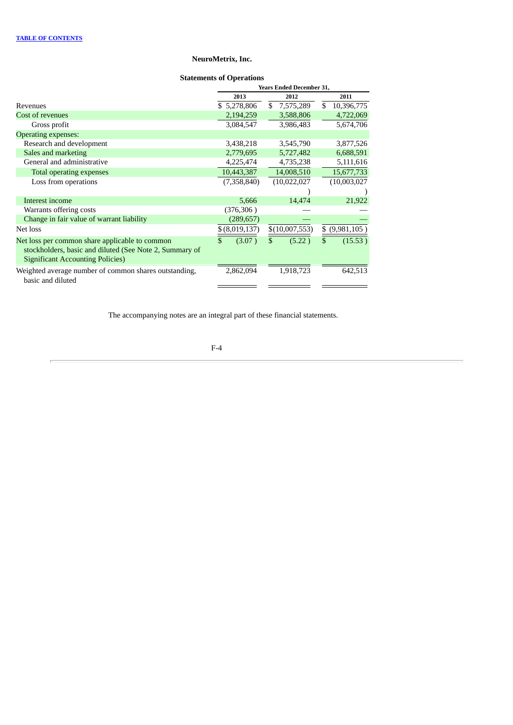# **Statements of Operations**

<span id="page-61-0"></span>

|                                                                                                                                                      | <b>Years Ended December 31,</b> |                 |                  |  |  |  |  |
|------------------------------------------------------------------------------------------------------------------------------------------------------|---------------------------------|-----------------|------------------|--|--|--|--|
|                                                                                                                                                      | 2013                            | 2012            | 2011             |  |  |  |  |
| Revenues                                                                                                                                             | \$5,278,806                     | \$<br>7,575,289 | \$<br>10,396,775 |  |  |  |  |
| Cost of revenues                                                                                                                                     | 2,194,259                       | 3,588,806       | 4,722,069        |  |  |  |  |
| Gross profit                                                                                                                                         | 3,084,547                       | 3,986,483       | 5,674,706        |  |  |  |  |
| <b>Operating expenses:</b>                                                                                                                           |                                 |                 |                  |  |  |  |  |
| Research and development                                                                                                                             | 3,438,218                       | 3,545,790       | 3,877,526        |  |  |  |  |
| Sales and marketing                                                                                                                                  | 2,779,695                       | 5,727,482       | 6,688,591        |  |  |  |  |
| General and administrative                                                                                                                           | 4,225,474                       | 4,735,238       | 5,111,616        |  |  |  |  |
| Total operating expenses                                                                                                                             | 10,443,387                      | 14,008,510      | 15,677,733       |  |  |  |  |
| Loss from operations                                                                                                                                 | (7,358,840)                     | (10,022,027)    | (10,003,027)     |  |  |  |  |
|                                                                                                                                                      |                                 |                 |                  |  |  |  |  |
| Interest income                                                                                                                                      | 5,666                           | 14,474          | 21,922           |  |  |  |  |
| Warrants offering costs                                                                                                                              | (376,306)                       |                 |                  |  |  |  |  |
| Change in fair value of warrant liability                                                                                                            | (289, 657)                      |                 |                  |  |  |  |  |
| Net loss                                                                                                                                             | \$ (8,019,137)                  | \$(10,007,553)  | $$$ (9,981,105)  |  |  |  |  |
| Net loss per common share applicable to common<br>stockholders, basic and diluted (See Note 2, Summary of<br><b>Significant Accounting Policies)</b> | \$<br>(3.07)                    | \$<br>(5.22)    | \$<br>(15.53)    |  |  |  |  |
| Weighted average number of common shares outstanding,<br>basic and diluted                                                                           | 2,862,094                       | 1,918,723       | 642,513          |  |  |  |  |

The accompanying notes are an integral part of these financial statements.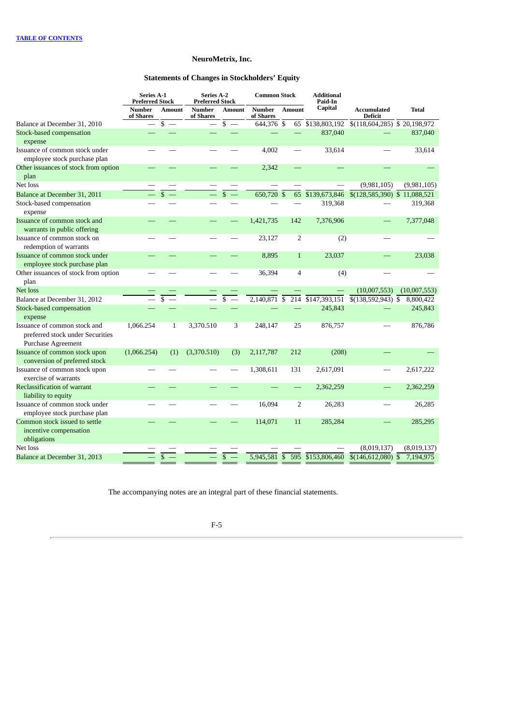# **Statements of Changes in Stockholders' Equity**

<span id="page-62-0"></span>

|                                                                                        | Series A-1<br><b>Preferred Stock</b> |               | Series A-2<br><b>Preferred Stock</b> |                                | <b>Common Stock</b>        |                         | <b>Additional</b><br>Paid-In |                                             |              |
|----------------------------------------------------------------------------------------|--------------------------------------|---------------|--------------------------------------|--------------------------------|----------------------------|-------------------------|------------------------------|---------------------------------------------|--------------|
|                                                                                        | <b>Number</b><br>of Shares           | <b>Amount</b> | <b>Number</b><br>of Shares           | <b>Amount</b>                  | <b>Number</b><br>of Shares | <b>Amount</b>           | Capital                      | <b>Accumulated</b><br><b>Deficit</b>        | <b>Total</b> |
| Balance at December 31, 2010                                                           |                                      | $s -$         | $\equiv$                             | \$<br>$\overline{\phantom{m}}$ | 644,376 \$                 |                         | 65 \$138,803,192             | $\overline{\$(118,604,285)}$ \\$ 20,198,972 |              |
| <b>Stock-based compensation</b><br>expense                                             |                                      |               |                                      |                                |                            |                         | 837,040                      |                                             | 837,040      |
| Issuance of common stock under<br>employee stock purchase plan                         |                                      |               |                                      |                                | 4,002                      |                         | 33,614                       |                                             | 33,614       |
| Other issuances of stock from option<br>plan                                           |                                      |               |                                      |                                | 2,342                      |                         |                              |                                             |              |
| Net loss                                                                               |                                      |               |                                      |                                |                            |                         |                              | (9,981,105)                                 | (9,981,105)  |
| Balance at December 31, 2011                                                           |                                      | \$            |                                      |                                | 650,720 \$                 | 65                      | \$139,673,846                | \$(128,585,390) \$ 11,088,521               |              |
| Stock-based compensation<br>expense                                                    |                                      |               |                                      |                                |                            |                         | 319,368                      |                                             | 319,368      |
| Issuance of common stock and<br>warrants in public offering                            |                                      |               |                                      |                                | 1,421,735                  | 142                     | 7,376,906                    |                                             | 7,377,048    |
| Issuance of common stock on<br>redemption of warrants                                  |                                      |               |                                      |                                | 23,127                     | 2                       | (2)                          |                                             |              |
| Issuance of common stock under<br>employee stock purchase plan                         |                                      |               |                                      |                                | 8,895                      | $\mathbf{1}$            | 23,037                       |                                             | 23,038       |
| Other issuances of stock from option<br>plan                                           |                                      |               |                                      |                                | 36,394                     | $\overline{\mathbf{4}}$ | (4)                          |                                             |              |
| Net loss                                                                               |                                      |               |                                      |                                |                            |                         |                              | (10,007,553)                                | (10,007,553) |
| Balance at December 31, 2012                                                           |                                      | \$            |                                      | \$                             | $2,140,871$ \$             |                         | 214 \$147,393,151            | $$(138,592,943)$ \$                         | 8,800,422    |
| Stock-based compensation<br>expense                                                    |                                      |               |                                      |                                |                            |                         | 245,843                      |                                             | 245,843      |
| Issuance of common stock and<br>preferred stock under Securities<br>Purchase Agreement | 1,066.254                            | $\mathbf{1}$  | 3,370.510                            | 3                              | 248,147                    | 25                      | 876,757                      |                                             | 876,786      |
| Issuance of common stock upon<br>conversion of preferred stock                         | (1,066.254)                          | (1)           | (3,370.510)                          | (3)                            | 2,117,787                  | 212                     | (208)                        |                                             |              |
| Issuance of common stock upon<br>exercise of warrants                                  |                                      |               |                                      |                                | 1,308,611                  | 131                     | 2,617,091                    |                                             | 2,617,222    |
| Reclassification of warrant<br>liability to equity                                     |                                      |               |                                      |                                |                            |                         | 2,362,259                    |                                             | 2,362,259    |
| Issuance of common stock under<br>employee stock purchase plan                         |                                      |               |                                      |                                | 16,094                     | $\overline{2}$          | 26,283                       |                                             | 26,285       |
| Common stock issued to settle<br>incentive compensation<br>obligations                 |                                      |               |                                      |                                | 114,071                    | 11                      | 285,284                      |                                             | 285,295      |
| Net loss                                                                               |                                      |               |                                      |                                |                            |                         |                              | (8,019,137)                                 | (8,019,137)  |
| Balance at December 31, 2013                                                           |                                      |               |                                      | \$                             | $5,945,581$ \$             |                         | 595 \$153,806,460            | $$(146,612,080)$ \$                         | 7,194,975    |

The accompanying notes are an integral part of these financial statements.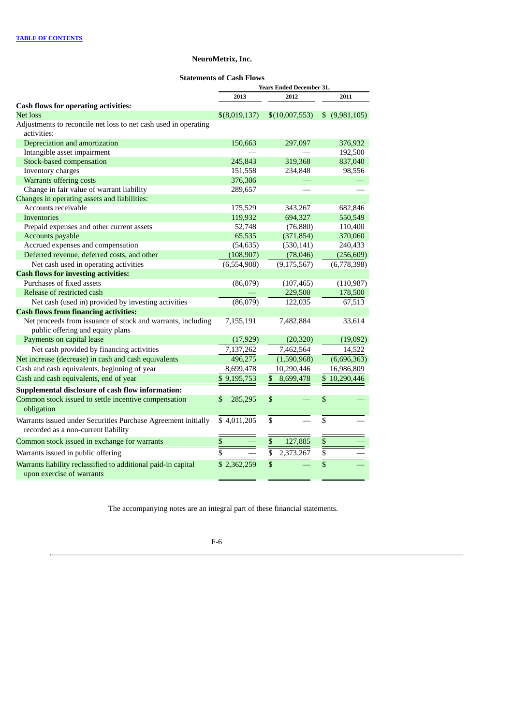# **Statements of Cash Flows**

<span id="page-63-0"></span>

|                                                                 | <b>Years Ended December 31,</b> |                              |                          |  |  |
|-----------------------------------------------------------------|---------------------------------|------------------------------|--------------------------|--|--|
|                                                                 | 2013                            | 2012                         | 2011                     |  |  |
| <b>Cash flows for operating activities:</b>                     |                                 |                              |                          |  |  |
| Net loss                                                        | \$(8,019,137)                   | \$(10,007,553)               | $$$ (9,981,105)          |  |  |
| Adjustments to reconcile net loss to net cash used in operating |                                 |                              |                          |  |  |
| activities:                                                     |                                 |                              |                          |  |  |
| Depreciation and amortization                                   | 150,663                         | 297,097                      | 376,932                  |  |  |
| Intangible asset impairment                                     |                                 |                              | 192,500                  |  |  |
| Stock-based compensation                                        | 245,843                         | 319,368                      | 837,040                  |  |  |
| Inventory charges                                               | 151,558                         | 234,848                      | 98,556                   |  |  |
| Warrants offering costs                                         | 376,306                         |                              |                          |  |  |
| Change in fair value of warrant liability                       | 289,657                         |                              |                          |  |  |
| Changes in operating assets and liabilities:                    |                                 |                              |                          |  |  |
| Accounts receivable                                             | 175,529                         | 343,267                      | 682,846                  |  |  |
| <b>Inventories</b>                                              | 119,932                         | 694,327                      | 550,549                  |  |  |
| Prepaid expenses and other current assets                       | 52,748                          | (76, 880)                    | 110,400                  |  |  |
| Accounts payable                                                | 65,535                          | (371, 854)                   | 370,060                  |  |  |
| Accrued expenses and compensation                               | (54, 635)                       | (530, 141)                   | 240,433                  |  |  |
| Deferred revenue, deferred costs, and other                     | (108, 907)                      | (78, 046)                    | (256, 609)               |  |  |
| Net cash used in operating activities                           | (6,554,908)                     | (9, 175, 567)                | (6,778,398)              |  |  |
| <b>Cash flows for investing activities:</b>                     |                                 |                              |                          |  |  |
| Purchases of fixed assets                                       | (86,079)                        | (107, 465)                   | (110, 987)               |  |  |
| Release of restricted cash                                      |                                 | 229,500                      | 178,500                  |  |  |
| Net cash (used in) provided by investing activities             | (86,079)                        | 122,035                      | 67,513                   |  |  |
| <b>Cash flows from financing activities:</b>                    |                                 |                              |                          |  |  |
| Net proceeds from issuance of stock and warrants, including     | 7,155,191                       | 7,482,884                    | 33,614                   |  |  |
| public offering and equity plans                                |                                 |                              |                          |  |  |
| Payments on capital lease                                       | (17, 929)                       | (20, 320)                    | (19,092)                 |  |  |
| Net cash provided by financing activities                       | 7,137,262                       | 7,462,564                    | 14,522                   |  |  |
| Net increase (decrease) in cash and cash equivalents            | 496,275                         | (1,590,968)                  | (6,696,363)              |  |  |
| Cash and cash equivalents, beginning of year                    | 8,699,478                       | 10,290,446                   | 16,986,809               |  |  |
| Cash and cash equivalents, end of year                          | \$9,195,753                     | \$<br>8,699,478              | $\overline{$}10,290,446$ |  |  |
| Supplemental disclosure of cash flow information:               |                                 |                              |                          |  |  |
| Common stock issued to settle incentive compensation            | \$<br>285,295                   | \$                           | \$                       |  |  |
| obligation                                                      |                                 |                              |                          |  |  |
| Warrants issued under Securities Purchase Agreement initially   | \$4,011,205                     | $\overline{\$}$              | $\overline{\$}$          |  |  |
| recorded as a non-current liability                             |                                 |                              |                          |  |  |
| Common stock issued in exchange for warrants                    | \$                              | \$<br>127,885                | $\mathbb{S}$             |  |  |
| Warrants issued in public offering                              | $\overline{\overline{s}}$       | $\overline{\$}$<br>2,373,267 |                          |  |  |
| Warrants liability reclassified to additional paid-in capital   | $\overline{$}$ 2,362,259        | $\overline{\$}$              |                          |  |  |
| upon exercise of warrants                                       |                                 |                              |                          |  |  |

The accompanying notes are an integral part of these financial statements.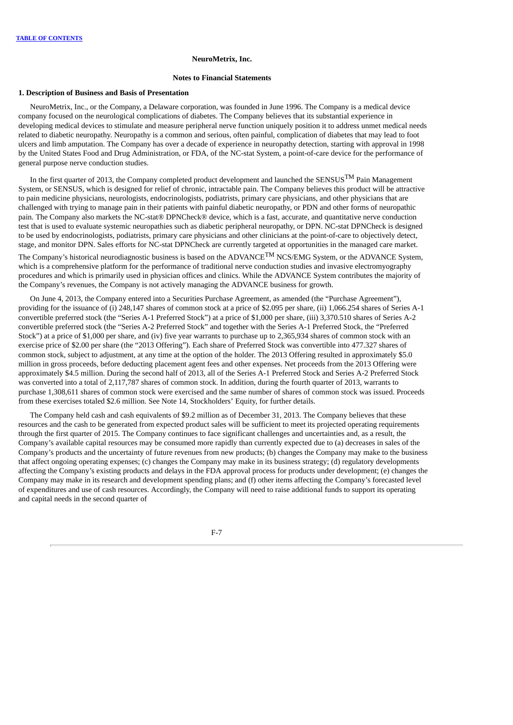#### **Notes to Financial Statements**

### **1. Description of Business and Basis of Presentation**

<span id="page-64-0"></span>NeuroMetrix, Inc., or the Company, a Delaware corporation, was founded in June 1996. The Company is a medical device company focused on the neurological complications of diabetes. The Company believes that its substantial experience in developing medical devices to stimulate and measure peripheral nerve function uniquely position it to address unmet medical needs related to diabetic neuropathy. Neuropathy is a common and serious, often painful, complication of diabetes that may lead to foot ulcers and limb amputation. The Company has over a decade of experience in neuropathy detection, starting with approval in 1998 by the United States Food and Drug Administration, or FDA, of the NC-stat System, a point-of-care device for the performance of general purpose nerve conduction studies.

In the first quarter of 2013, the Company completed product development and launched the SENSUS<sup>TM</sup> Pain Management System, or SENSUS, which is designed for relief of chronic, intractable pain. The Company believes this product will be attractive to pain medicine physicians, neurologists, endocrinologists, podiatrists, primary care physicians, and other physicians that are challenged with trying to manage pain in their patients with painful diabetic neuropathy, or PDN and other forms of neuropathic pain. The Company also markets the NC-stat® DPNCheck® device, which is a fast, accurate, and quantitative nerve conduction test that is used to evaluate systemic neuropathies such as diabetic peripheral neuropathy, or DPN. NC-stat DPNCheck is designed to be used by endocrinologists, podiatrists, primary care physicians and other clinicians at the point-of-care to objectively detect, stage, and monitor DPN. Sales efforts for NC-stat DPNCheck are currently targeted at opportunities in the managed care market.

The Company's historical neurodiagnostic business is based on the ADVANCE<sup>TM</sup> NCS/EMG System, or the ADVANCE System, which is a comprehensive platform for the performance of traditional nerve conduction studies and invasive electromyography procedures and which is primarily used in physician offices and clinics. While the ADVANCE System contributes the majority of the Company's revenues, the Company is not actively managing the ADVANCE business for growth.

On June 4, 2013, the Company entered into a Securities Purchase Agreement, as amended (the "Purchase Agreement"), providing for the issuance of (i) 248,147 shares of common stock at a price of \$2.095 per share, (ii) 1,066.254 shares of Series A-1 convertible preferred stock (the "Series A-1 Preferred Stock") at a price of \$1,000 per share, (iii) 3,370.510 shares of Series A-2 convertible preferred stock (the "Series A-2 Preferred Stock" and together with the Series A-1 Preferred Stock, the "Preferred Stock") at a price of \$1,000 per share, and (iv) five year warrants to purchase up to 2,365,934 shares of common stock with an exercise price of \$2.00 per share (the "2013 Offering"). Each share of Preferred Stock was convertible into 477.327 shares of common stock, subject to adjustment, at any time at the option of the holder. The 2013 Offering resulted in approximately \$5.0 million in gross proceeds, before deducting placement agent fees and other expenses. Net proceeds from the 2013 Offering were approximately \$4.5 million. During the second half of 2013, all of the Series A-1 Preferred Stock and Series A-2 Preferred Stock was converted into a total of 2,117,787 shares of common stock. In addition, during the fourth quarter of 2013, warrants to purchase 1,308,611 shares of common stock were exercised and the same number of shares of common stock was issued. Proceeds from these exercises totaled \$2.6 million. See Note 14, Stockholders' Equity, for further details.

The Company held cash and cash equivalents of \$9.2 million as of December 31, 2013. The Company believes that these resources and the cash to be generated from expected product sales will be sufficient to meet its projected operating requirements through the first quarter of 2015. The Company continues to face significant challenges and uncertainties and, as a result, the Company's available capital resources may be consumed more rapidly than currently expected due to (a) decreases in sales of the Company's products and the uncertainty of future revenues from new products; (b) changes the Company may make to the business that affect ongoing operating expenses; (c) changes the Company may make in its business strategy; (d) regulatory developments affecting the Company's existing products and delays in the FDA approval process for products under development; (e) changes the Company may make in its research and development spending plans; and (f) other items affecting the Company's forecasted level of expenditures and use of cash resources. Accordingly, the Company will need to raise additional funds to support its operating and capital needs in the second quarter of

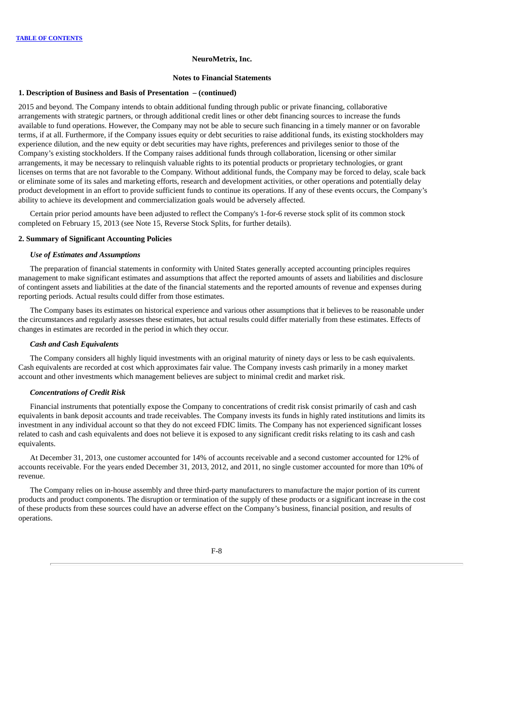#### **Notes to Financial Statements**

# **1. Description of Business and Basis of Presentation – (continued)**

2015 and beyond. The Company intends to obtain additional funding through public or private financing, collaborative arrangements with strategic partners, or through additional credit lines or other debt financing sources to increase the funds available to fund operations. However, the Company may not be able to secure such financing in a timely manner or on favorable terms, if at all. Furthermore, if the Company issues equity or debt securities to raise additional funds, its existing stockholders may experience dilution, and the new equity or debt securities may have rights, preferences and privileges senior to those of the Company's existing stockholders. If the Company raises additional funds through collaboration, licensing or other similar arrangements, it may be necessary to relinquish valuable rights to its potential products or proprietary technologies, or grant licenses on terms that are not favorable to the Company. Without additional funds, the Company may be forced to delay, scale back or eliminate some of its sales and marketing efforts, research and development activities, or other operations and potentially delay product development in an effort to provide sufficient funds to continue its operations. If any of these events occurs, the Company's ability to achieve its development and commercialization goals would be adversely affected.

Certain prior period amounts have been adjusted to reflect the Company's 1-for-6 reverse stock split of its common stock completed on February 15, 2013 (see Note 15, Reverse Stock Splits, for further details).

# **2. Summary of Significant Accounting Policies**

# *Use of Estimates and Assumptions*

The preparation of financial statements in conformity with United States generally accepted accounting principles requires management to make significant estimates and assumptions that affect the reported amounts of assets and liabilities and disclosure of contingent assets and liabilities at the date of the financial statements and the reported amounts of revenue and expenses during reporting periods. Actual results could differ from those estimates.

The Company bases its estimates on historical experience and various other assumptions that it believes to be reasonable under the circumstances and regularly assesses these estimates, but actual results could differ materially from these estimates. Effects of changes in estimates are recorded in the period in which they occur.

# *Cash and Cash Equivalents*

The Company considers all highly liquid investments with an original maturity of ninety days or less to be cash equivalents. Cash equivalents are recorded at cost which approximates fair value. The Company invests cash primarily in a money market account and other investments which management believes are subject to minimal credit and market risk.

# *Concentrations of Credit Risk*

Financial instruments that potentially expose the Company to concentrations of credit risk consist primarily of cash and cash equivalents in bank deposit accounts and trade receivables. The Company invests its funds in highly rated institutions and limits its investment in any individual account so that they do not exceed FDIC limits. The Company has not experienced significant losses related to cash and cash equivalents and does not believe it is exposed to any significant credit risks relating to its cash and cash equivalents.

At December 31, 2013, one customer accounted for 14% of accounts receivable and a second customer accounted for 12% of accounts receivable. For the years ended December 31, 2013, 2012, and 2011, no single customer accounted for more than 10% of revenue.

The Company relies on in-house assembly and three third-party manufacturers to manufacture the major portion of its current products and product components. The disruption or termination of the supply of these products or a significant increase in the cost of these products from these sources could have an adverse effect on the Company's business, financial position, and results of operations.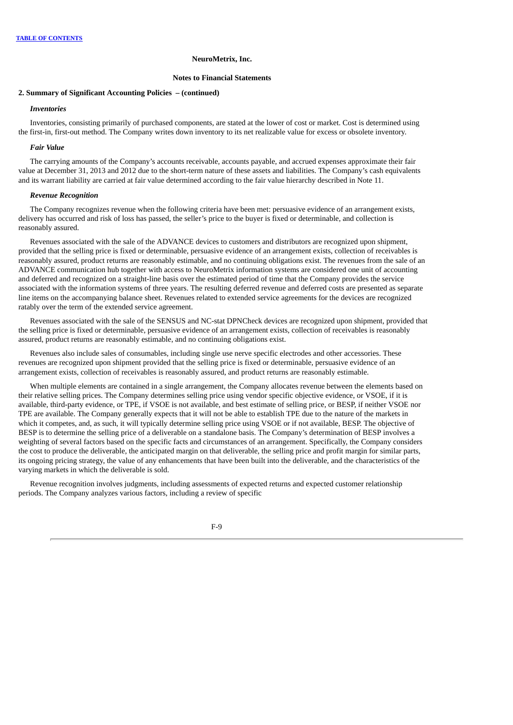### **Notes to Financial Statements**

### **2. Summary of Significant Accounting Policies – (continued)**

# *Inventories*

Inventories, consisting primarily of purchased components, are stated at the lower of cost or market. Cost is determined using the first-in, first-out method. The Company writes down inventory to its net realizable value for excess or obsolete inventory.

### *Fair Value*

The carrying amounts of the Company's accounts receivable, accounts payable, and accrued expenses approximate their fair value at December 31, 2013 and 2012 due to the short-term nature of these assets and liabilities. The Company's cash equivalents and its warrant liability are carried at fair value determined according to the fair value hierarchy described in Note 11.

## *Revenue Recognition*

The Company recognizes revenue when the following criteria have been met: persuasive evidence of an arrangement exists, delivery has occurred and risk of loss has passed, the seller's price to the buyer is fixed or determinable, and collection is reasonably assured.

Revenues associated with the sale of the ADVANCE devices to customers and distributors are recognized upon shipment, provided that the selling price is fixed or determinable, persuasive evidence of an arrangement exists, collection of receivables is reasonably assured, product returns are reasonably estimable, and no continuing obligations exist. The revenues from the sale of an ADVANCE communication hub together with access to NeuroMetrix information systems are considered one unit of accounting and deferred and recognized on a straight-line basis over the estimated period of time that the Company provides the service associated with the information systems of three years. The resulting deferred revenue and deferred costs are presented as separate line items on the accompanying balance sheet. Revenues related to extended service agreements for the devices are recognized ratably over the term of the extended service agreement.

Revenues associated with the sale of the SENSUS and NC-stat DPNCheck devices are recognized upon shipment, provided that the selling price is fixed or determinable, persuasive evidence of an arrangement exists, collection of receivables is reasonably assured, product returns are reasonably estimable, and no continuing obligations exist.

Revenues also include sales of consumables, including single use nerve specific electrodes and other accessories. These revenues are recognized upon shipment provided that the selling price is fixed or determinable, persuasive evidence of an arrangement exists, collection of receivables is reasonably assured, and product returns are reasonably estimable.

When multiple elements are contained in a single arrangement, the Company allocates revenue between the elements based on their relative selling prices. The Company determines selling price using vendor specific objective evidence, or VSOE, if it is available, third-party evidence, or TPE, if VSOE is not available, and best estimate of selling price, or BESP, if neither VSOE nor TPE are available. The Company generally expects that it will not be able to establish TPE due to the nature of the markets in which it competes, and, as such, it will typically determine selling price using VSOE or if not available, BESP. The objective of BESP is to determine the selling price of a deliverable on a standalone basis. The Company's determination of BESP involves a weighting of several factors based on the specific facts and circumstances of an arrangement. Specifically, the Company considers the cost to produce the deliverable, the anticipated margin on that deliverable, the selling price and profit margin for similar parts, its ongoing pricing strategy, the value of any enhancements that have been built into the deliverable, and the characteristics of the varying markets in which the deliverable is sold.

Revenue recognition involves judgments, including assessments of expected returns and expected customer relationship periods. The Company analyzes various factors, including a review of specific

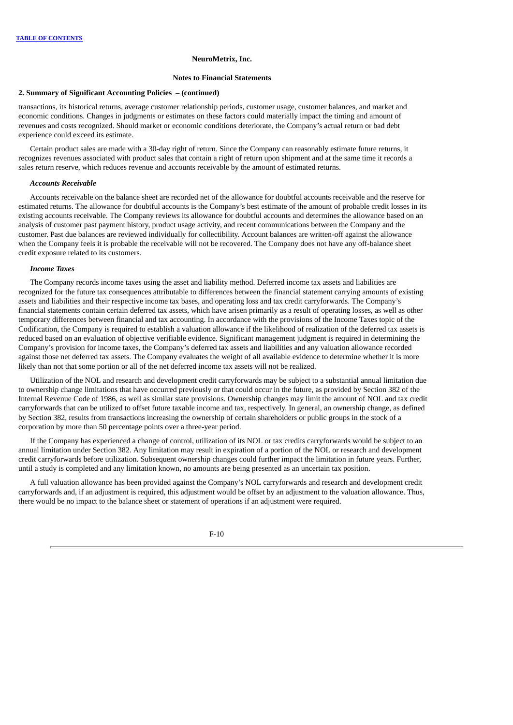#### **Notes to Financial Statements**

### **2. Summary of Significant Accounting Policies – (continued)**

transactions, its historical returns, average customer relationship periods, customer usage, customer balances, and market and economic conditions. Changes in judgments or estimates on these factors could materially impact the timing and amount of revenues and costs recognized. Should market or economic conditions deteriorate, the Company's actual return or bad debt experience could exceed its estimate.

Certain product sales are made with a 30-day right of return. Since the Company can reasonably estimate future returns, it recognizes revenues associated with product sales that contain a right of return upon shipment and at the same time it records a sales return reserve, which reduces revenue and accounts receivable by the amount of estimated returns.

# *Accounts Receivable*

Accounts receivable on the balance sheet are recorded net of the allowance for doubtful accounts receivable and the reserve for estimated returns. The allowance for doubtful accounts is the Company's best estimate of the amount of probable credit losses in its existing accounts receivable. The Company reviews its allowance for doubtful accounts and determines the allowance based on an analysis of customer past payment history, product usage activity, and recent communications between the Company and the customer. Past due balances are reviewed individually for collectibility. Account balances are written-off against the allowance when the Company feels it is probable the receivable will not be recovered. The Company does not have any off-balance sheet credit exposure related to its customers.

## *Income Taxes*

The Company records income taxes using the asset and liability method. Deferred income tax assets and liabilities are recognized for the future tax consequences attributable to differences between the financial statement carrying amounts of existing assets and liabilities and their respective income tax bases, and operating loss and tax credit carryforwards. The Company's financial statements contain certain deferred tax assets, which have arisen primarily as a result of operating losses, as well as other temporary differences between financial and tax accounting. In accordance with the provisions of the Income Taxes topic of the Codification, the Company is required to establish a valuation allowance if the likelihood of realization of the deferred tax assets is reduced based on an evaluation of objective verifiable evidence. Significant management judgment is required in determining the Company's provision for income taxes, the Company's deferred tax assets and liabilities and any valuation allowance recorded against those net deferred tax assets. The Company evaluates the weight of all available evidence to determine whether it is more likely than not that some portion or all of the net deferred income tax assets will not be realized.

Utilization of the NOL and research and development credit carryforwards may be subject to a substantial annual limitation due to ownership change limitations that have occurred previously or that could occur in the future, as provided by Section 382 of the Internal Revenue Code of 1986, as well as similar state provisions. Ownership changes may limit the amount of NOL and tax credit carryforwards that can be utilized to offset future taxable income and tax, respectively. In general, an ownership change, as defined by Section 382, results from transactions increasing the ownership of certain shareholders or public groups in the stock of a corporation by more than 50 percentage points over a three-year period.

If the Company has experienced a change of control, utilization of its NOL or tax credits carryforwards would be subject to an annual limitation under Section 382. Any limitation may result in expiration of a portion of the NOL or research and development credit carryforwards before utilization. Subsequent ownership changes could further impact the limitation in future years. Further, until a study is completed and any limitation known, no amounts are being presented as an uncertain tax position.

A full valuation allowance has been provided against the Company's NOL carryforwards and research and development credit carryforwards and, if an adjustment is required, this adjustment would be offset by an adjustment to the valuation allowance. Thus, there would be no impact to the balance sheet or statement of operations if an adjustment were required.

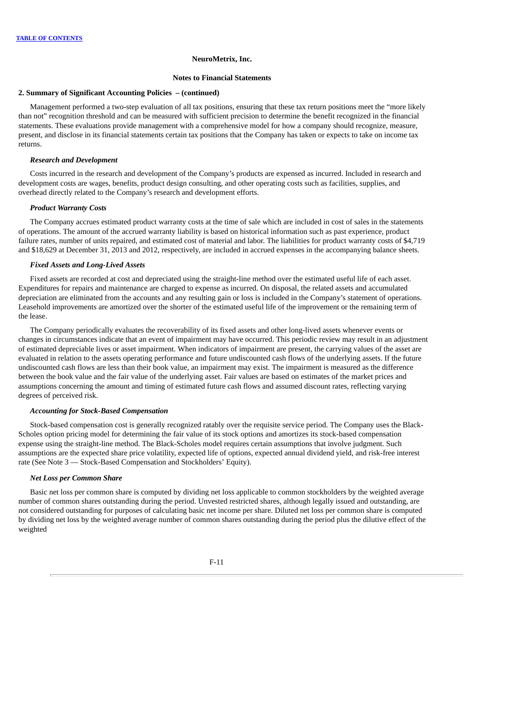#### **Notes to Financial Statements**

## **2. Summary of Significant Accounting Policies – (continued)**

Management performed a two-step evaluation of all tax positions, ensuring that these tax return positions meet the "more likely than not" recognition threshold and can be measured with sufficient precision to determine the benefit recognized in the financial statements. These evaluations provide management with a comprehensive model for how a company should recognize, measure, present, and disclose in its financial statements certain tax positions that the Company has taken or expects to take on income tax returns.

# *Research and Development*

Costs incurred in the research and development of the Company's products are expensed as incurred. Included in research and development costs are wages, benefits, product design consulting, and other operating costs such as facilities, supplies, and overhead directly related to the Company's research and development efforts.

# *Product Warranty Costs*

The Company accrues estimated product warranty costs at the time of sale which are included in cost of sales in the statements of operations. The amount of the accrued warranty liability is based on historical information such as past experience, product failure rates, number of units repaired, and estimated cost of material and labor. The liabilities for product warranty costs of \$4,719 and \$18,629 at December 31, 2013 and 2012, respectively, are included in accrued expenses in the accompanying balance sheets.

### *Fixed Assets and Long-Lived Assets*

Fixed assets are recorded at cost and depreciated using the straight-line method over the estimated useful life of each asset. Expenditures for repairs and maintenance are charged to expense as incurred. On disposal, the related assets and accumulated depreciation are eliminated from the accounts and any resulting gain or loss is included in the Company's statement of operations. Leasehold improvements are amortized over the shorter of the estimated useful life of the improvement or the remaining term of the lease.

The Company periodically evaluates the recoverability of its fixed assets and other long-lived assets whenever events or changes in circumstances indicate that an event of impairment may have occurred. This periodic review may result in an adjustment of estimated depreciable lives or asset impairment. When indicators of impairment are present, the carrying values of the asset are evaluated in relation to the assets operating performance and future undiscounted cash flows of the underlying assets. If the future undiscounted cash flows are less than their book value, an impairment may exist. The impairment is measured as the difference between the book value and the fair value of the underlying asset. Fair values are based on estimates of the market prices and assumptions concerning the amount and timing of estimated future cash flows and assumed discount rates, reflecting varying degrees of perceived risk.

### *Accounting for Stock-Based Compensation*

Stock-based compensation cost is generally recognized ratably over the requisite service period. The Company uses the Black-Scholes option pricing model for determining the fair value of its stock options and amortizes its stock-based compensation expense using the straight-line method. The Black-Scholes model requires certain assumptions that involve judgment. Such assumptions are the expected share price volatility, expected life of options, expected annual dividend yield, and risk-free interest rate (See Note 3 — Stock-Based Compensation and Stockholders' Equity).

### *Net Loss per Common Share*

Basic net loss per common share is computed by dividing net loss applicable to common stockholders by the weighted average number of common shares outstanding during the period. Unvested restricted shares, although legally issued and outstanding, are not considered outstanding for purposes of calculating basic net income per share. Diluted net loss per common share is computed by dividing net loss by the weighted average number of common shares outstanding during the period plus the dilutive effect of the weighted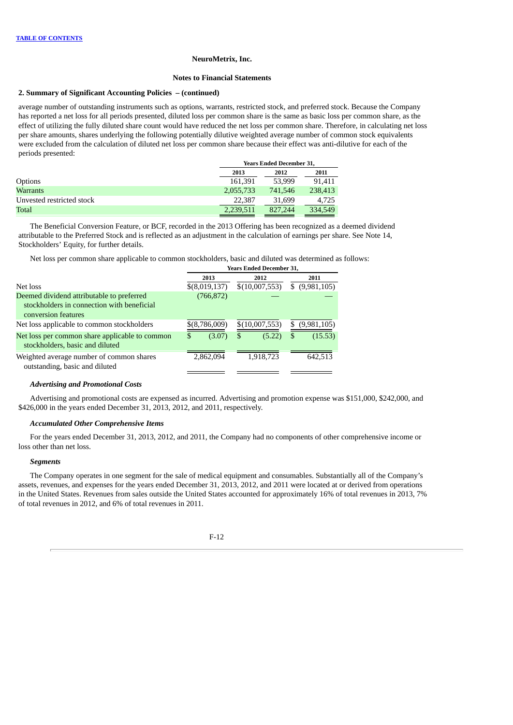### **Notes to Financial Statements**

## **2. Summary of Significant Accounting Policies – (continued)**

average number of outstanding instruments such as options, warrants, restricted stock, and preferred stock. Because the Company has reported a net loss for all periods presented, diluted loss per common share is the same as basic loss per common share, as the effect of utilizing the fully diluted share count would have reduced the net loss per common share. Therefore, in calculating net loss per share amounts, shares underlying the following potentially dilutive weighted average number of common stock equivalents were excluded from the calculation of diluted net loss per common share because their effect was anti-dilutive for each of the periods presented:

|                           | <b>Years Ended December 31,</b> |         |         |  |
|---------------------------|---------------------------------|---------|---------|--|
|                           | 2013                            | 2012    | 2011    |  |
| Options                   | 161.391                         | 53,999  | 91.411  |  |
| <b>Warrants</b>           | 2,055,733                       | 741,546 | 238,413 |  |
| Unvested restricted stock | 22,387                          | 31.699  | 4.725   |  |
| Total                     | 2,239,511                       | 827,244 | 334,549 |  |

The Beneficial Conversion Feature, or BCF, recorded in the 2013 Offering has been recognized as a deemed dividend attributable to the Preferred Stock and is reflected as an adjustment in the calculation of earnings per share. See Note 14, Stockholders' Equity, for further details.

Net loss per common share applicable to common stockholders, basic and diluted was determined as follows:

|                                                                                                                |               | <b>Years Ended December 31,</b> |                  |  |  |
|----------------------------------------------------------------------------------------------------------------|---------------|---------------------------------|------------------|--|--|
|                                                                                                                | 2013          | 2012                            | 2011             |  |  |
| Net loss                                                                                                       | \$(8,019,137) | \$(10,007,553)                  | $$$ (9,981,105)  |  |  |
| Deemed dividend attributable to preferred<br>stockholders in connection with beneficial<br>conversion features | (766, 872)    |                                 |                  |  |  |
| Net loss applicable to common stockholders                                                                     | \$(8,786,009) | \$(10,007,553)                  | (9,981,105)<br>S |  |  |
| Net loss per common share applicable to common<br>stockholders, basic and diluted                              | (3.07)<br>\$  | (5.22)<br>\$                    | (15.53)<br>S     |  |  |
| Weighted average number of common shares<br>outstanding, basic and diluted                                     | 2,862,094     | 1,918,723                       | 642,513          |  |  |

# *Advertising and Promotional Costs*

Advertising and promotional costs are expensed as incurred. Advertising and promotion expense was \$151,000, \$242,000, and \$426,000 in the years ended December 31, 2013, 2012, and 2011, respectively.

# *Accumulated Other Comprehensive Items*

For the years ended December 31, 2013, 2012, and 2011, the Company had no components of other comprehensive income or loss other than net loss.

#### *Segments*

The Company operates in one segment for the sale of medical equipment and consumables. Substantially all of the Company's assets, revenues, and expenses for the years ended December 31, 2013, 2012, and 2011 were located at or derived from operations in the United States. Revenues from sales outside the United States accounted for approximately 16% of total revenues in 2013, 7% of total revenues in 2012, and 6% of total revenues in 2011.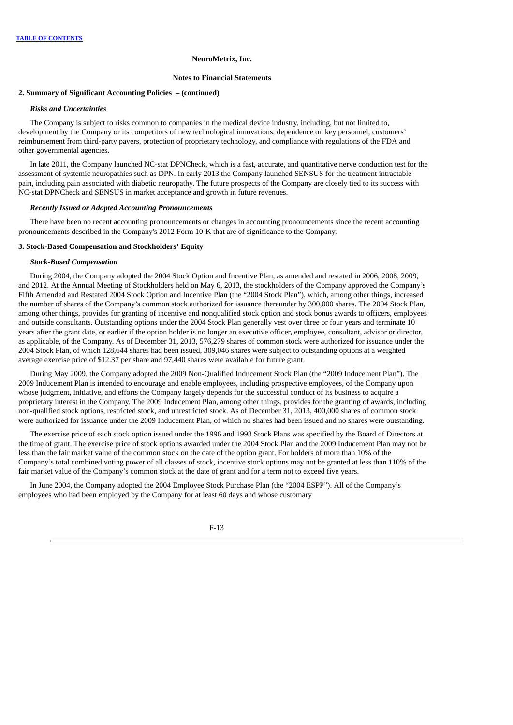### **Notes to Financial Statements**

### **2. Summary of Significant Accounting Policies – (continued)**

# *Risks and Uncertainties*

The Company is subject to risks common to companies in the medical device industry, including, but not limited to, development by the Company or its competitors of new technological innovations, dependence on key personnel, customers' reimbursement from third-party payers, protection of proprietary technology, and compliance with regulations of the FDA and other governmental agencies.

In late 2011, the Company launched NC-stat DPNCheck, which is a fast, accurate, and quantitative nerve conduction test for the assessment of systemic neuropathies such as DPN. In early 2013 the Company launched SENSUS for the treatment intractable pain, including pain associated with diabetic neuropathy. The future prospects of the Company are closely tied to its success with NC-stat DPNCheck and SENSUS in market acceptance and growth in future revenues.

### *Recently Issued or Adopted Accounting Pronouncements*

There have been no recent accounting pronouncements or changes in accounting pronouncements since the recent accounting pronouncements described in the Company's 2012 Form 10-K that are of significance to the Company.

# **3. Stock-Based Compensation and Stockholders' Equity**

### *Stock-Based Compensation*

During 2004, the Company adopted the 2004 Stock Option and Incentive Plan, as amended and restated in 2006, 2008, 2009, and 2012. At the Annual Meeting of Stockholders held on May 6, 2013, the stockholders of the Company approved the Company's Fifth Amended and Restated 2004 Stock Option and Incentive Plan (the "2004 Stock Plan"), which, among other things, increased the number of shares of the Company's common stock authorized for issuance thereunder by 300,000 shares. The 2004 Stock Plan, among other things, provides for granting of incentive and nonqualified stock option and stock bonus awards to officers, employees and outside consultants. Outstanding options under the 2004 Stock Plan generally vest over three or four years and terminate 10 years after the grant date, or earlier if the option holder is no longer an executive officer, employee, consultant, advisor or director, as applicable, of the Company. As of December 31, 2013, 576,279 shares of common stock were authorized for issuance under the 2004 Stock Plan, of which 128,644 shares had been issued, 309,046 shares were subject to outstanding options at a weighted average exercise price of \$12.37 per share and 97,440 shares were available for future grant.

During May 2009, the Company adopted the 2009 Non-Qualified Inducement Stock Plan (the "2009 Inducement Plan"). The 2009 Inducement Plan is intended to encourage and enable employees, including prospective employees, of the Company upon whose judgment, initiative, and efforts the Company largely depends for the successful conduct of its business to acquire a proprietary interest in the Company. The 2009 Inducement Plan, among other things, provides for the granting of awards, including non-qualified stock options, restricted stock, and unrestricted stock. As of December 31, 2013, 400,000 shares of common stock were authorized for issuance under the 2009 Inducement Plan, of which no shares had been issued and no shares were outstanding.

The exercise price of each stock option issued under the 1996 and 1998 Stock Plans was specified by the Board of Directors at the time of grant. The exercise price of stock options awarded under the 2004 Stock Plan and the 2009 Inducement Plan may not be less than the fair market value of the common stock on the date of the option grant. For holders of more than 10% of the Company's total combined voting power of all classes of stock, incentive stock options may not be granted at less than 110% of the fair market value of the Company's common stock at the date of grant and for a term not to exceed five years.

In June 2004, the Company adopted the 2004 Employee Stock Purchase Plan (the "2004 ESPP"). All of the Company's employees who had been employed by the Company for at least 60 days and whose customary

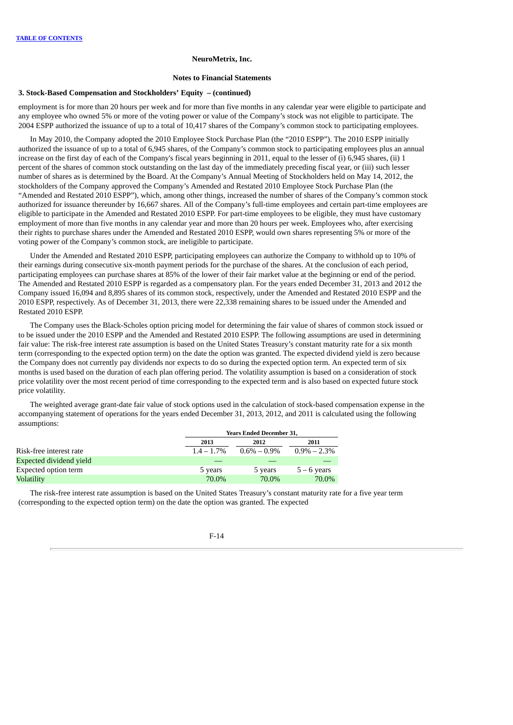#### **Notes to Financial Statements**

## **3. Stock-Based Compensation and Stockholders' Equity – (continued)**

employment is for more than 20 hours per week and for more than five months in any calendar year were eligible to participate and any employee who owned 5% or more of the voting power or value of the Company's stock was not eligible to participate. The 2004 ESPP authorized the issuance of up to a total of 10,417 shares of the Company's common stock to participating employees.

In May 2010, the Company adopted the 2010 Employee Stock Purchase Plan (the "2010 ESPP"). The 2010 ESPP initially authorized the issuance of up to a total of 6,945 shares, of the Company's common stock to participating employees plus an annual increase on the first day of each of the Company's fiscal years beginning in 2011, equal to the lesser of (i) 6,945 shares, (ii) 1 percent of the shares of common stock outstanding on the last day of the immediately preceding fiscal year, or (iii) such lesser number of shares as is determined by the Board. At the Company's Annual Meeting of Stockholders held on May 14, 2012, the stockholders of the Company approved the Company's Amended and Restated 2010 Employee Stock Purchase Plan (the "Amended and Restated 2010 ESPP"), which, among other things, increased the number of shares of the Company's common stock authorized for issuance thereunder by 16,667 shares. All of the Company's full-time employees and certain part-time employees are eligible to participate in the Amended and Restated 2010 ESPP. For part-time employees to be eligible, they must have customary employment of more than five months in any calendar year and more than 20 hours per week. Employees who, after exercising their rights to purchase shares under the Amended and Restated 2010 ESPP, would own shares representing 5% or more of the voting power of the Company's common stock, are ineligible to participate.

Under the Amended and Restated 2010 ESPP, participating employees can authorize the Company to withhold up to 10% of their earnings during consecutive six-month payment periods for the purchase of the shares. At the conclusion of each period, participating employees can purchase shares at 85% of the lower of their fair market value at the beginning or end of the period. The Amended and Restated 2010 ESPP is regarded as a compensatory plan. For the years ended December 31, 2013 and 2012 the Company issued 16,094 and 8,895 shares of its common stock, respectively, under the Amended and Restated 2010 ESPP and the 2010 ESPP, respectively. As of December 31, 2013, there were 22,338 remaining shares to be issued under the Amended and Restated 2010 ESPP.

The Company uses the Black-Scholes option pricing model for determining the fair value of shares of common stock issued or to be issued under the 2010 ESPP and the Amended and Restated 2010 ESPP. The following assumptions are used in determining fair value: The risk-free interest rate assumption is based on the United States Treasury's constant maturity rate for a six month term (corresponding to the expected option term) on the date the option was granted. The expected dividend yield is zero because the Company does not currently pay dividends nor expects to do so during the expected option term. An expected term of six months is used based on the duration of each plan offering period. The volatility assumption is based on a consideration of stock price volatility over the most recent period of time corresponding to the expected term and is also based on expected future stock price volatility.

The weighted average grant-date fair value of stock options used in the calculation of stock-based compensation expense in the accompanying statement of operations for the years ended December 31, 2013, 2012, and 2011 is calculated using the following assumptions:

| <b>Years Ended December 31,</b> |                 |                 |  |
|---------------------------------|-----------------|-----------------|--|
| 2013                            | 2012            | 2011            |  |
| $1.4 - 1.7\%$                   | $0.6\% - 0.9\%$ | $0.9\% - 2.3\%$ |  |
|                                 |                 |                 |  |
| 5 years                         | 5 years         | $5 - 6$ years   |  |
| 70.0%                           | 70.0%           | 70.0%           |  |
|                                 |                 |                 |  |

The risk-free interest rate assumption is based on the United States Treasury's constant maturity rate for a five year term (corresponding to the expected option term) on the date the option was granted. The expected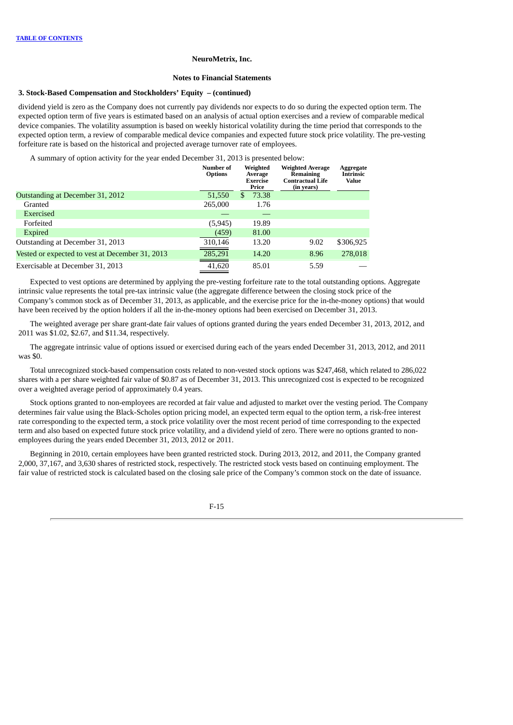#### **Notes to Financial Statements**

### **3. Stock-Based Compensation and Stockholders' Equity – (continued)**

dividend yield is zero as the Company does not currently pay dividends nor expects to do so during the expected option term. The expected option term of five years is estimated based on an analysis of actual option exercises and a review of comparable medical device companies. The volatility assumption is based on weekly historical volatility during the time period that corresponds to the expected option term, a review of comparable medical device companies and expected future stock price volatility. The pre-vesting forfeiture rate is based on the historical and projected average turnover rate of employees.

A summary of option activity for the year ended December 31, 2013 is presented below:

|                                                 | <b>Number of</b><br><b>Options</b> |    | Weighted<br>Average<br><b>Exercise</b><br>Price | <b>Weighted Average</b><br>Remaining<br><b>Contractual Life</b><br>(in years) | Aggregate<br><b>Intrinsic</b><br><b>Value</b> |
|-------------------------------------------------|------------------------------------|----|-------------------------------------------------|-------------------------------------------------------------------------------|-----------------------------------------------|
| Outstanding at December 31, 2012                | 51,550                             | S. | 73.38                                           |                                                                               |                                               |
| Granted                                         | 265,000                            |    | 1.76                                            |                                                                               |                                               |
| Exercised                                       |                                    |    |                                                 |                                                                               |                                               |
| Forfeited                                       | (5, 945)                           |    | 19.89                                           |                                                                               |                                               |
| <b>Expired</b>                                  | (459)                              |    | 81.00                                           |                                                                               |                                               |
| Outstanding at December 31, 2013                | 310,146                            |    | 13.20                                           | 9.02                                                                          | \$306,925                                     |
| Vested or expected to vest at December 31, 2013 | 285,291                            |    | 14.20                                           | 8.96                                                                          | 278,018                                       |
| Exercisable at December 31, 2013                | 41,620                             |    | 85.01                                           | 5.59                                                                          |                                               |

Expected to vest options are determined by applying the pre-vesting forfeiture rate to the total outstanding options. Aggregate intrinsic value represents the total pre-tax intrinsic value (the aggregate difference between the closing stock price of the Company's common stock as of December 31, 2013, as applicable, and the exercise price for the in-the-money options) that would have been received by the option holders if all the in-the-money options had been exercised on December 31, 2013.

The weighted average per share grant-date fair values of options granted during the years ended December 31, 2013, 2012, and 2011 was \$1.02, \$2.67, and \$11.34, respectively.

The aggregate intrinsic value of options issued or exercised during each of the years ended December 31, 2013, 2012, and 2011 was \$0.

Total unrecognized stock-based compensation costs related to non-vested stock options was \$247,468, which related to 286,022 shares with a per share weighted fair value of \$0.87 as of December 31, 2013. This unrecognized cost is expected to be recognized over a weighted average period of approximately 0.4 years.

Stock options granted to non-employees are recorded at fair value and adjusted to market over the vesting period. The Company determines fair value using the Black-Scholes option pricing model, an expected term equal to the option term, a risk-free interest rate corresponding to the expected term, a stock price volatility over the most recent period of time corresponding to the expected term and also based on expected future stock price volatility, and a dividend yield of zero. There were no options granted to nonemployees during the years ended December 31, 2013, 2012 or 2011.

Beginning in 2010, certain employees have been granted restricted stock. During 2013, 2012, and 2011, the Company granted 2,000, 37,167, and 3,630 shares of restricted stock, respectively. The restricted stock vests based on continuing employment. The fair value of restricted stock is calculated based on the closing sale price of the Company's common stock on the date of issuance.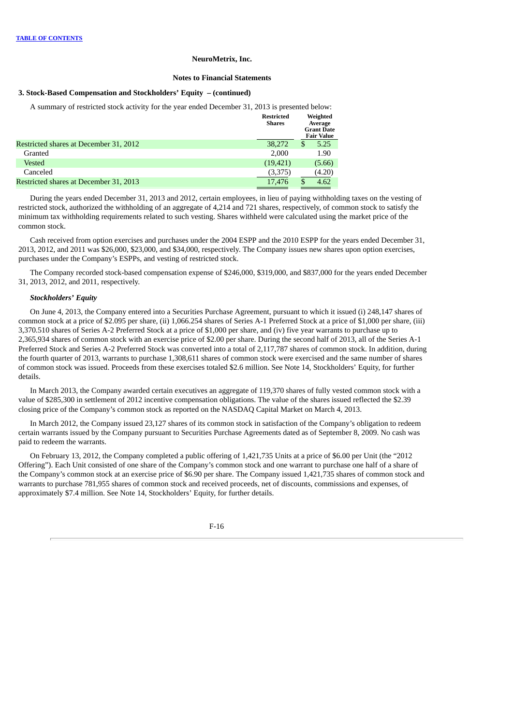#### **Notes to Financial Statements**

### **3. Stock-Based Compensation and Stockholders' Equity – (continued)**

A summary of restricted stock activity for the year ended December 31, 2013 is presented below:

|                                        | <b>Restricted</b><br><b>Shares</b> |   | Weighted<br>Average<br><b>Grant Date</b><br><b>Fair Value</b> |
|----------------------------------------|------------------------------------|---|---------------------------------------------------------------|
| Restricted shares at December 31, 2012 | 38,272                             | S | 5.25                                                          |
| Granted                                | 2.000                              |   | 1.90                                                          |
| Vested                                 | (19, 421)                          |   | (5.66)                                                        |
| Canceled                               | (3,375)                            |   | (4.20)                                                        |
| Restricted shares at December 31, 2013 | 17,476                             |   | 4.62                                                          |

During the years ended December 31, 2013 and 2012, certain employees, in lieu of paying withholding taxes on the vesting of restricted stock, authorized the withholding of an aggregate of 4,214 and 721 shares, respectively, of common stock to satisfy the minimum tax withholding requirements related to such vesting. Shares withheld were calculated using the market price of the common stock.

Cash received from option exercises and purchases under the 2004 ESPP and the 2010 ESPP for the years ended December 31, 2013, 2012, and 2011 was \$26,000, \$23,000, and \$34,000, respectively. The Company issues new shares upon option exercises, purchases under the Company's ESPPs, and vesting of restricted stock.

The Company recorded stock-based compensation expense of \$246,000, \$319,000, and \$837,000 for the years ended December 31, 2013, 2012, and 2011, respectively.

### *Stockholders' Equity*

On June 4, 2013, the Company entered into a Securities Purchase Agreement, pursuant to which it issued (i) 248,147 shares of common stock at a price of \$2.095 per share, (ii) 1,066.254 shares of Series A-1 Preferred Stock at a price of \$1,000 per share, (iii) 3,370.510 shares of Series A-2 Preferred Stock at a price of \$1,000 per share, and (iv) five year warrants to purchase up to 2,365,934 shares of common stock with an exercise price of \$2.00 per share. During the second half of 2013, all of the Series A-1 Preferred Stock and Series A-2 Preferred Stock was converted into a total of 2,117,787 shares of common stock. In addition, during the fourth quarter of 2013, warrants to purchase 1,308,611 shares of common stock were exercised and the same number of shares of common stock was issued. Proceeds from these exercises totaled \$2.6 million. See Note 14, Stockholders' Equity, for further details.

In March 2013, the Company awarded certain executives an aggregate of 119,370 shares of fully vested common stock with a value of \$285,300 in settlement of 2012 incentive compensation obligations. The value of the shares issued reflected the \$2.39 closing price of the Company's common stock as reported on the NASDAQ Capital Market on March 4, 2013.

In March 2012, the Company issued 23,127 shares of its common stock in satisfaction of the Company's obligation to redeem certain warrants issued by the Company pursuant to Securities Purchase Agreements dated as of September 8, 2009. No cash was paid to redeem the warrants.

On February 13, 2012, the Company completed a public offering of 1,421,735 Units at a price of \$6.00 per Unit (the "2012 Offering"). Each Unit consisted of one share of the Company's common stock and one warrant to purchase one half of a share of the Company's common stock at an exercise price of \$6.90 per share. The Company issued 1,421,735 shares of common stock and warrants to purchase 781,955 shares of common stock and received proceeds, net of discounts, commissions and expenses, of approximately \$7.4 million. See Note 14, Stockholders' Equity, for further details.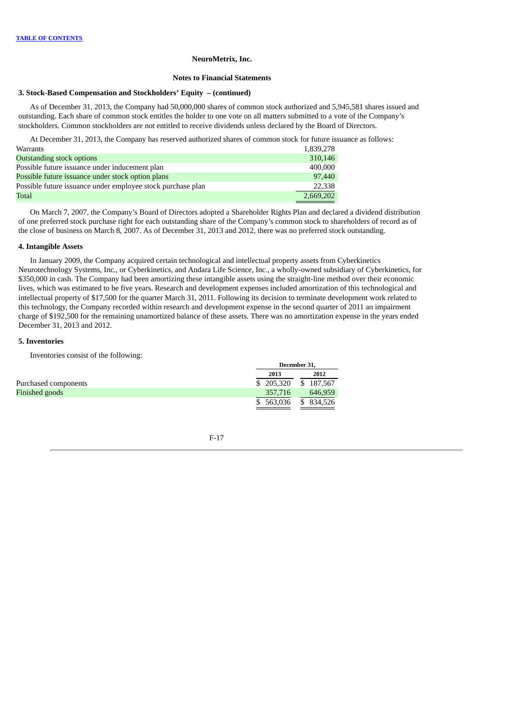#### **Notes to Financial Statements**

### **3. Stock-Based Compensation and Stockholders' Equity – (continued)**

As of December 31, 2013, the Company had 50,000,000 shares of common stock authorized and 5,945,581 shares issued and outstanding. Each share of common stock entitles the holder to one vote on all matters submitted to a vote of the Company's stockholders. Common stockholders are not entitled to receive dividends unless declared by the Board of Directors.

At December 31, 2013, the Company has reserved authorized shares of common stock for future issuance as follows:

| Warrants                                                    | 1,839,278 |
|-------------------------------------------------------------|-----------|
| <b>Outstanding stock options</b>                            | 310,146   |
| Possible future issuance under inducement plan              | 400,000   |
| Possible future issuance under stock option plans           | 97,440    |
| Possible future issuance under employee stock purchase plan | 22,338    |
| Total                                                       | 2,669,202 |

On March 7, 2007, the Company's Board of Directors adopted a Shareholder Rights Plan and declared a dividend distribution of one preferred stock purchase right for each outstanding share of the Company's common stock to shareholders of record as of the close of business on March 8, 2007. As of December 31, 2013 and 2012, there was no preferred stock outstanding.

#### **4. Intangible Assets**

In January 2009, the Company acquired certain technological and intellectual property assets from Cyberkinetics Neurotechnology Systems, Inc., or Cyberkinetics, and Andara Life Science, Inc., a wholly-owned subsidiary of Cyberkinetics, for \$350,000 in cash. The Company had been amortizing these intangible assets using the straight-line method over their economic lives, which was estimated to be five years. Research and development expenses included amortization of this technological and intellectual property of \$17,500 for the quarter March 31, 2011. Following its decision to terminate development work related to this technology, the Company recorded within research and development expense in the second quarter of 2011 an impairment charge of \$192,500 for the remaining unamortized balance of these assets. There was no amortization expense in the years ended December 31, 2013 and 2012.

### **5. Inventories**

Inventories consist of the following:

|                      | December 31, |            |
|----------------------|--------------|------------|
|                      | 2013         | 2012       |
| Purchased components | \$205,320    | \$187,567  |
| Finished goods       | 357.716      | 646.959    |
|                      | \$563,036    | \$ 834,526 |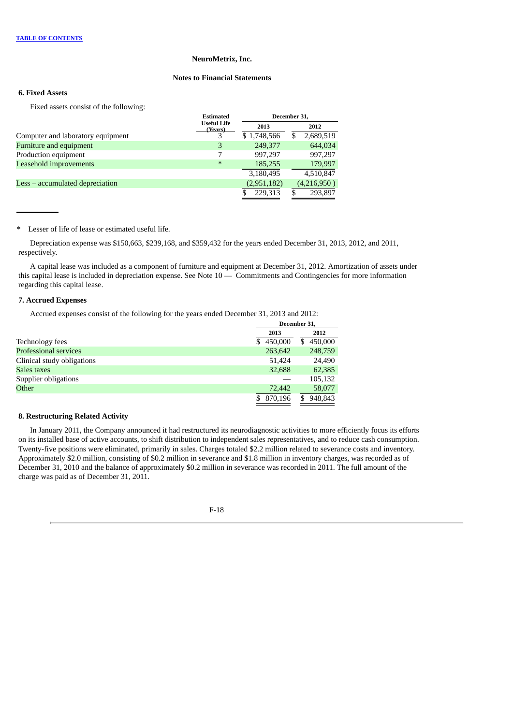# **Notes to Financial Statements**

# **6. Fixed Assets**

Fixed assets consist of the following:

|                                   | <b>Estimated</b>              |             | December 31,   |
|-----------------------------------|-------------------------------|-------------|----------------|
|                                   | <b>Useful Life</b><br>(Years) | 2013        | 2012           |
| Computer and laboratory equipment |                               | \$1,748,566 | 2,689,519<br>S |
| <b>Furniture and equipment</b>    | 3                             | 249,377     | 644,034        |
| Production equipment              |                               | 997.297     | 997,297        |
| Leasehold improvements            | $\ast$                        | 185,255     | 179,997        |
|                                   |                               | 3,180,495   | 4,510,847      |
| Less – accumulated depreciation   |                               | (2,951,182) | (4,216,950)    |
|                                   |                               | 229,313     | 293,897        |
|                                   |                               |             |                |

\* Lesser of life of lease or estimated useful life.

Depreciation expense was \$150,663, \$239,168, and \$359,432 for the years ended December 31, 2013, 2012, and 2011, respectively.

A capital lease was included as a component of furniture and equipment at December 31, 2012. Amortization of assets under this capital lease is included in depreciation expense. See Note 10 — Commitments and Contingencies for more information regarding this capital lease.

### **7. Accrued Expenses**

Accrued expenses consist of the following for the years ended December 31, 2013 and 2012:

|                              | December 31, |              |  |
|------------------------------|--------------|--------------|--|
|                              | 2013         | 2012         |  |
| Technology fees              | 450,000<br>S | 450,000<br>S |  |
| <b>Professional services</b> | 263,642      | 248,759      |  |
| Clinical study obligations   | 51,424       | 24,490       |  |
| Sales taxes                  | 32,688       | 62,385       |  |
| Supplier obligations         |              | 105,132      |  |
| Other                        | 72,442       | 58,077       |  |
|                              | 870,196      | 948,843<br>S |  |

### **8. Restructuring Related Activity**

In January 2011, the Company announced it had restructured its neurodiagnostic activities to more efficiently focus its efforts on its installed base of active accounts, to shift distribution to independent sales representatives, and to reduce cash consumption. Twenty-five positions were eliminated, primarily in sales. Charges totaled \$2.2 million related to severance costs and inventory. Approximately \$2.0 million, consisting of \$0.2 million in severance and \$1.8 million in inventory charges, was recorded as of December 31, 2010 and the balance of approximately \$0.2 million in severance was recorded in 2011. The full amount of the charge was paid as of December 31, 2011.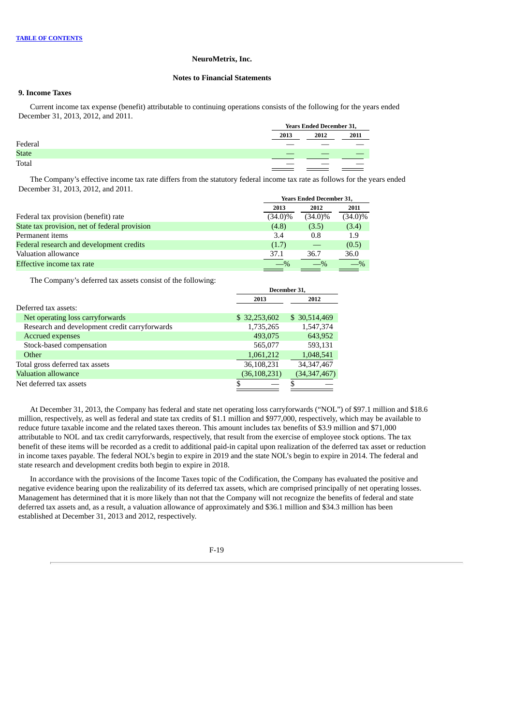### **Notes to Financial Statements**

# **9. Income Taxes**

Current income tax expense (benefit) attributable to continuing operations consists of the following for the years ended December 31, 2013, 2012, and 2011.

|              |      | <b>Years Ended December 31,</b> |      |  |  |
|--------------|------|---------------------------------|------|--|--|
|              | 2013 | 2012                            | 2011 |  |  |
| Federal      |      |                                 |      |  |  |
| <b>State</b> |      |                                 |      |  |  |
| Total        |      |                                 |      |  |  |

The Company's effective income tax rate differs from the statutory federal income tax rate as follows for the years ended December 31, 2013, 2012, and 2011.

|                                               | <b>Years Ended December 31,</b> |            |            |  |
|-----------------------------------------------|---------------------------------|------------|------------|--|
|                                               | 2013                            | 2012       | 2011       |  |
| Federal tax provision (benefit) rate          | $(34.0)\%$                      | $(34.0)\%$ | $(34.0)\%$ |  |
| State tax provision, net of federal provision | (4.8)                           | (3.5)      | (3.4)      |  |
| Permanent items                               | 3.4                             | 0.8        | 1.9        |  |
| Federal research and development credits      | (1.7)                           |            | (0.5)      |  |
| Valuation allowance                           | 37.1                            | 36.7       | 36.0       |  |
| Effective income tax rate                     | $-$ %                           |            |            |  |

The Company's deferred tax assets consist of the following:

|                                               | December 31.   |                |  |  |
|-----------------------------------------------|----------------|----------------|--|--|
|                                               | 2013           | 2012           |  |  |
| Deferred tax assets:                          |                |                |  |  |
| Net operating loss carryforwards              | \$32,253,602   | \$ 30,514,469  |  |  |
| Research and development credit carryforwards | 1,735,265      | 1,547,374      |  |  |
| <b>Accrued expenses</b>                       | 493,075        | 643,952        |  |  |
| Stock-based compensation                      | 565,077        | 593,131        |  |  |
| Other                                         | 1,061,212      | 1,048,541      |  |  |
| Total gross deferred tax assets               | 36,108,231     | 34, 347, 467   |  |  |
| Valuation allowance                           | (36, 108, 231) | (34, 347, 467) |  |  |
| Net deferred tax assets                       | \$             |                |  |  |

At December 31, 2013, the Company has federal and state net operating loss carryforwards ("NOL") of \$97.1 million and \$18.6 million, respectively, as well as federal and state tax credits of \$1.1 million and \$977,000, respectively, which may be available to reduce future taxable income and the related taxes thereon. This amount includes tax benefits of \$3.9 million and \$71,000 attributable to NOL and tax credit carryforwards, respectively, that result from the exercise of employee stock options. The tax benefit of these items will be recorded as a credit to additional paid-in capital upon realization of the deferred tax asset or reduction in income taxes payable. The federal NOL's begin to expire in 2019 and the state NOL's begin to expire in 2014. The federal and state research and development credits both begin to expire in 2018.

In accordance with the provisions of the Income Taxes topic of the Codification, the Company has evaluated the positive and negative evidence bearing upon the realizability of its deferred tax assets, which are comprised principally of net operating losses. Management has determined that it is more likely than not that the Company will not recognize the benefits of federal and state deferred tax assets and, as a result, a valuation allowance of approximately and \$36.1 million and \$34.3 million has been established at December 31, 2013 and 2012, respectively.

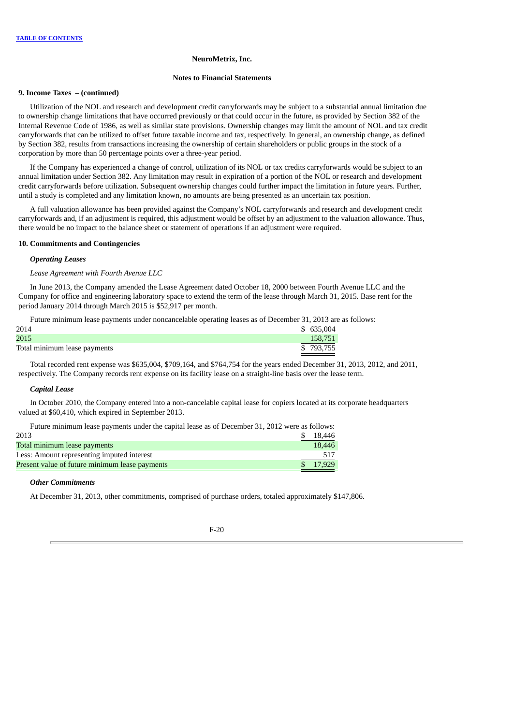#### **Notes to Financial Statements**

#### **9. Income Taxes – (continued)**

Utilization of the NOL and research and development credit carryforwards may be subject to a substantial annual limitation due to ownership change limitations that have occurred previously or that could occur in the future, as provided by Section 382 of the Internal Revenue Code of 1986, as well as similar state provisions. Ownership changes may limit the amount of NOL and tax credit carryforwards that can be utilized to offset future taxable income and tax, respectively. In general, an ownership change, as defined by Section 382, results from transactions increasing the ownership of certain shareholders or public groups in the stock of a corporation by more than 50 percentage points over a three-year period.

If the Company has experienced a change of control, utilization of its NOL or tax credits carryforwards would be subject to an annual limitation under Section 382. Any limitation may result in expiration of a portion of the NOL or research and development credit carryforwards before utilization. Subsequent ownership changes could further impact the limitation in future years. Further, until a study is completed and any limitation known, no amounts are being presented as an uncertain tax position.

A full valuation allowance has been provided against the Company's NOL carryforwards and research and development credit carryforwards and, if an adjustment is required, this adjustment would be offset by an adjustment to the valuation allowance. Thus, there would be no impact to the balance sheet or statement of operations if an adjustment were required.

#### **10. Commitments and Contingencies**

### *Operating Leases*

*Lease Agreement with Fourth Avenue LLC*

In June 2013, the Company amended the Lease Agreement dated October 18, 2000 between Fourth Avenue LLC and the Company for office and engineering laboratory space to extend the term of the lease through March 31, 2015. Base rent for the period January 2014 through March 2015 is \$52,917 per month.

Future minimum lease payments under noncancelable operating leases as of December 31, 2013 are as follows:

| 2014                         | \$ 635,004 |
|------------------------------|------------|
| 2015                         | 158.751    |
| Total minimum lease payments | \$793,755  |

Total recorded rent expense was \$635,004, \$709,164, and \$764,754 for the years ended December 31, 2013, 2012, and 2011, respectively. The Company records rent expense on its facility lease on a straight-line basis over the lease term.

#### *Capital Lease*

In October 2010, the Company entered into a non-cancelable capital lease for copiers located at its corporate headquarters valued at \$60,410, which expired in September 2013.

Future minimum lease payments under the capital lease as of December 31, 2012 were as follows:

| 2013                                           | 18.446   |
|------------------------------------------------|----------|
| Total minimum lease payments                   | 18,446   |
| Less: Amount representing imputed interest     | 517      |
| Present value of future minimum lease payments | \$17.929 |

## *Other Commitments*

At December 31, 2013, other commitments, comprised of purchase orders, totaled approximately \$147,806.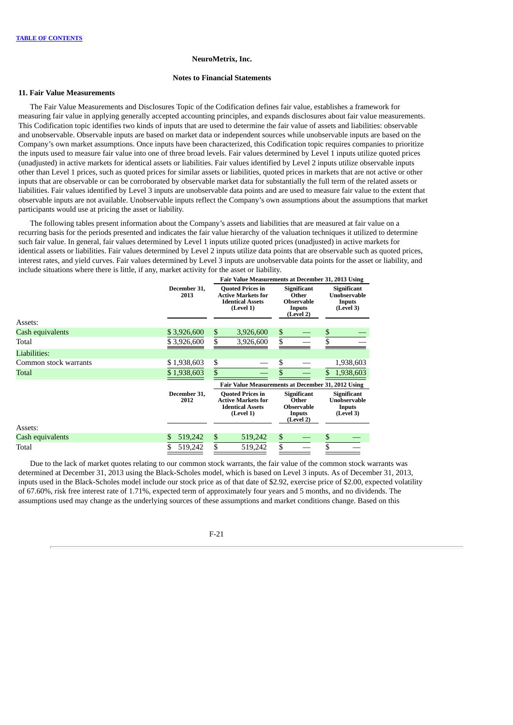#### **Notes to Financial Statements**

### **11. Fair Value Measurements**

The Fair Value Measurements and Disclosures Topic of the Codification defines fair value, establishes a framework for measuring fair value in applying generally accepted accounting principles, and expands disclosures about fair value measurements. This Codification topic identifies two kinds of inputs that are used to determine the fair value of assets and liabilities: observable and unobservable. Observable inputs are based on market data or independent sources while unobservable inputs are based on the Company's own market assumptions. Once inputs have been characterized, this Codification topic requires companies to prioritize the inputs used to measure fair value into one of three broad levels. Fair values determined by Level 1 inputs utilize quoted prices (unadjusted) in active markets for identical assets or liabilities. Fair values identified by Level 2 inputs utilize observable inputs other than Level 1 prices, such as quoted prices for similar assets or liabilities, quoted prices in markets that are not active or other inputs that are observable or can be corroborated by observable market data for substantially the full term of the related assets or liabilities. Fair values identified by Level 3 inputs are unobservable data points and are used to measure fair value to the extent that observable inputs are not available. Unobservable inputs reflect the Company's own assumptions about the assumptions that market participants would use at pricing the asset or liability.

The following tables present information about the Company's assets and liabilities that are measured at fair value on a recurring basis for the periods presented and indicates the fair value hierarchy of the valuation techniques it utilized to determine such fair value. In general, fair values determined by Level 1 inputs utilize quoted prices (unadjusted) in active markets for identical assets or liabilities. Fair values determined by Level 2 inputs utilize data points that are observable such as quoted prices, interest rates, and yield curves. Fair values determined by Level 3 inputs are unobservable data points for the asset or liability, and include situations where there is little, if any, market activity for the asset or liability.

|                       |                      | Fair Value Measurements at December 31, 2013 Using                                           |                                                    |    |                                                                         |    |                                                                  |  |  |  |  |  |  |  |  |  |  |  |  |                                                                         |  |  |                                                    |
|-----------------------|----------------------|----------------------------------------------------------------------------------------------|----------------------------------------------------|----|-------------------------------------------------------------------------|----|------------------------------------------------------------------|--|--|--|--|--|--|--|--|--|--|--|--|-------------------------------------------------------------------------|--|--|----------------------------------------------------|
| Assets:               | December 31,<br>2013 | <b>Quoted Prices in</b><br><b>Active Markets for</b><br><b>Identical Assets</b><br>(Level 1) |                                                    |    |                                                                         |    |                                                                  |  |  |  |  |  |  |  |  |  |  |  |  | <b>Significant</b><br>Other<br><b>Observable</b><br>Inputs<br>(Level 2) |  |  | Significant<br>Unobservable<br>Inputs<br>(Level 3) |
| Cash equivalents      | \$3,926,600          | \$                                                                                           | 3,926,600                                          | \$ |                                                                         | \$ |                                                                  |  |  |  |  |  |  |  |  |  |  |  |  |                                                                         |  |  |                                                    |
| Total                 | \$3,926,600          | \$                                                                                           | 3,926,600                                          | \$ |                                                                         | \$ |                                                                  |  |  |  |  |  |  |  |  |  |  |  |  |                                                                         |  |  |                                                    |
| Liabilities:          |                      |                                                                                              |                                                    |    |                                                                         |    |                                                                  |  |  |  |  |  |  |  |  |  |  |  |  |                                                                         |  |  |                                                    |
| Common stock warrants | \$1,938,603          | \$                                                                                           |                                                    | \$ |                                                                         |    | 1,938,603                                                        |  |  |  |  |  |  |  |  |  |  |  |  |                                                                         |  |  |                                                    |
| Total                 | \$1,938,603          | \$                                                                                           |                                                    | \$ |                                                                         | \$ | 1,938,603                                                        |  |  |  |  |  |  |  |  |  |  |  |  |                                                                         |  |  |                                                    |
|                       |                      |                                                                                              | Fair Value Measurements at December 31, 2012 Using |    |                                                                         |    |                                                                  |  |  |  |  |  |  |  |  |  |  |  |  |                                                                         |  |  |                                                    |
|                       | December 31,<br>2012 | <b>Quoted Prices in</b><br><b>Active Markets for</b><br><b>Identical Assets</b><br>(Level 1) |                                                    |    | <b>Significant</b><br>Other<br><b>Observable</b><br>Inputs<br>(Level 2) |    | Significant<br><b>Unobservable</b><br><b>Inputs</b><br>(Level 3) |  |  |  |  |  |  |  |  |  |  |  |  |                                                                         |  |  |                                                    |
| Assets:               |                      |                                                                                              |                                                    |    |                                                                         |    |                                                                  |  |  |  |  |  |  |  |  |  |  |  |  |                                                                         |  |  |                                                    |
| Cash equivalents      | \$<br>519,242        | \$                                                                                           | 519,242                                            | \$ |                                                                         | \$ |                                                                  |  |  |  |  |  |  |  |  |  |  |  |  |                                                                         |  |  |                                                    |
| Total                 | \$<br>519,242        | \$                                                                                           | 519,242                                            | \$ |                                                                         | \$ |                                                                  |  |  |  |  |  |  |  |  |  |  |  |  |                                                                         |  |  |                                                    |

Due to the lack of market quotes relating to our common stock warrants, the fair value of the common stock warrants was determined at December 31, 2013 using the Black-Scholes model, which is based on Level 3 inputs. As of December 31, 2013, inputs used in the Black-Scholes model include our stock price as of that date of \$2.92, exercise price of \$2.00, expected volatility of 67.60%, risk free interest rate of 1.71%, expected term of approximately four years and 5 months, and no dividends. The assumptions used may change as the underlying sources of these assumptions and market conditions change. Based on this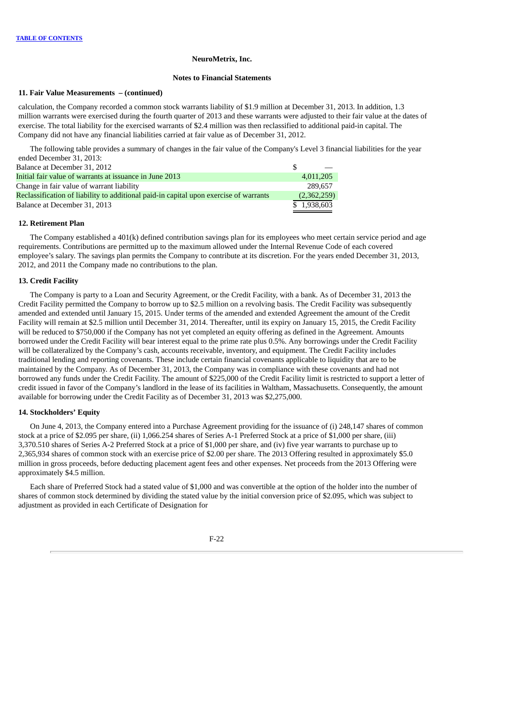#### **Notes to Financial Statements**

#### **11. Fair Value Measurements – (continued)**

calculation, the Company recorded a common stock warrants liability of \$1.9 million at December 31, 2013. In addition, 1.3 million warrants were exercised during the fourth quarter of 2013 and these warrants were adjusted to their fair value at the dates of exercise. The total liability for the exercised warrants of \$2.4 million was then reclassified to additional paid-in capital. The Company did not have any financial liabilities carried at fair value as of December 31, 2012.

The following table provides a summary of changes in the fair value of the Company's Level 3 financial liabilities for the year ended December 31, 2013:

| Balance at December 31, 2012                                                          |             |
|---------------------------------------------------------------------------------------|-------------|
| Initial fair value of warrants at issuance in June 2013                               | 4.011.205   |
| Change in fair value of warrant liability                                             | 289.657     |
| Reclassification of liability to additional paid-in capital upon exercise of warrants | (2,362,259) |
| Balance at December 31, 2013                                                          | \$1,938,603 |
|                                                                                       |             |

#### **12. Retirement Plan**

The Company established a 401(k) defined contribution savings plan for its employees who meet certain service period and age requirements. Contributions are permitted up to the maximum allowed under the Internal Revenue Code of each covered employee's salary. The savings plan permits the Company to contribute at its discretion. For the years ended December 31, 2013, 2012, and 2011 the Company made no contributions to the plan.

### **13. Credit Facility**

The Company is party to a Loan and Security Agreement, or the Credit Facility, with a bank. As of December 31, 2013 the Credit Facility permitted the Company to borrow up to \$2.5 million on a revolving basis. The Credit Facility was subsequently amended and extended until January 15, 2015. Under terms of the amended and extended Agreement the amount of the Credit Facility will remain at \$2.5 million until December 31, 2014. Thereafter, until its expiry on January 15, 2015, the Credit Facility will be reduced to \$750,000 if the Company has not yet completed an equity offering as defined in the Agreement. Amounts borrowed under the Credit Facility will bear interest equal to the prime rate plus 0.5%. Any borrowings under the Credit Facility will be collateralized by the Company's cash, accounts receivable, inventory, and equipment. The Credit Facility includes traditional lending and reporting covenants. These include certain financial covenants applicable to liquidity that are to be maintained by the Company. As of December 31, 2013, the Company was in compliance with these covenants and had not borrowed any funds under the Credit Facility. The amount of \$225,000 of the Credit Facility limit is restricted to support a letter of credit issued in favor of the Company's landlord in the lease of its facilities in Waltham, Massachusetts. Consequently, the amount available for borrowing under the Credit Facility as of December 31, 2013 was \$2,275,000.

### **14. Stockholders' Equity**

On June 4, 2013, the Company entered into a Purchase Agreement providing for the issuance of (i) 248,147 shares of common stock at a price of \$2.095 per share, (ii) 1,066.254 shares of Series A-1 Preferred Stock at a price of \$1,000 per share, (iii) 3,370.510 shares of Series A-2 Preferred Stock at a price of \$1,000 per share, and (iv) five year warrants to purchase up to 2,365,934 shares of common stock with an exercise price of \$2.00 per share. The 2013 Offering resulted in approximately \$5.0 million in gross proceeds, before deducting placement agent fees and other expenses. Net proceeds from the 2013 Offering were approximately \$4.5 million.

Each share of Preferred Stock had a stated value of \$1,000 and was convertible at the option of the holder into the number of shares of common stock determined by dividing the stated value by the initial conversion price of \$2.095, which was subject to adjustment as provided in each Certificate of Designation for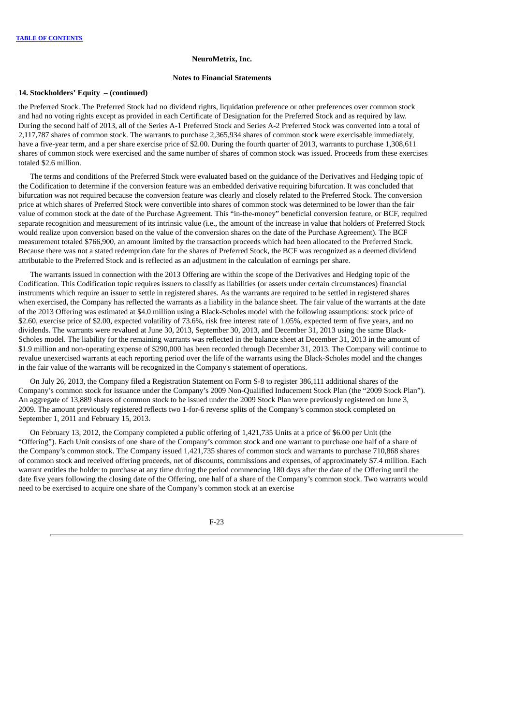#### **Notes to Financial Statements**

### **14. Stockholders' Equity – (continued)**

the Preferred Stock. The Preferred Stock had no dividend rights, liquidation preference or other preferences over common stock and had no voting rights except as provided in each Certificate of Designation for the Preferred Stock and as required by law. During the second half of 2013, all of the Series A-1 Preferred Stock and Series A-2 Preferred Stock was converted into a total of 2,117,787 shares of common stock. The warrants to purchase 2,365,934 shares of common stock were exercisable immediately, have a five-year term, and a per share exercise price of \$2.00. During the fourth quarter of 2013, warrants to purchase 1,308,611 shares of common stock were exercised and the same number of shares of common stock was issued. Proceeds from these exercises totaled \$2.6 million.

The terms and conditions of the Preferred Stock were evaluated based on the guidance of the Derivatives and Hedging topic of the Codification to determine if the conversion feature was an embedded derivative requiring bifurcation. It was concluded that bifurcation was not required because the conversion feature was clearly and closely related to the Preferred Stock. The conversion price at which shares of Preferred Stock were convertible into shares of common stock was determined to be lower than the fair value of common stock at the date of the Purchase Agreement. This "in-the-money" beneficial conversion feature, or BCF, required separate recognition and measurement of its intrinsic value (i.e., the amount of the increase in value that holders of Preferred Stock would realize upon conversion based on the value of the conversion shares on the date of the Purchase Agreement). The BCF measurement totaled \$766,900, an amount limited by the transaction proceeds which had been allocated to the Preferred Stock. Because there was not a stated redemption date for the shares of Preferred Stock, the BCF was recognized as a deemed dividend attributable to the Preferred Stock and is reflected as an adjustment in the calculation of earnings per share.

The warrants issued in connection with the 2013 Offering are within the scope of the Derivatives and Hedging topic of the Codification. This Codification topic requires issuers to classify as liabilities (or assets under certain circumstances) financial instruments which require an issuer to settle in registered shares. As the warrants are required to be settled in registered shares when exercised, the Company has reflected the warrants as a liability in the balance sheet. The fair value of the warrants at the date of the 2013 Offering was estimated at \$4.0 million using a Black-Scholes model with the following assumptions: stock price of \$2.60, exercise price of \$2.00, expected volatility of 73.6%, risk free interest rate of 1.05%, expected term of five years, and no dividends. The warrants were revalued at June 30, 2013, September 30, 2013, and December 31, 2013 using the same Black-Scholes model. The liability for the remaining warrants was reflected in the balance sheet at December 31, 2013 in the amount of \$1.9 million and non-operating expense of \$290,000 has been recorded through December 31, 2013. The Company will continue to revalue unexercised warrants at each reporting period over the life of the warrants using the Black-Scholes model and the changes in the fair value of the warrants will be recognized in the Company's statement of operations.

On July 26, 2013, the Company filed a Registration Statement on Form S-8 to register 386,111 additional shares of the Company's common stock for issuance under the Company's 2009 Non-Qualified Inducement Stock Plan (the "2009 Stock Plan"). An aggregate of 13,889 shares of common stock to be issued under the 2009 Stock Plan were previously registered on June 3, 2009. The amount previously registered reflects two 1-for-6 reverse splits of the Company's common stock completed on September 1, 2011 and February 15, 2013.

On February 13, 2012, the Company completed a public offering of 1,421,735 Units at a price of \$6.00 per Unit (the "Offering"). Each Unit consists of one share of the Company's common stock and one warrant to purchase one half of a share of the Company's common stock. The Company issued 1,421,735 shares of common stock and warrants to purchase 710,868 shares of common stock and received offering proceeds, net of discounts, commissions and expenses, of approximately \$7.4 million. Each warrant entitles the holder to purchase at any time during the period commencing 180 days after the date of the Offering until the date five years following the closing date of the Offering, one half of a share of the Company's common stock. Two warrants would need to be exercised to acquire one share of the Company's common stock at an exercise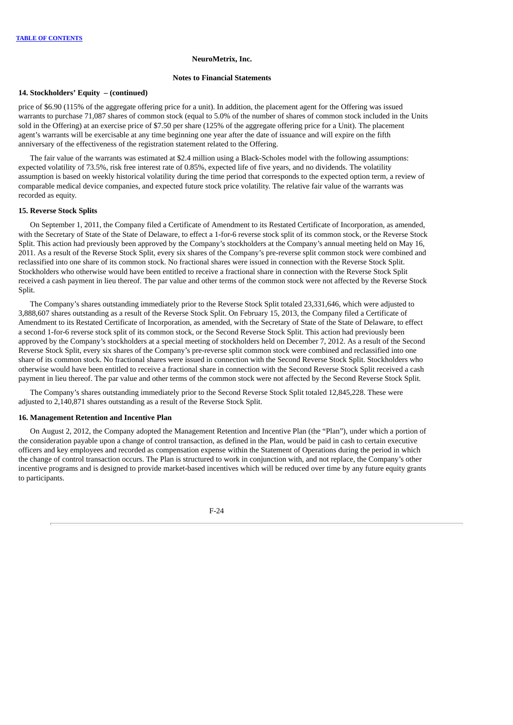#### **Notes to Financial Statements**

### **14. Stockholders' Equity – (continued)**

price of \$6.90 (115% of the aggregate offering price for a unit). In addition, the placement agent for the Offering was issued warrants to purchase 71,087 shares of common stock (equal to 5.0% of the number of shares of common stock included in the Units sold in the Offering) at an exercise price of \$7.50 per share (125% of the aggregate offering price for a Unit). The placement agent's warrants will be exercisable at any time beginning one year after the date of issuance and will expire on the fifth anniversary of the effectiveness of the registration statement related to the Offering.

The fair value of the warrants was estimated at \$2.4 million using a Black-Scholes model with the following assumptions: expected volatility of 73.5%, risk free interest rate of 0.85%, expected life of five years, and no dividends. The volatility assumption is based on weekly historical volatility during the time period that corresponds to the expected option term, a review of comparable medical device companies, and expected future stock price volatility. The relative fair value of the warrants was recorded as equity.

#### **15. Reverse Stock Splits**

On September 1, 2011, the Company filed a Certificate of Amendment to its Restated Certificate of Incorporation, as amended, with the Secretary of State of the State of Delaware, to effect a 1-for-6 reverse stock split of its common stock, or the Reverse Stock Split. This action had previously been approved by the Company's stockholders at the Company's annual meeting held on May 16, 2011. As a result of the Reverse Stock Split, every six shares of the Company's pre-reverse split common stock were combined and reclassified into one share of its common stock. No fractional shares were issued in connection with the Reverse Stock Split. Stockholders who otherwise would have been entitled to receive a fractional share in connection with the Reverse Stock Split received a cash payment in lieu thereof. The par value and other terms of the common stock were not affected by the Reverse Stock Split.

The Company's shares outstanding immediately prior to the Reverse Stock Split totaled 23,331,646, which were adjusted to 3,888,607 shares outstanding as a result of the Reverse Stock Split. On February 15, 2013, the Company filed a Certificate of Amendment to its Restated Certificate of Incorporation, as amended, with the Secretary of State of the State of Delaware, to effect a second 1-for-6 reverse stock split of its common stock, or the Second Reverse Stock Split. This action had previously been approved by the Company's stockholders at a special meeting of stockholders held on December 7, 2012. As a result of the Second Reverse Stock Split, every six shares of the Company's pre-reverse split common stock were combined and reclassified into one share of its common stock. No fractional shares were issued in connection with the Second Reverse Stock Split. Stockholders who otherwise would have been entitled to receive a fractional share in connection with the Second Reverse Stock Split received a cash payment in lieu thereof. The par value and other terms of the common stock were not affected by the Second Reverse Stock Split.

The Company's shares outstanding immediately prior to the Second Reverse Stock Split totaled 12,845,228. These were adjusted to 2,140,871 shares outstanding as a result of the Reverse Stock Split.

### **16. Management Retention and Incentive Plan**

On August 2, 2012, the Company adopted the Management Retention and Incentive Plan (the "Plan"), under which a portion of the consideration payable upon a change of control transaction, as defined in the Plan, would be paid in cash to certain executive officers and key employees and recorded as compensation expense within the Statement of Operations during the period in which the change of control transaction occurs. The Plan is structured to work in conjunction with, and not replace, the Company's other incentive programs and is designed to provide market-based incentives which will be reduced over time by any future equity grants to participants.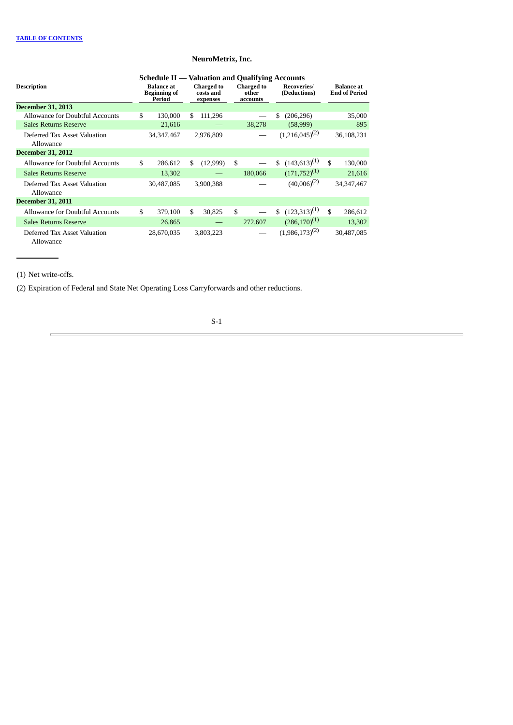|                                           | <b>Schedule II — Valuation and Qualifying Accounts</b> |     |                                            |                                        |                                     |                     |                                           |              |
|-------------------------------------------|--------------------------------------------------------|-----|--------------------------------------------|----------------------------------------|-------------------------------------|---------------------|-------------------------------------------|--------------|
| <b>Description</b>                        | <b>Balance</b> at<br><b>Beginning of</b><br>Period     |     | <b>Charged to</b><br>costs and<br>expenses | <b>Charged to</b><br>other<br>accounts | <b>Recoveries</b> /<br>(Deductions) |                     | <b>Balance</b> at<br><b>End of Period</b> |              |
| <b>December 31, 2013</b>                  |                                                        |     |                                            |                                        |                                     |                     |                                           |              |
| Allowance for Doubtful Accounts           | \$<br>130,000                                          | S.  | 111,296                                    |                                        | S.                                  | (206, 296)          |                                           | 35,000       |
| <b>Sales Returns Reserve</b>              | 21,616                                                 |     |                                            | 38,278                                 |                                     | (58,999)            |                                           | 895          |
| Deferred Tax Asset Valuation<br>Allowance | 34, 347, 467                                           |     | 2,976,809                                  |                                        |                                     | $(1,216,045)^{(2)}$ |                                           | 36,108,231   |
| <b>December 31, 2012</b>                  |                                                        |     |                                            |                                        |                                     |                     |                                           |              |
| Allowance for Doubtful Accounts           | \$<br>286,612                                          | \$. | (12,999)                                   | \$                                     | \$                                  | $(143,613)^{(1)}$   | \$                                        | 130,000      |
| <b>Sales Returns Reserve</b>              | 13,302                                                 |     |                                            | 180,066                                |                                     | $(171,752)^{(1)}$   |                                           | 21,616       |
| Deferred Tax Asset Valuation<br>Allowance | 30,487,085                                             |     | 3,900,388                                  |                                        |                                     | $(40,006)^{(2)}$    |                                           | 34, 347, 467 |
| <b>December 31, 2011</b>                  |                                                        |     |                                            |                                        |                                     |                     |                                           |              |
| Allowance for Doubtful Accounts           | \$<br>379,100                                          | \$  | 30,825                                     | \$                                     | \$                                  | $(123,313)^{(1)}$   | $\mathbf{s}$                              | 286,612      |
| <b>Sales Returns Reserve</b>              | 26,865                                                 |     |                                            | 272,607                                |                                     | $(286,170)^{(1)}$   |                                           | 13,302       |
| Deferred Tax Asset Valuation<br>Allowance | 28,670,035                                             |     | 3,803,223                                  |                                        |                                     | $(1,986,173)^{(2)}$ |                                           | 30,487,085   |

(1) Net write-offs.

(2) Expiration of Federal and State Net Operating Loss Carryforwards and other reductions.

# S-1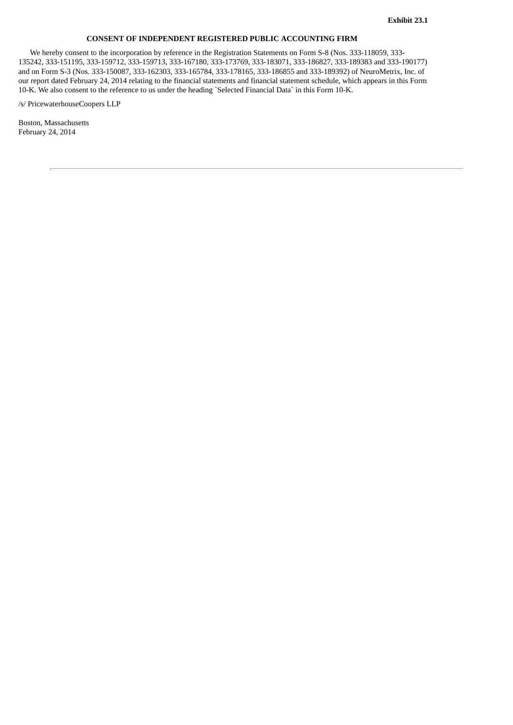# **CONSENT OF INDEPENDENT REGISTERED PUBLIC ACCOUNTING FIRM**

We hereby consent to the incorporation by reference in the Registration Statements on Form S-8 (Nos. 333-118059, 333- 135242, 333-151195, 333-159712, 333-159713, 333-167180, 333-173769, 333-183071, 333-186827, 333-189383 and 333-190177) and on Form S-3 (Nos. 333-150087, 333-162303, 333-165784, 333-178165, 333-186855 and 333-189392) of NeuroMetrix, Inc. of our report dated February 24, 2014 relating to the financial statements and financial statement schedule, which appears in this Form 10-K. We also consent to the reference to us under the heading `Selected Financial Data` in this Form 10-K.

/s/ PricewaterhouseCoopers LLP

Boston, Massachusetts February 24, 2014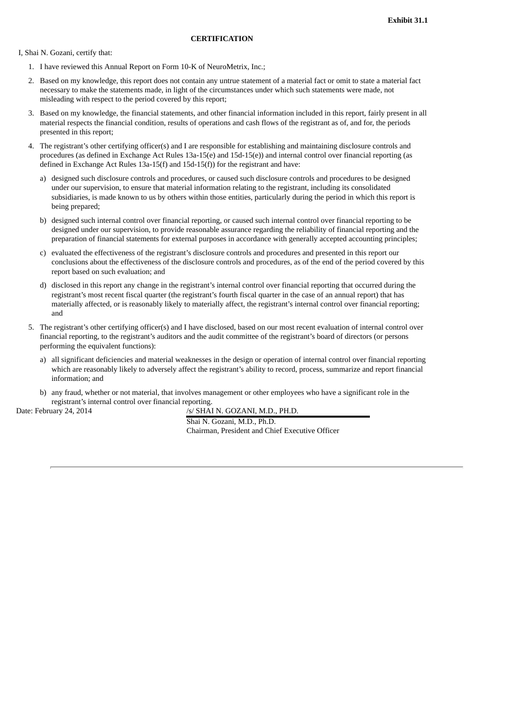I, Shai N. Gozani, certify that:

- 1. I have reviewed this Annual Report on Form 10-K of NeuroMetrix, Inc.;
- 2. Based on my knowledge, this report does not contain any untrue statement of a material fact or omit to state a material fact necessary to make the statements made, in light of the circumstances under which such statements were made, not misleading with respect to the period covered by this report;
- 3. Based on my knowledge, the financial statements, and other financial information included in this report, fairly present in all material respects the financial condition, results of operations and cash flows of the registrant as of, and for, the periods presented in this report;
- 4. The registrant's other certifying officer(s) and I are responsible for establishing and maintaining disclosure controls and procedures (as defined in Exchange Act Rules 13a-15(e) and 15d-15(e)) and internal control over financial reporting (as defined in Exchange Act Rules 13a-15(f) and 15d-15(f)) for the registrant and have:
	- a) designed such disclosure controls and procedures, or caused such disclosure controls and procedures to be designed under our supervision, to ensure that material information relating to the registrant, including its consolidated subsidiaries, is made known to us by others within those entities, particularly during the period in which this report is being prepared;
	- b) designed such internal control over financial reporting, or caused such internal control over financial reporting to be designed under our supervision, to provide reasonable assurance regarding the reliability of financial reporting and the preparation of financial statements for external purposes in accordance with generally accepted accounting principles;
	- c) evaluated the effectiveness of the registrant's disclosure controls and procedures and presented in this report our conclusions about the effectiveness of the disclosure controls and procedures, as of the end of the period covered by this report based on such evaluation; and
	- d) disclosed in this report any change in the registrant's internal control over financial reporting that occurred during the registrant's most recent fiscal quarter (the registrant's fourth fiscal quarter in the case of an annual report) that has materially affected, or is reasonably likely to materially affect, the registrant's internal control over financial reporting; and
- 5. The registrant's other certifying officer(s) and I have disclosed, based on our most recent evaluation of internal control over financial reporting, to the registrant's auditors and the audit committee of the registrant's board of directors (or persons performing the equivalent functions):
	- a) all significant deficiencies and material weaknesses in the design or operation of internal control over financial reporting which are reasonably likely to adversely affect the registrant's ability to record, process, summarize and report financial information; and
	- b) any fraud, whether or not material, that involves management or other employees who have a significant role in the registrant's internal control over financial reporting.

Date: February 24, 2014 /s/ SHAI N. GOZANI, M.D., PH.D.

Shai N. Gozani, M.D., Ph.D. Chairman, President and Chief Executive Officer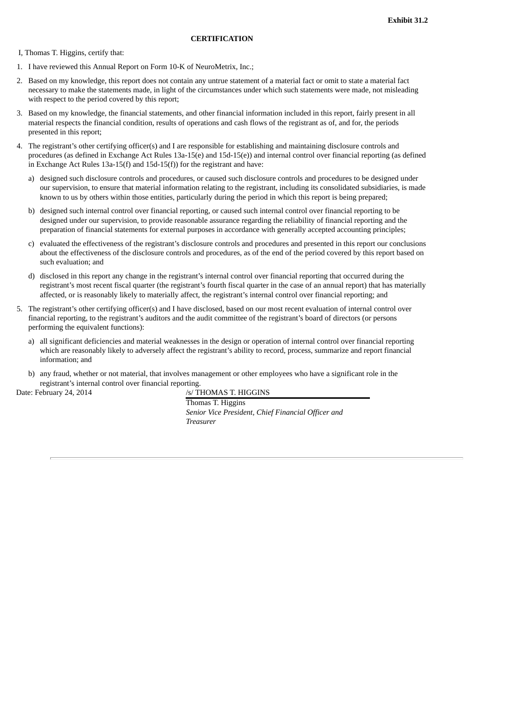I, Thomas T. Higgins, certify that:

- 1. I have reviewed this Annual Report on Form 10-K of NeuroMetrix, Inc.;
- 2. Based on my knowledge, this report does not contain any untrue statement of a material fact or omit to state a material fact necessary to make the statements made, in light of the circumstances under which such statements were made, not misleading with respect to the period covered by this report;
- 3. Based on my knowledge, the financial statements, and other financial information included in this report, fairly present in all material respects the financial condition, results of operations and cash flows of the registrant as of, and for, the periods presented in this report;
- 4. The registrant's other certifying officer(s) and I are responsible for establishing and maintaining disclosure controls and procedures (as defined in Exchange Act Rules 13a-15(e) and 15d-15(e)) and internal control over financial reporting (as defined in Exchange Act Rules 13a-15(f) and 15d-15(f)) for the registrant and have:
	- a) designed such disclosure controls and procedures, or caused such disclosure controls and procedures to be designed under our supervision, to ensure that material information relating to the registrant, including its consolidated subsidiaries, is made known to us by others within those entities, particularly during the period in which this report is being prepared;
	- b) designed such internal control over financial reporting, or caused such internal control over financial reporting to be designed under our supervision, to provide reasonable assurance regarding the reliability of financial reporting and the preparation of financial statements for external purposes in accordance with generally accepted accounting principles;
	- c) evaluated the effectiveness of the registrant's disclosure controls and procedures and presented in this report our conclusions about the effectiveness of the disclosure controls and procedures, as of the end of the period covered by this report based on such evaluation; and
	- d) disclosed in this report any change in the registrant's internal control over financial reporting that occurred during the registrant's most recent fiscal quarter (the registrant's fourth fiscal quarter in the case of an annual report) that has materially affected, or is reasonably likely to materially affect, the registrant's internal control over financial reporting; and
- 5. The registrant's other certifying officer(s) and I have disclosed, based on our most recent evaluation of internal control over financial reporting, to the registrant's auditors and the audit committee of the registrant's board of directors (or persons performing the equivalent functions):
	- a) all significant deficiencies and material weaknesses in the design or operation of internal control over financial reporting which are reasonably likely to adversely affect the registrant's ability to record, process, summarize and report financial information; and
	- b) any fraud, whether or not material, that involves management or other employees who have a significant role in the registrant's internal control over financial reporting.

Date: February 24, 2014 /s/ THOMAS T. HIGGINS

Thomas T. Higgins *Senior Vice President, Chief Financial Officer and Treasurer*